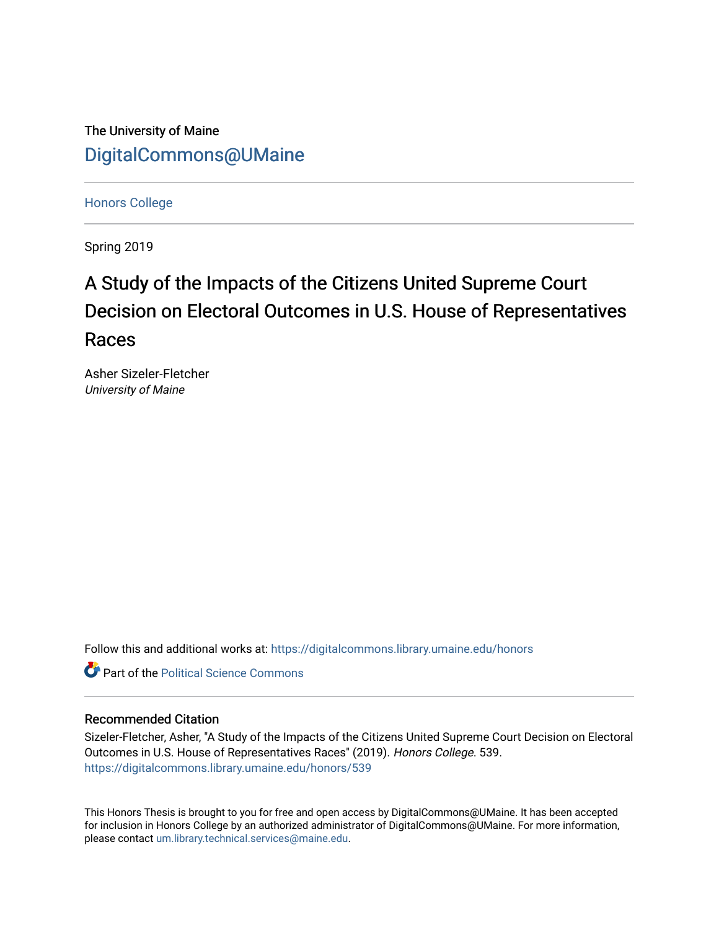The University of Maine [DigitalCommons@UMaine](https://digitalcommons.library.umaine.edu/)

[Honors College](https://digitalcommons.library.umaine.edu/honors)

Spring 2019

# A Study of the Impacts of the Citizens United Supreme Court Decision on Electoral Outcomes in U.S. House of Representatives Races

Asher Sizeler-Fletcher University of Maine

Follow this and additional works at: [https://digitalcommons.library.umaine.edu/honors](https://digitalcommons.library.umaine.edu/honors?utm_source=digitalcommons.library.umaine.edu%2Fhonors%2F539&utm_medium=PDF&utm_campaign=PDFCoverPages) 

**C** Part of the Political Science Commons

#### Recommended Citation

Sizeler-Fletcher, Asher, "A Study of the Impacts of the Citizens United Supreme Court Decision on Electoral Outcomes in U.S. House of Representatives Races" (2019). Honors College. 539. [https://digitalcommons.library.umaine.edu/honors/539](https://digitalcommons.library.umaine.edu/honors/539?utm_source=digitalcommons.library.umaine.edu%2Fhonors%2F539&utm_medium=PDF&utm_campaign=PDFCoverPages) 

This Honors Thesis is brought to you for free and open access by DigitalCommons@UMaine. It has been accepted for inclusion in Honors College by an authorized administrator of DigitalCommons@UMaine. For more information, please contact [um.library.technical.services@maine.edu.](mailto:um.library.technical.services@maine.edu)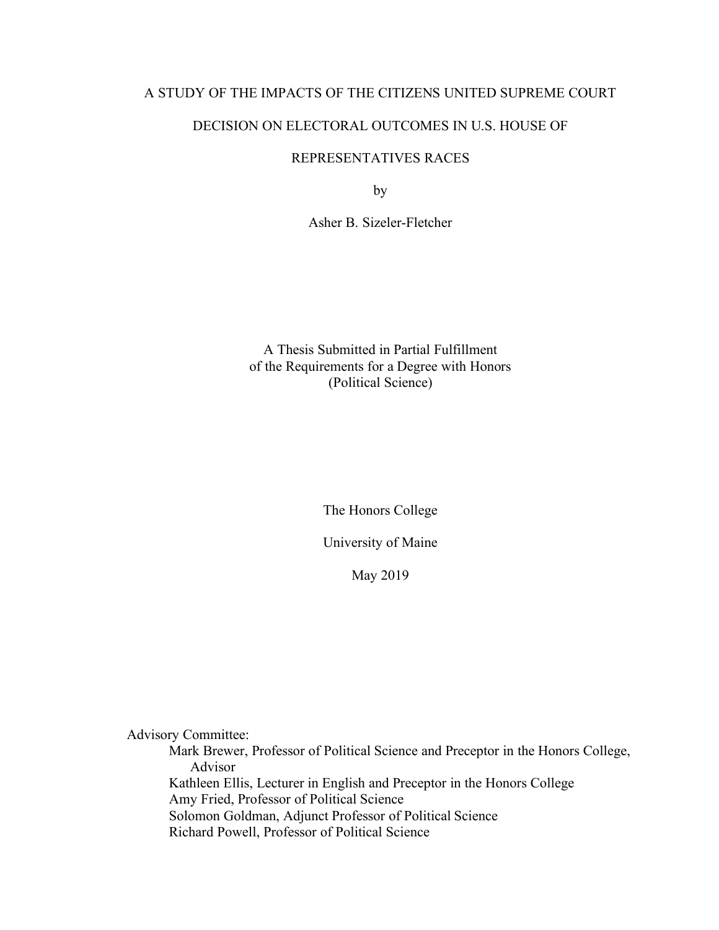# A STUDY OF THE IMPACTS OF THE CITIZENS UNITED SUPREME COURT

# DECISION ON ELECTORAL OUTCOMES IN U.S. HOUSE OF

## REPRESENTATIVES RACES

by

Asher B. Sizeler-Fletcher

A Thesis Submitted in Partial Fulfillment of the Requirements for a Degree with Honors (Political Science)

The Honors College

University of Maine

May 2019

Advisory Committee:

Mark Brewer, Professor of Political Science and Preceptor in the Honors College, Advisor Kathleen Ellis, Lecturer in English and Preceptor in the Honors College Amy Fried, Professor of Political Science Solomon Goldman, Adjunct Professor of Political Science Richard Powell, Professor of Political Science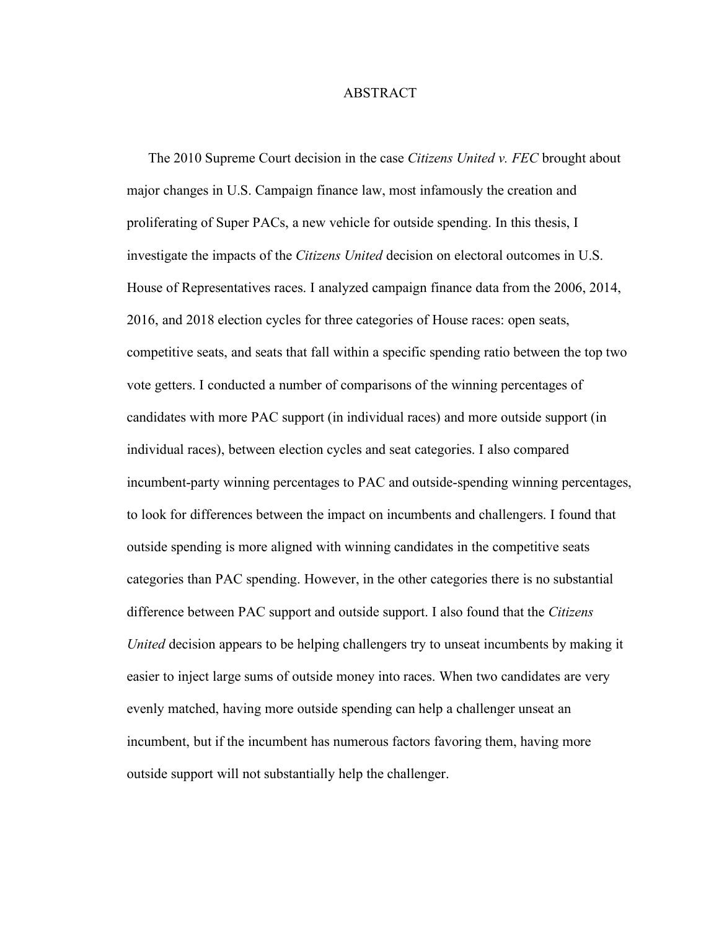#### ABSTRACT

 The 2010 Supreme Court decision in the case *Citizens United v. FEC* brought about major changes in U.S. Campaign finance law, most infamously the creation and proliferating of Super PACs, a new vehicle for outside spending. In this thesis, I investigate the impacts of the *Citizens United* decision on electoral outcomes in U.S. House of Representatives races. I analyzed campaign finance data from the 2006, 2014, 2016, and 2018 election cycles for three categories of House races: open seats, competitive seats, and seats that fall within a specific spending ratio between the top two vote getters. I conducted a number of comparisons of the winning percentages of candidates with more PAC support (in individual races) and more outside support (in individual races), between election cycles and seat categories. I also compared incumbent-party winning percentages to PAC and outside-spending winning percentages, to look for differences between the impact on incumbents and challengers. I found that outside spending is more aligned with winning candidates in the competitive seats categories than PAC spending. However, in the other categories there is no substantial difference between PAC support and outside support. I also found that the *Citizens United* decision appears to be helping challengers try to unseat incumbents by making it easier to inject large sums of outside money into races. When two candidates are very evenly matched, having more outside spending can help a challenger unseat an incumbent, but if the incumbent has numerous factors favoring them, having more outside support will not substantially help the challenger.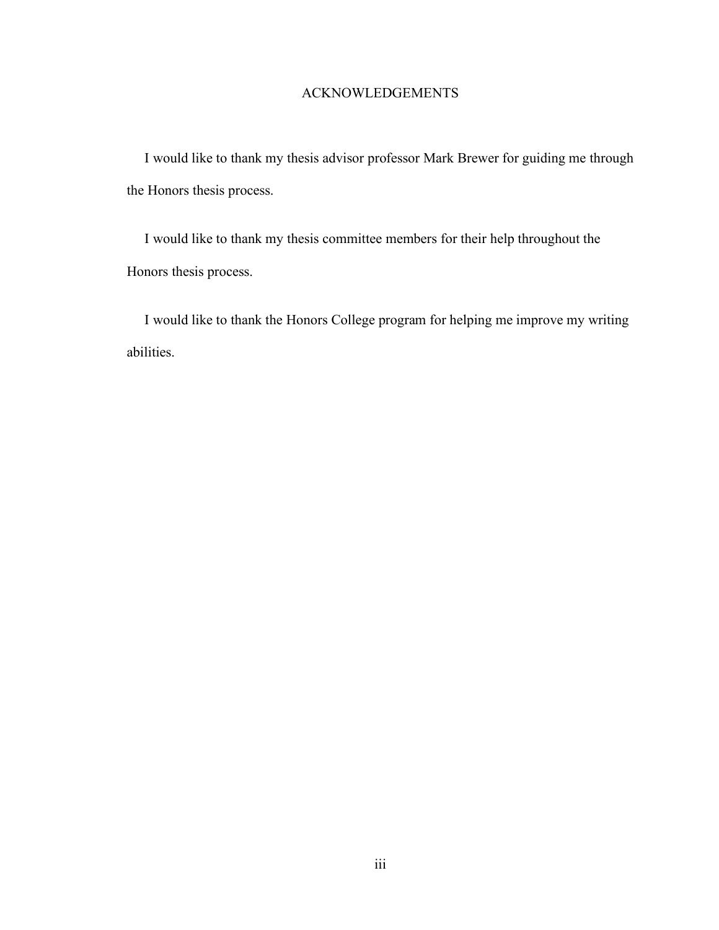# ACKNOWLEDGEMENTS

 I would like to thank my thesis advisor professor Mark Brewer for guiding me through the Honors thesis process.

 I would like to thank my thesis committee members for their help throughout the Honors thesis process.

 I would like to thank the Honors College program for helping me improve my writing abilities.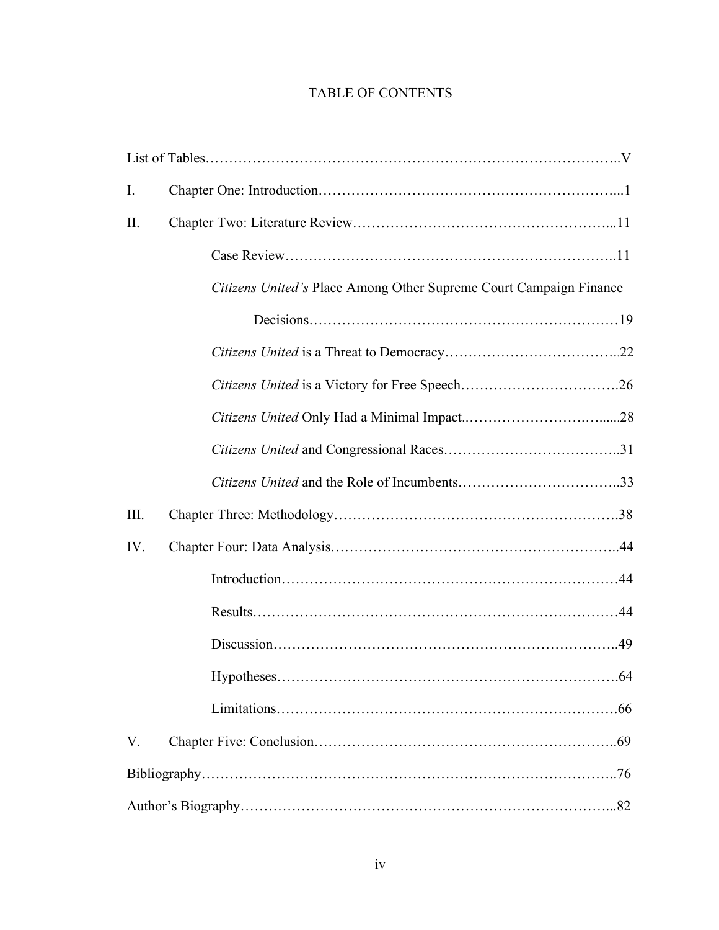# TABLE OF CONTENTS

| $\mathbf{I}$ . |                                                                    |     |
|----------------|--------------------------------------------------------------------|-----|
| II.            |                                                                    |     |
|                |                                                                    |     |
|                | Citizens United's Place Among Other Supreme Court Campaign Finance |     |
|                |                                                                    |     |
|                |                                                                    |     |
|                |                                                                    |     |
|                |                                                                    |     |
|                |                                                                    |     |
|                |                                                                    |     |
| III.           |                                                                    |     |
| IV.            |                                                                    |     |
|                |                                                                    |     |
|                |                                                                    |     |
|                |                                                                    |     |
|                |                                                                    | .64 |
|                |                                                                    |     |
| V.             |                                                                    |     |
|                |                                                                    |     |
|                |                                                                    |     |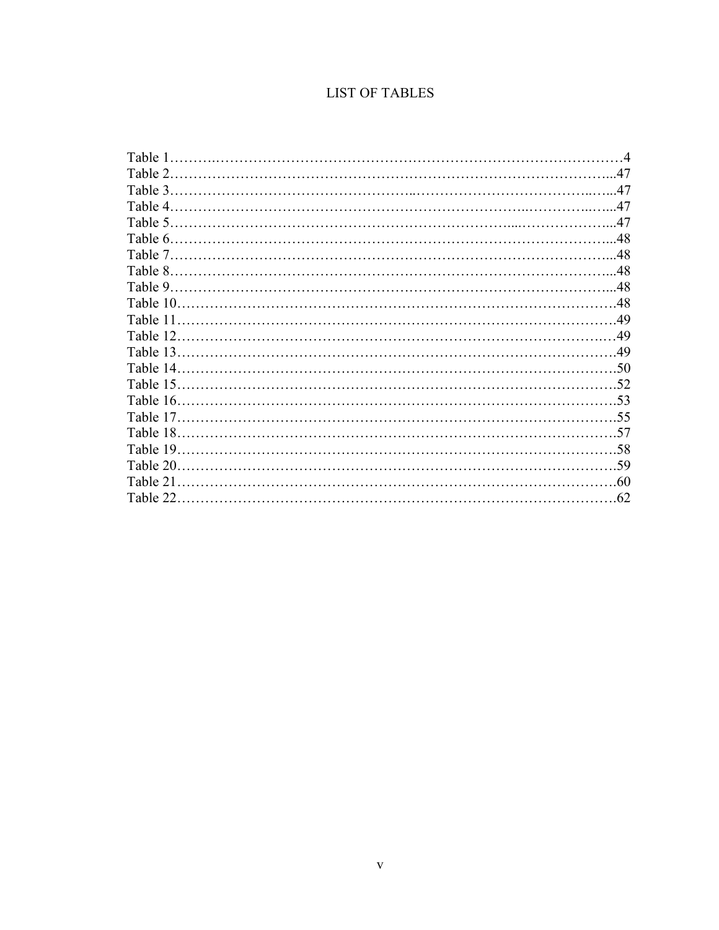# **LIST OF TABLES**

| Table 1   | $\overline{4}$ |
|-----------|----------------|
| Table 2   | .47            |
| Table 3   | .47            |
| Table 4   |                |
| Table 5   |                |
| Table 6.  |                |
| Table 7.  |                |
| Table 8   |                |
| Table 9   |                |
| Table 10. |                |
| Table 11  |                |
| Table 12  |                |
| Table 13. |                |
| Table 14  | .50            |
| Table 15  | .52            |
| Table 16. |                |
| Table 17. |                |
| Table 18  | - 57           |
| Table 19  | .58            |
| Table 20  |                |
| Table 21  |                |
| Table 22  | .62            |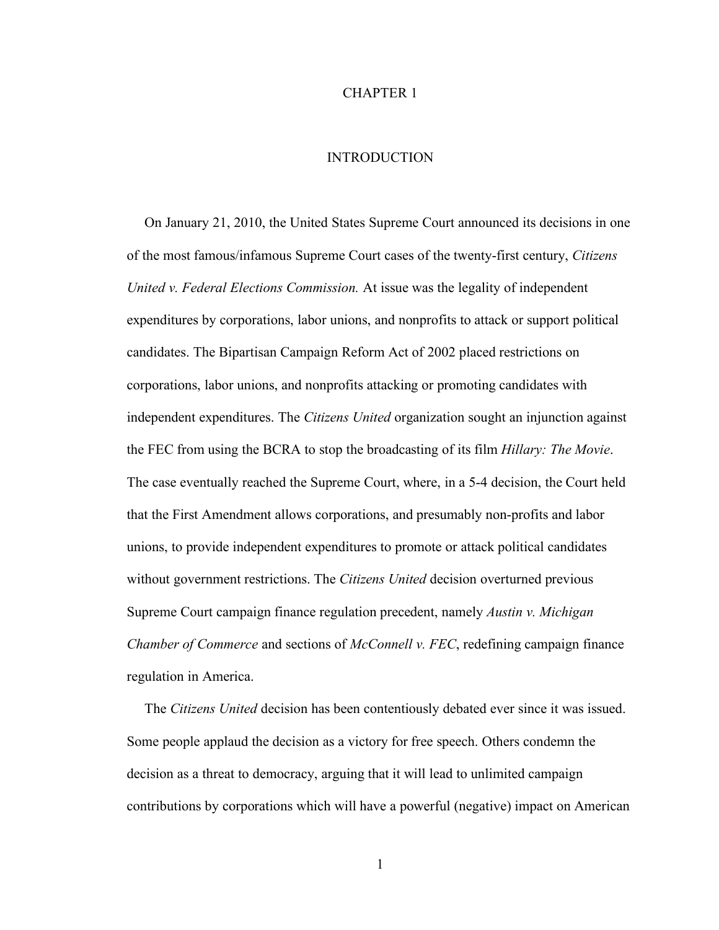#### CHAPTER 1

## **INTRODUCTION**

 On January 21, 2010, the United States Supreme Court announced its decisions in one of the most famous/infamous Supreme Court cases of the twenty-first century, *Citizens United v. Federal Elections Commission.* At issue was the legality of independent expenditures by corporations, labor unions, and nonprofits to attack or support political candidates. The Bipartisan Campaign Reform Act of 2002 placed restrictions on corporations, labor unions, and nonprofits attacking or promoting candidates with independent expenditures. The *Citizens United* organization sought an injunction against the FEC from using the BCRA to stop the broadcasting of its film *Hillary: The Movie*. The case eventually reached the Supreme Court, where, in a 5-4 decision, the Court held that the First Amendment allows corporations, and presumably non-profits and labor unions, to provide independent expenditures to promote or attack political candidates without government restrictions. The *Citizens United* decision overturned previous Supreme Court campaign finance regulation precedent, namely *Austin v. Michigan Chamber of Commerce* and sections of *McConnell v. FEC*, redefining campaign finance regulation in America.

 The *Citizens United* decision has been contentiously debated ever since it was issued. Some people applaud the decision as a victory for free speech. Others condemn the decision as a threat to democracy, arguing that it will lead to unlimited campaign contributions by corporations which will have a powerful (negative) impact on American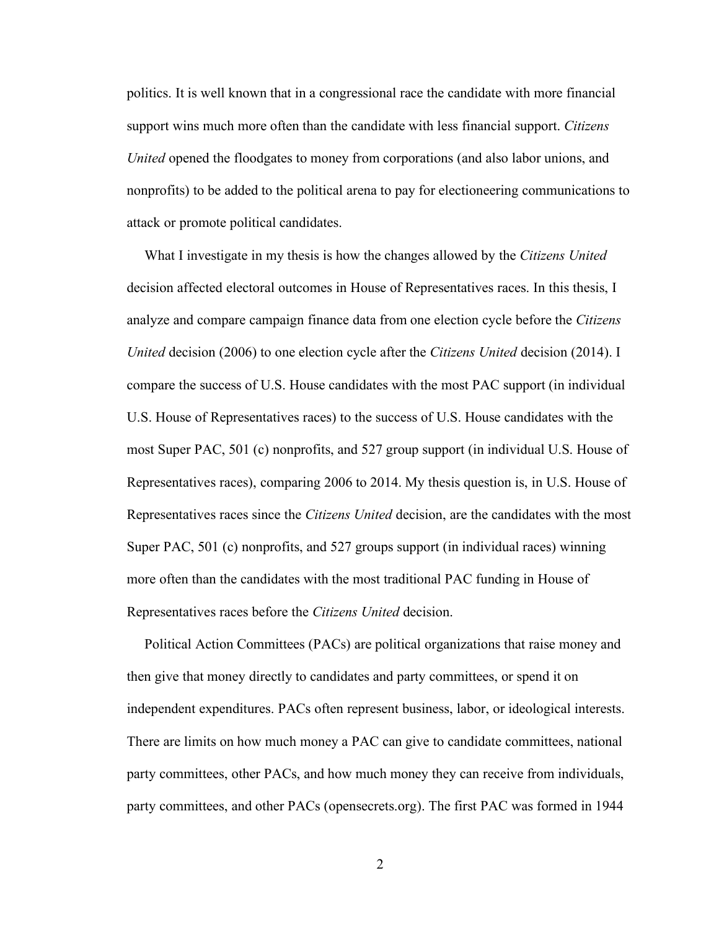politics. It is well known that in a congressional race the candidate with more financial support wins much more often than the candidate with less financial support. *Citizens United* opened the floodgates to money from corporations (and also labor unions, and nonprofits) to be added to the political arena to pay for electioneering communications to attack or promote political candidates.

 What I investigate in my thesis is how the changes allowed by the *Citizens United* decision affected electoral outcomes in House of Representatives races. In this thesis, I analyze and compare campaign finance data from one election cycle before the *Citizens United* decision (2006) to one election cycle after the *Citizens United* decision (2014). I compare the success of U.S. House candidates with the most PAC support (in individual U.S. House of Representatives races) to the success of U.S. House candidates with the most Super PAC, 501 (c) nonprofits, and 527 group support (in individual U.S. House of Representatives races), comparing 2006 to 2014. My thesis question is, in U.S. House of Representatives races since the *Citizens United* decision, are the candidates with the most Super PAC, 501 (c) nonprofits, and 527 groups support (in individual races) winning more often than the candidates with the most traditional PAC funding in House of Representatives races before the *Citizens United* decision.

 Political Action Committees (PACs) are political organizations that raise money and then give that money directly to candidates and party committees, or spend it on independent expenditures. PACs often represent business, labor, or ideological interests. There are limits on how much money a PAC can give to candidate committees, national party committees, other PACs, and how much money they can receive from individuals, party committees, and other PACs (opensecrets.org). The first PAC was formed in 1944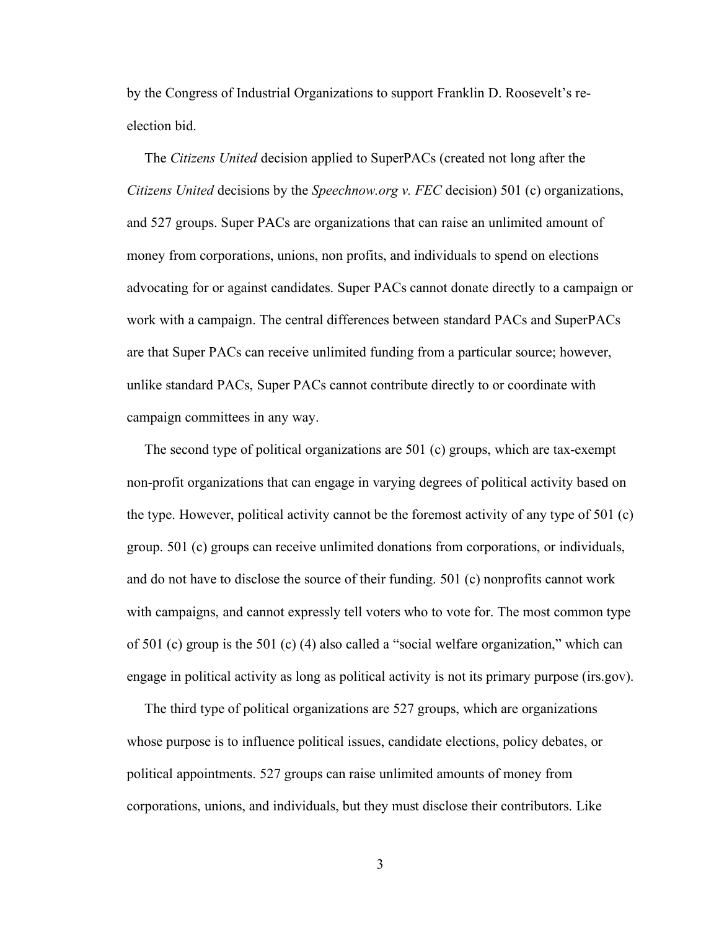by the Congress of Industrial Organizations to support Franklin D. Roosevelt's reelection bid.

 The *Citizens United* decision applied to SuperPACs (created not long after the *Citizens United* decisions by the *Speechnow.org v. FEC* decision) 501 (c) organizations, and 527 groups. Super PACs are organizations that can raise an unlimited amount of money from corporations, unions, non profits, and individuals to spend on elections advocating for or against candidates. Super PACs cannot donate directly to a campaign or work with a campaign. The central differences between standard PACs and SuperPACs are that Super PACs can receive unlimited funding from a particular source; however, unlike standard PACs, Super PACs cannot contribute directly to or coordinate with campaign committees in any way.

 The second type of political organizations are 501 (c) groups, which are tax-exempt non-profit organizations that can engage in varying degrees of political activity based on the type. However, political activity cannot be the foremost activity of any type of 501 (c) group. 501 (c) groups can receive unlimited donations from corporations, or individuals, and do not have to disclose the source of their funding. 501 (c) nonprofits cannot work with campaigns, and cannot expressly tell voters who to vote for. The most common type of 501 (c) group is the 501 (c) (4) also called a "social welfare organization," which can engage in political activity as long as political activity is not its primary purpose (irs.gov).

 The third type of political organizations are 527 groups, which are organizations whose purpose is to influence political issues, candidate elections, policy debates, or political appointments. 527 groups can raise unlimited amounts of money from corporations, unions, and individuals, but they must disclose their contributors. Like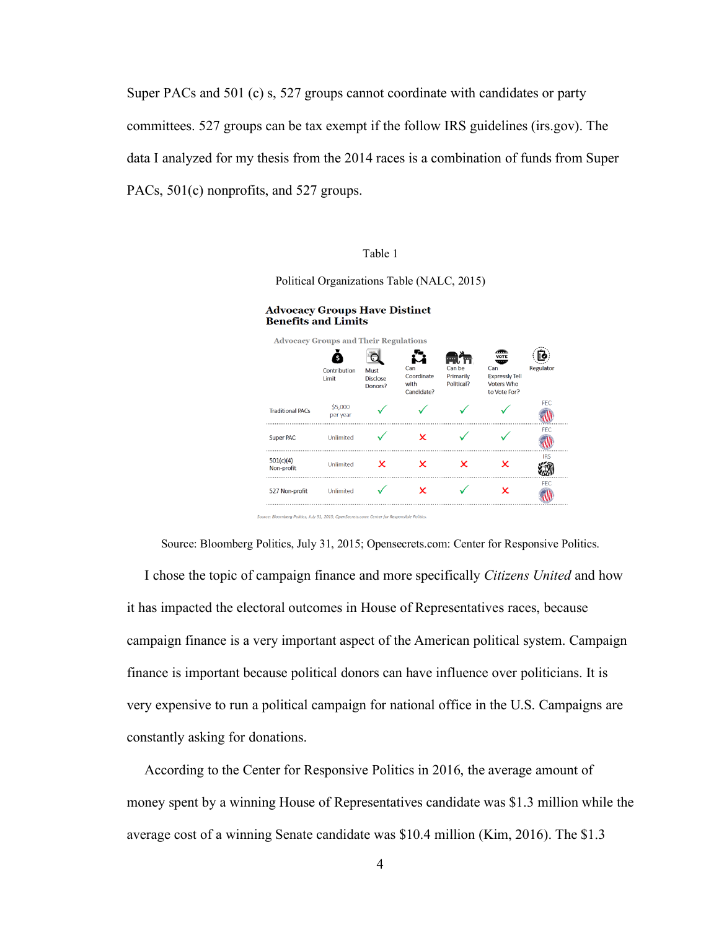Super PACs and 501 (c) s, 527 groups cannot coordinate with candidates or party committees. 527 groups can be tax exempt if the follow IRS guidelines (irs.gov). The data I analyzed for my thesis from the 2014 races is a combination of funds from Super PACs,  $501(c)$  nonprofits, and 527 groups.

#### Table 1

Political Organizations Table (NALC, 2015)



Source: Bloomberg Politics, July 31, 2015; Opensecrets.com: Center for Responsive Politics.

 I chose the topic of campaign finance and more specifically *Citizens United* and how it has impacted the electoral outcomes in House of Representatives races, because campaign finance is a very important aspect of the American political system. Campaign finance is important because political donors can have influence over politicians. It is very expensive to run a political campaign for national office in the U.S. Campaigns are constantly asking for donations.

 According to the Center for Responsive Politics in 2016, the average amount of money spent by a winning House of Representatives candidate was \$1.3 million while the average cost of a winning Senate candidate was \$10.4 million (Kim, 2016). The \$1.3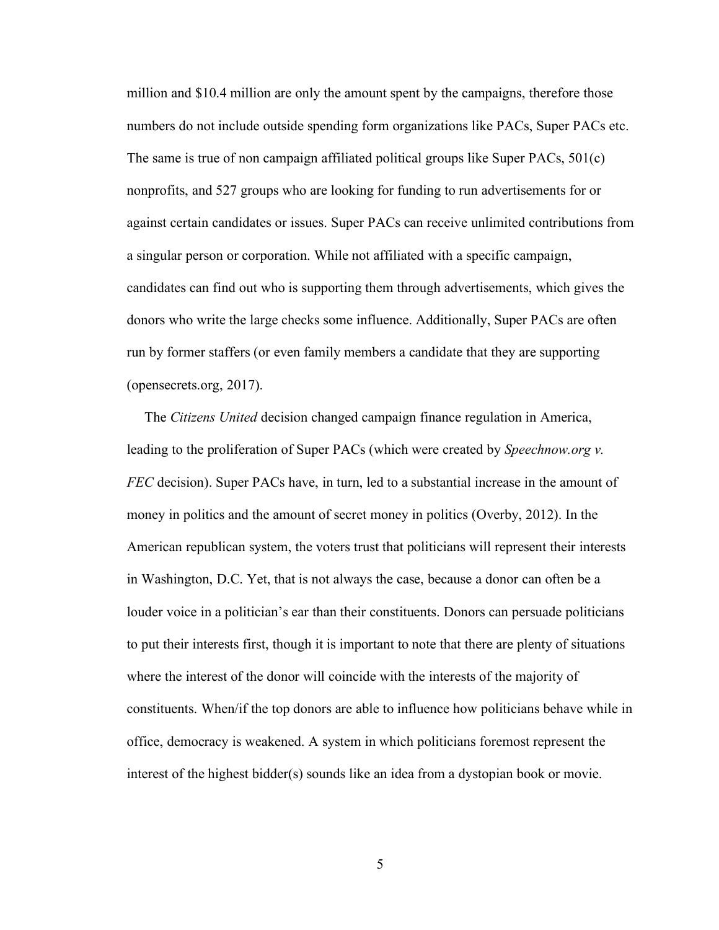million and \$10.4 million are only the amount spent by the campaigns, therefore those numbers do not include outside spending form organizations like PACs, Super PACs etc. The same is true of non campaign affiliated political groups like Super PACs, 501(c) nonprofits, and 527 groups who are looking for funding to run advertisements for or against certain candidates or issues. Super PACs can receive unlimited contributions from a singular person or corporation. While not affiliated with a specific campaign, candidates can find out who is supporting them through advertisements, which gives the donors who write the large checks some influence. Additionally, Super PACs are often run by former staffers (or even family members a candidate that they are supporting (opensecrets.org, 2017).

 The *Citizens United* decision changed campaign finance regulation in America, leading to the proliferation of Super PACs (which were created by *Speechnow.org v. FEC* decision). Super PACs have, in turn, led to a substantial increase in the amount of money in politics and the amount of secret money in politics (Overby, 2012). In the American republican system, the voters trust that politicians will represent their interests in Washington, D.C. Yet, that is not always the case, because a donor can often be a louder voice in a politician's ear than their constituents. Donors can persuade politicians to put their interests first, though it is important to note that there are plenty of situations where the interest of the donor will coincide with the interests of the majority of constituents. When/if the top donors are able to influence how politicians behave while in office, democracy is weakened. A system in which politicians foremost represent the interest of the highest bidder(s) sounds like an idea from a dystopian book or movie.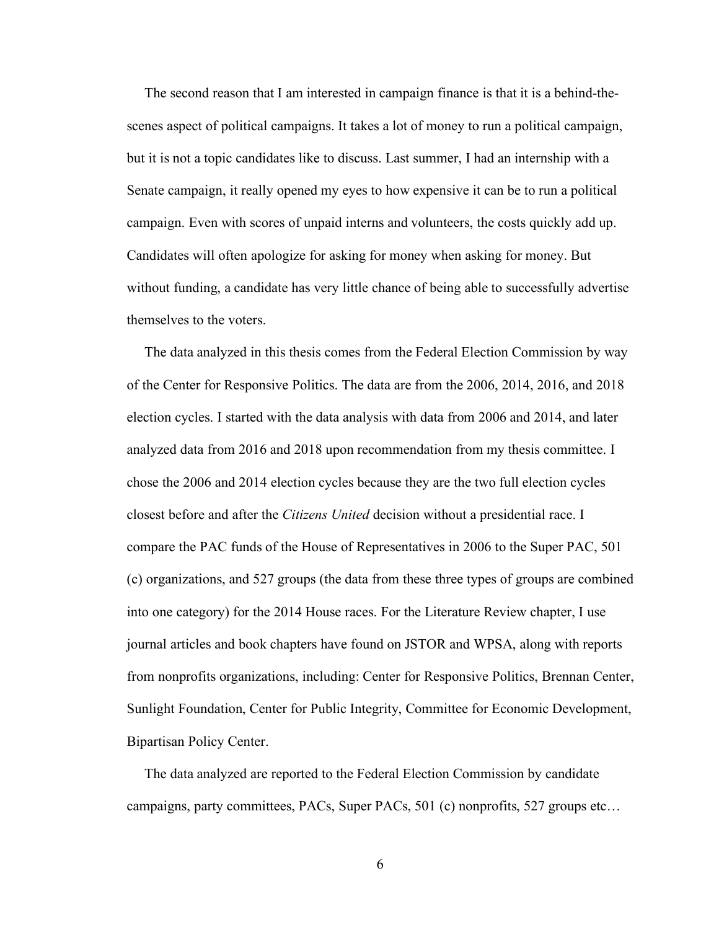The second reason that I am interested in campaign finance is that it is a behind-thescenes aspect of political campaigns. It takes a lot of money to run a political campaign, but it is not a topic candidates like to discuss. Last summer, I had an internship with a Senate campaign, it really opened my eyes to how expensive it can be to run a political campaign. Even with scores of unpaid interns and volunteers, the costs quickly add up. Candidates will often apologize for asking for money when asking for money. But without funding, a candidate has very little chance of being able to successfully advertise themselves to the voters.

 The data analyzed in this thesis comes from the Federal Election Commission by way of the Center for Responsive Politics. The data are from the 2006, 2014, 2016, and 2018 election cycles. I started with the data analysis with data from 2006 and 2014, and later analyzed data from 2016 and 2018 upon recommendation from my thesis committee. I chose the 2006 and 2014 election cycles because they are the two full election cycles closest before and after the *Citizens United* decision without a presidential race. I compare the PAC funds of the House of Representatives in 2006 to the Super PAC, 501 (c) organizations, and 527 groups (the data from these three types of groups are combined into one category) for the 2014 House races. For the Literature Review chapter, I use journal articles and book chapters have found on JSTOR and WPSA, along with reports from nonprofits organizations, including: Center for Responsive Politics, Brennan Center, Sunlight Foundation, Center for Public Integrity, Committee for Economic Development, Bipartisan Policy Center.

 The data analyzed are reported to the Federal Election Commission by candidate campaigns, party committees, PACs, Super PACs, 501 (c) nonprofits, 527 groups etc…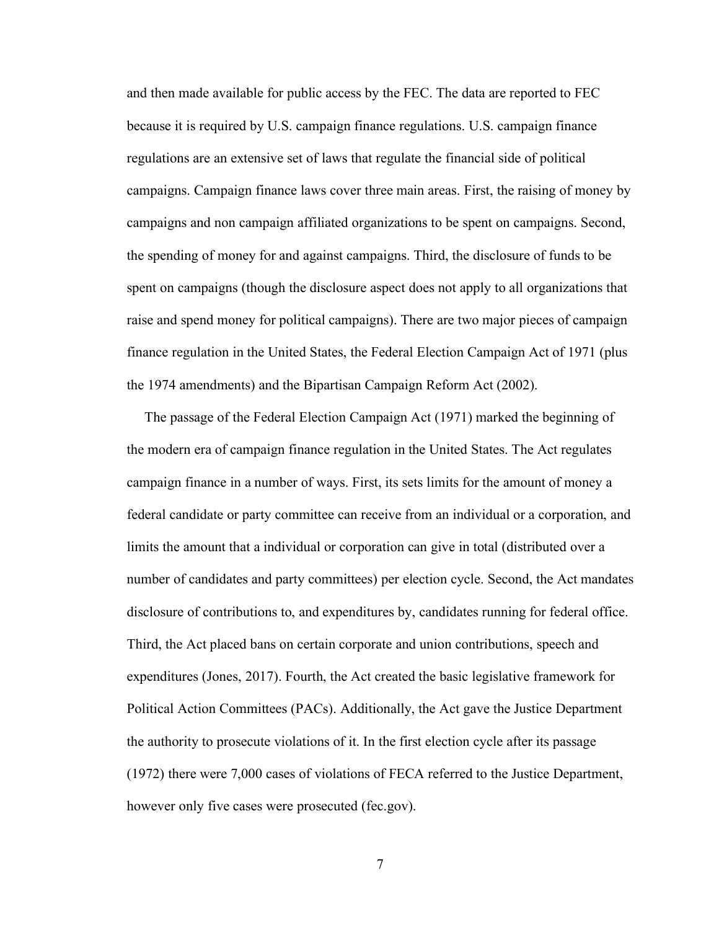and then made available for public access by the FEC. The data are reported to FEC because it is required by U.S. campaign finance regulations. U.S. campaign finance regulations are an extensive set of laws that regulate the financial side of political campaigns. Campaign finance laws cover three main areas. First, the raising of money by campaigns and non campaign affiliated organizations to be spent on campaigns. Second, the spending of money for and against campaigns. Third, the disclosure of funds to be spent on campaigns (though the disclosure aspect does not apply to all organizations that raise and spend money for political campaigns). There are two major pieces of campaign finance regulation in the United States, the Federal Election Campaign Act of 1971 (plus the 1974 amendments) and the Bipartisan Campaign Reform Act (2002).

 The passage of the Federal Election Campaign Act (1971) marked the beginning of the modern era of campaign finance regulation in the United States. The Act regulates campaign finance in a number of ways. First, its sets limits for the amount of money a federal candidate or party committee can receive from an individual or a corporation, and limits the amount that a individual or corporation can give in total (distributed over a number of candidates and party committees) per election cycle. Second, the Act mandates disclosure of contributions to, and expenditures by, candidates running for federal office. Third, the Act placed bans on certain corporate and union contributions, speech and expenditures (Jones, 2017). Fourth, the Act created the basic legislative framework for Political Action Committees (PACs). Additionally, the Act gave the Justice Department the authority to prosecute violations of it. In the first election cycle after its passage (1972) there were 7,000 cases of violations of FECA referred to the Justice Department, however only five cases were prosecuted (fec.gov).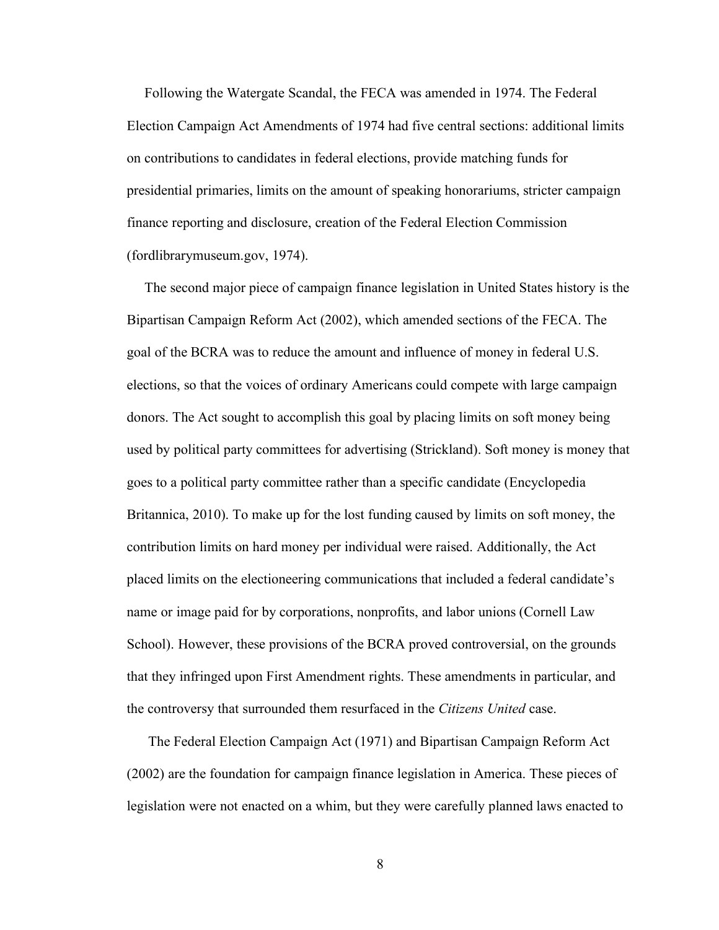Following the Watergate Scandal, the FECA was amended in 1974. The Federal Election Campaign Act Amendments of 1974 had five central sections: additional limits on contributions to candidates in federal elections, provide matching funds for presidential primaries, limits on the amount of speaking honorariums, stricter campaign finance reporting and disclosure, creation of the Federal Election Commission (fordlibrarymuseum.gov, 1974).

 The second major piece of campaign finance legislation in United States history is the Bipartisan Campaign Reform Act (2002), which amended sections of the FECA. The goal of the BCRA was to reduce the amount and influence of money in federal U.S. elections, so that the voices of ordinary Americans could compete with large campaign donors. The Act sought to accomplish this goal by placing limits on soft money being used by political party committees for advertising (Strickland). Soft money is money that goes to a political party committee rather than a specific candidate (Encyclopedia Britannica, 2010). To make up for the lost funding caused by limits on soft money, the contribution limits on hard money per individual were raised. Additionally, the Act placed limits on the electioneering communications that included a federal candidate's name or image paid for by corporations, nonprofits, and labor unions (Cornell Law School). However, these provisions of the BCRA proved controversial, on the grounds that they infringed upon First Amendment rights. These amendments in particular, and the controversy that surrounded them resurfaced in the *Citizens United* case.

 The Federal Election Campaign Act (1971) and Bipartisan Campaign Reform Act (2002) are the foundation for campaign finance legislation in America. These pieces of legislation were not enacted on a whim, but they were carefully planned laws enacted to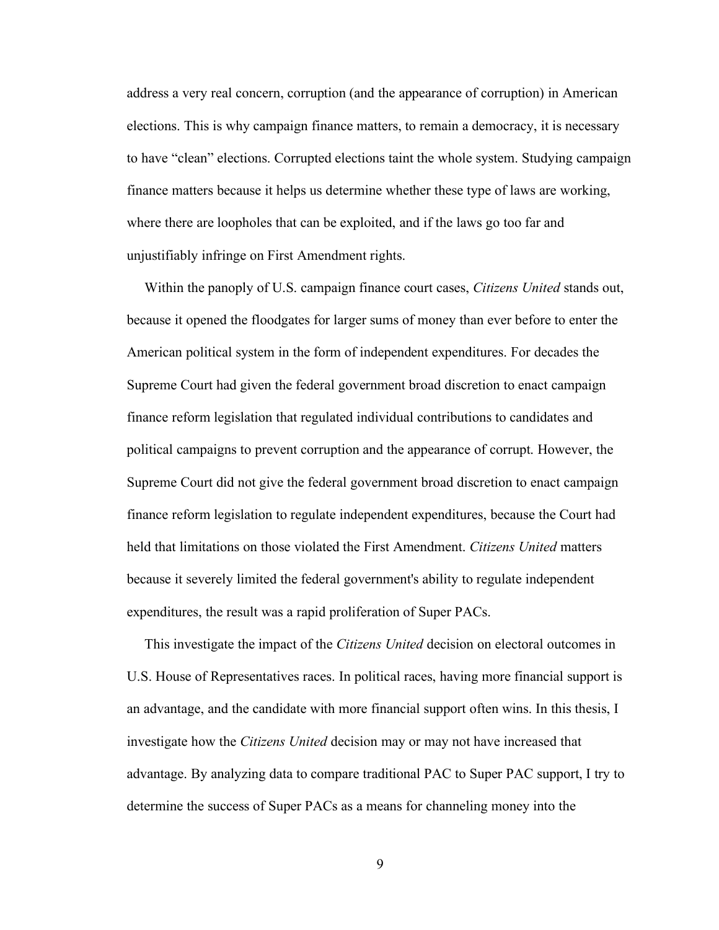address a very real concern, corruption (and the appearance of corruption) in American elections. This is why campaign finance matters, to remain a democracy, it is necessary to have "clean" elections. Corrupted elections taint the whole system. Studying campaign finance matters because it helps us determine whether these type of laws are working, where there are loopholes that can be exploited, and if the laws go too far and unjustifiably infringe on First Amendment rights.

 Within the panoply of U.S. campaign finance court cases, *Citizens United* stands out, because it opened the floodgates for larger sums of money than ever before to enter the American political system in the form of independent expenditures. For decades the Supreme Court had given the federal government broad discretion to enact campaign finance reform legislation that regulated individual contributions to candidates and political campaigns to prevent corruption and the appearance of corrupt. However, the Supreme Court did not give the federal government broad discretion to enact campaign finance reform legislation to regulate independent expenditures, because the Court had held that limitations on those violated the First Amendment. *Citizens United* matters because it severely limited the federal government's ability to regulate independent expenditures, the result was a rapid proliferation of Super PACs.

 This investigate the impact of the *Citizens United* decision on electoral outcomes in U.S. House of Representatives races. In political races, having more financial support is an advantage, and the candidate with more financial support often wins. In this thesis, I investigate how the *Citizens United* decision may or may not have increased that advantage. By analyzing data to compare traditional PAC to Super PAC support, I try to determine the success of Super PACs as a means for channeling money into the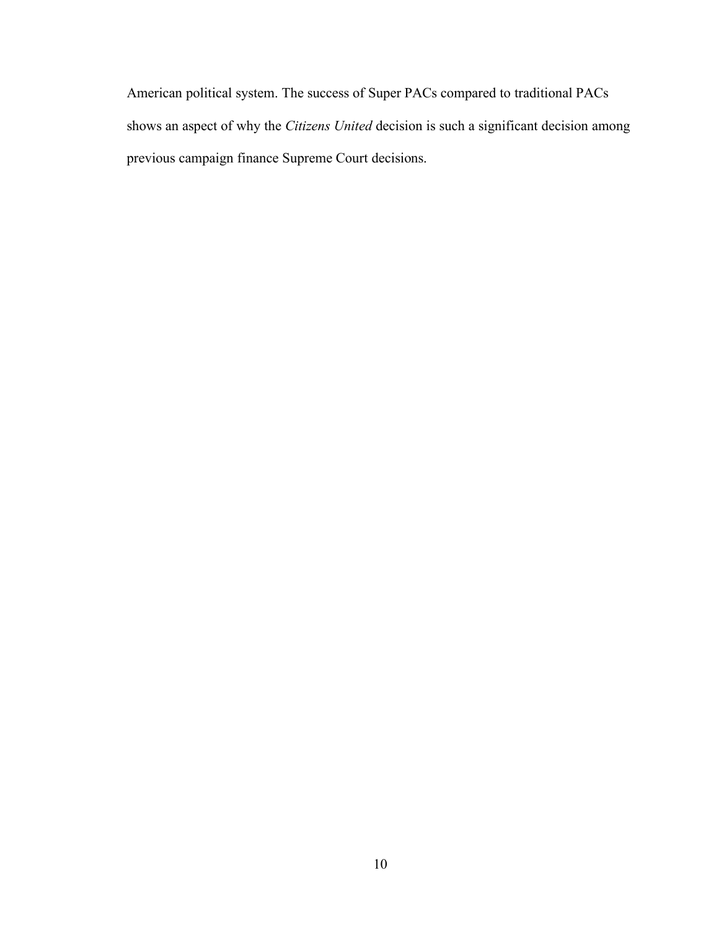American political system. The success of Super PACs compared to traditional PACs shows an aspect of why the *Citizens United* decision is such a significant decision among previous campaign finance Supreme Court decisions.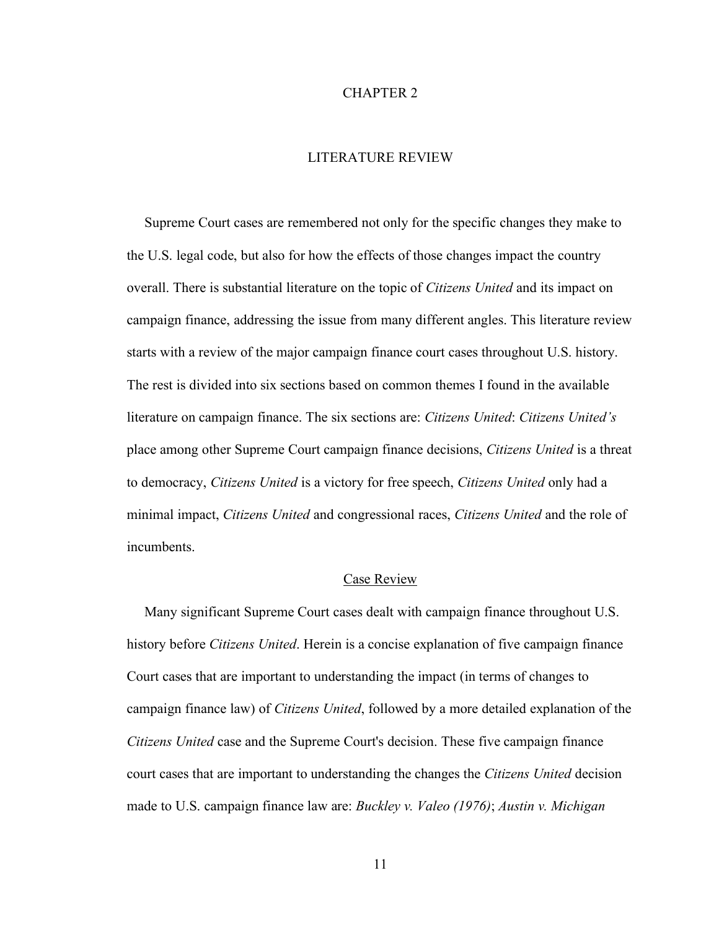#### CHAPTER 2

## LITERATURE REVIEW

 Supreme Court cases are remembered not only for the specific changes they make to the U.S. legal code, but also for how the effects of those changes impact the country overall. There is substantial literature on the topic of *Citizens United* and its impact on campaign finance, addressing the issue from many different angles. This literature review starts with a review of the major campaign finance court cases throughout U.S. history. The rest is divided into six sections based on common themes I found in the available literature on campaign finance. The six sections are: *Citizens United*: *Citizens United's* place among other Supreme Court campaign finance decisions, *Citizens United* is a threat to democracy, *Citizens United* is a victory for free speech, *Citizens United* only had a minimal impact, *Citizens United* and congressional races, *Citizens United* and the role of incumbents.

### Case Review

 Many significant Supreme Court cases dealt with campaign finance throughout U.S. history before *Citizens United*. Herein is a concise explanation of five campaign finance Court cases that are important to understanding the impact (in terms of changes to campaign finance law) of *Citizens United*, followed by a more detailed explanation of the *Citizens United* case and the Supreme Court's decision. These five campaign finance court cases that are important to understanding the changes the *Citizens United* decision made to U.S. campaign finance law are: *Buckley v. Valeo (1976)*; *Austin v. Michigan*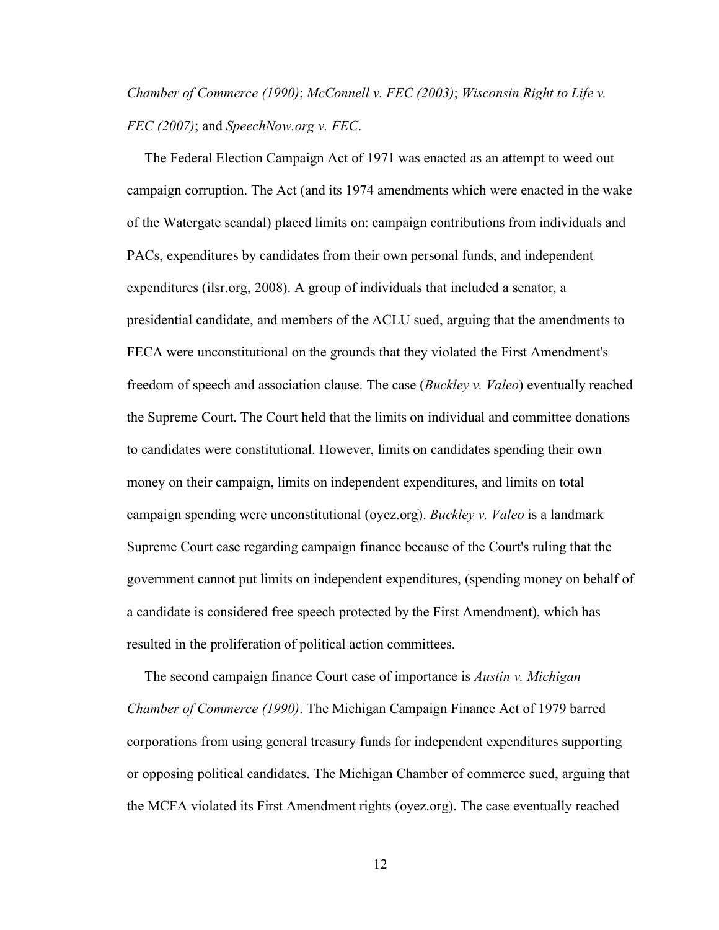# *Chamber of Commerce (1990)*; *McConnell v. FEC (2003)*; *Wisconsin Right to Life v. FEC (2007)*; and *SpeechNow.org v. FEC*.

 The Federal Election Campaign Act of 1971 was enacted as an attempt to weed out campaign corruption. The Act (and its 1974 amendments which were enacted in the wake of the Watergate scandal) placed limits on: campaign contributions from individuals and PACs, expenditures by candidates from their own personal funds, and independent expenditures (ilsr.org, 2008). A group of individuals that included a senator, a presidential candidate, and members of the ACLU sued, arguing that the amendments to FECA were unconstitutional on the grounds that they violated the First Amendment's freedom of speech and association clause. The case (*Buckley v. Valeo*) eventually reached the Supreme Court. The Court held that the limits on individual and committee donations to candidates were constitutional. However, limits on candidates spending their own money on their campaign, limits on independent expenditures, and limits on total campaign spending were unconstitutional (oyez.org). *Buckley v. Valeo* is a landmark Supreme Court case regarding campaign finance because of the Court's ruling that the government cannot put limits on independent expenditures, (spending money on behalf of a candidate is considered free speech protected by the First Amendment), which has resulted in the proliferation of political action committees.

 The second campaign finance Court case of importance is *Austin v. Michigan Chamber of Commerce (1990)*. The Michigan Campaign Finance Act of 1979 barred corporations from using general treasury funds for independent expenditures supporting or opposing political candidates. The Michigan Chamber of commerce sued, arguing that the MCFA violated its First Amendment rights (oyez.org). The case eventually reached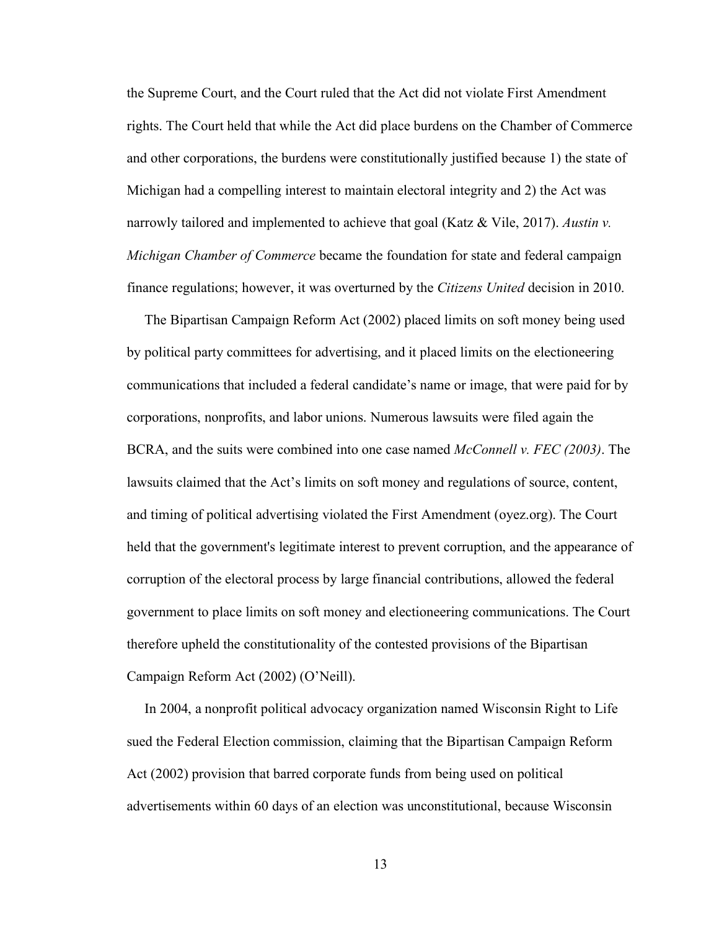the Supreme Court, and the Court ruled that the Act did not violate First Amendment rights. The Court held that while the Act did place burdens on the Chamber of Commerce and other corporations, the burdens were constitutionally justified because 1) the state of Michigan had a compelling interest to maintain electoral integrity and 2) the Act was narrowly tailored and implemented to achieve that goal (Katz & Vile, 2017). *Austin v. Michigan Chamber of Commerce* became the foundation for state and federal campaign finance regulations; however, it was overturned by the *Citizens United* decision in 2010.

 The Bipartisan Campaign Reform Act (2002) placed limits on soft money being used by political party committees for advertising, and it placed limits on the electioneering communications that included a federal candidate's name or image, that were paid for by corporations, nonprofits, and labor unions. Numerous lawsuits were filed again the BCRA, and the suits were combined into one case named *McConnell v. FEC (2003)*. The lawsuits claimed that the Act's limits on soft money and regulations of source, content, and timing of political advertising violated the First Amendment (oyez.org). The Court held that the government's legitimate interest to prevent corruption, and the appearance of corruption of the electoral process by large financial contributions, allowed the federal government to place limits on soft money and electioneering communications. The Court therefore upheld the constitutionality of the contested provisions of the Bipartisan Campaign Reform Act (2002) (O'Neill).

 In 2004, a nonprofit political advocacy organization named Wisconsin Right to Life sued the Federal Election commission, claiming that the Bipartisan Campaign Reform Act (2002) provision that barred corporate funds from being used on political advertisements within 60 days of an election was unconstitutional, because Wisconsin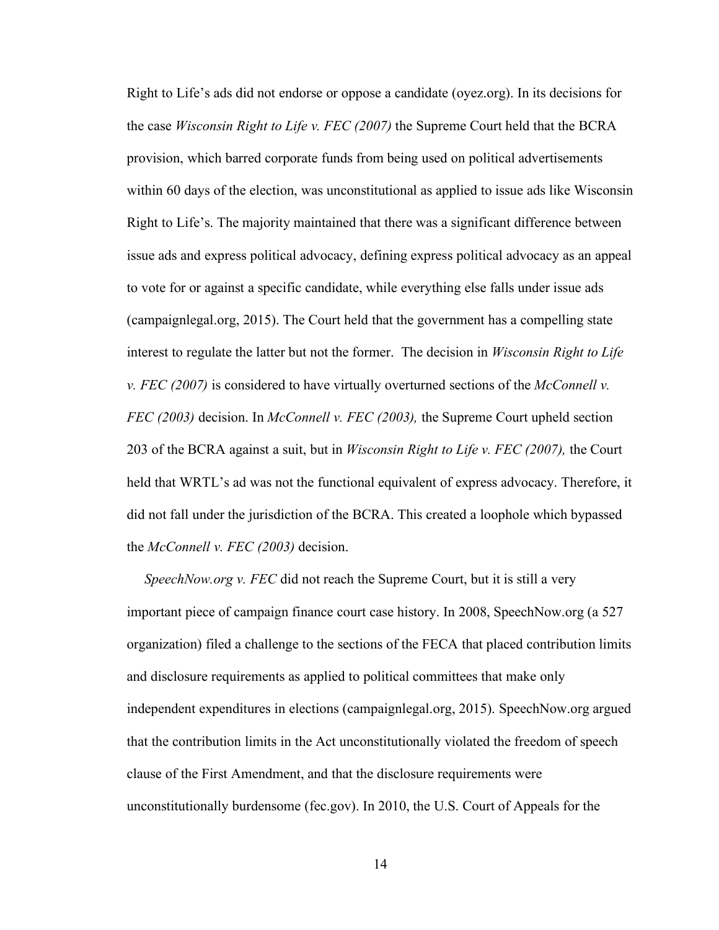Right to Life's ads did not endorse or oppose a candidate (oyez.org). In its decisions for the case *Wisconsin Right to Life v. FEC (2007)* the Supreme Court held that the BCRA provision, which barred corporate funds from being used on political advertisements within 60 days of the election, was unconstitutional as applied to issue ads like Wisconsin Right to Life's. The majority maintained that there was a significant difference between issue ads and express political advocacy, defining express political advocacy as an appeal to vote for or against a specific candidate, while everything else falls under issue ads (campaignlegal.org, 2015). The Court held that the government has a compelling state interest to regulate the latter but not the former. The decision in *Wisconsin Right to Life v. FEC (2007)* is considered to have virtually overturned sections of the *McConnell v. FEC (2003)* decision. In *McConnell v. FEC (2003),* the Supreme Court upheld section 203 of the BCRA against a suit, but in *Wisconsin Right to Life v. FEC (2007),* the Court held that WRTL's ad was not the functional equivalent of express advocacy. Therefore, it did not fall under the jurisdiction of the BCRA. This created a loophole which bypassed the *McConnell v. FEC (2003)* decision.

 *SpeechNow.org v. FEC* did not reach the Supreme Court, but it is still a very important piece of campaign finance court case history. In 2008, SpeechNow.org (a 527 organization) filed a challenge to the sections of the FECA that placed contribution limits and disclosure requirements as applied to political committees that make only independent expenditures in elections (campaignlegal.org, 2015). SpeechNow.org argued that the contribution limits in the Act unconstitutionally violated the freedom of speech clause of the First Amendment, and that the disclosure requirements were unconstitutionally burdensome (fec.gov). In 2010, the U.S. Court of Appeals for the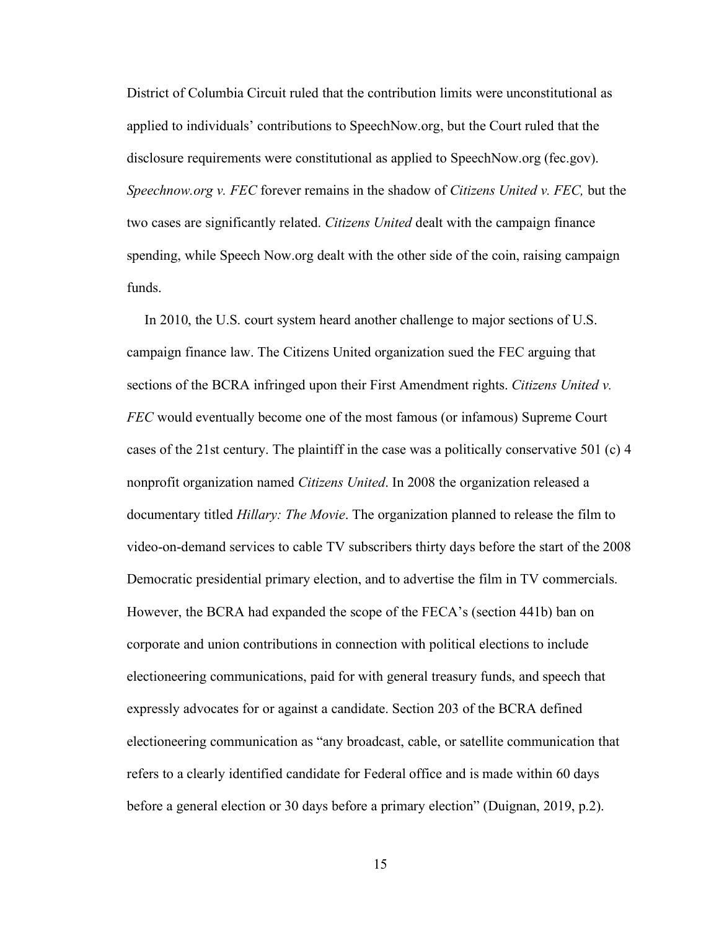District of Columbia Circuit ruled that the contribution limits were unconstitutional as applied to individuals' contributions to SpeechNow.org, but the Court ruled that the disclosure requirements were constitutional as applied to SpeechNow.org (fec.gov). *Speechnow.org v. FEC* forever remains in the shadow of *Citizens United v. FEC,* but the two cases are significantly related. *Citizens United* dealt with the campaign finance spending, while Speech Now.org dealt with the other side of the coin, raising campaign funds.

 In 2010, the U.S. court system heard another challenge to major sections of U.S. campaign finance law. The Citizens United organization sued the FEC arguing that sections of the BCRA infringed upon their First Amendment rights. *Citizens United v. FEC* would eventually become one of the most famous (or infamous) Supreme Court cases of the 21st century. The plaintiff in the case was a politically conservative 501 (c) 4 nonprofit organization named *Citizens United*. In 2008 the organization released a documentary titled *Hillary: The Movie*. The organization planned to release the film to video-on-demand services to cable TV subscribers thirty days before the start of the 2008 Democratic presidential primary election, and to advertise the film in TV commercials. However, the BCRA had expanded the scope of the FECA's (section 441b) ban on corporate and union contributions in connection with political elections to include electioneering communications, paid for with general treasury funds, and speech that expressly advocates for or against a candidate. Section 203 of the BCRA defined electioneering communication as "any broadcast, cable, or satellite communication that refers to a clearly identified candidate for Federal office and is made within 60 days before a general election or 30 days before a primary election" (Duignan, 2019, p.2).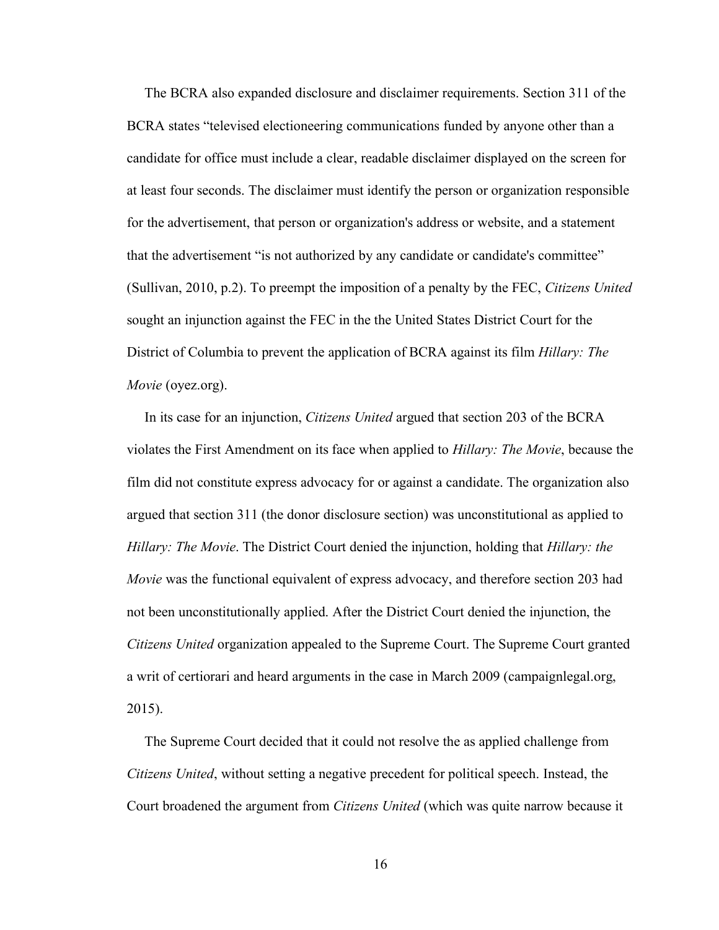The BCRA also expanded disclosure and disclaimer requirements. Section 311 of the BCRA states "televised electioneering communications funded by anyone other than a candidate for office must include a clear, readable disclaimer displayed on the screen for at least four seconds. The disclaimer must identify the person or organization responsible for the advertisement, that person or organization's address or website, and a statement that the advertisement "is not authorized by any candidate or candidate's committee" (Sullivan, 2010, p.2). To preempt the imposition of a penalty by the FEC, *Citizens United* sought an injunction against the FEC in the the United States District Court for the District of Columbia to prevent the application of BCRA against its film *Hillary: The Movie* (oyez.org).

 In its case for an injunction, *Citizens United* argued that section 203 of the BCRA violates the First Amendment on its face when applied to *Hillary: The Movie*, because the film did not constitute express advocacy for or against a candidate. The organization also argued that section 311 (the donor disclosure section) was unconstitutional as applied to *Hillary: The Movie*. The District Court denied the injunction, holding that *Hillary: the Movie* was the functional equivalent of express advocacy, and therefore section 203 had not been unconstitutionally applied. After the District Court denied the injunction, the *Citizens United* organization appealed to the Supreme Court. The Supreme Court granted a writ of certiorari and heard arguments in the case in March 2009 (campaignlegal.org, 2015).

 The Supreme Court decided that it could not resolve the as applied challenge from *Citizens United*, without setting a negative precedent for political speech. Instead, the Court broadened the argument from *Citizens United* (which was quite narrow because it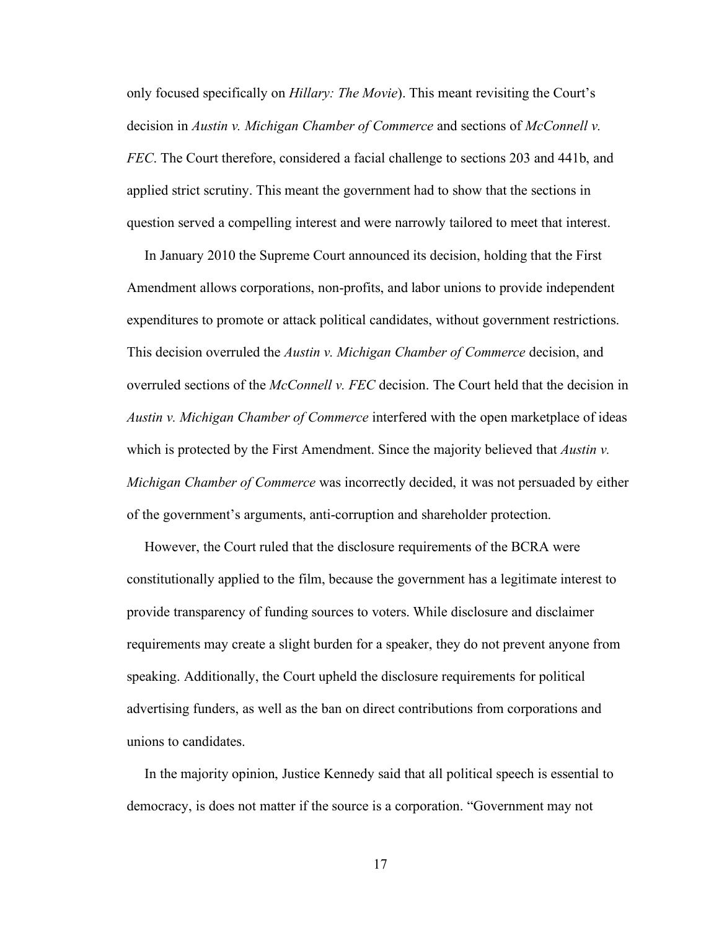only focused specifically on *Hillary: The Movie*). This meant revisiting the Court's decision in *Austin v. Michigan Chamber of Commerce* and sections of *McConnell v. FEC*. The Court therefore, considered a facial challenge to sections 203 and 441b, and applied strict scrutiny. This meant the government had to show that the sections in question served a compelling interest and were narrowly tailored to meet that interest.

 In January 2010 the Supreme Court announced its decision, holding that the First Amendment allows corporations, non-profits, and labor unions to provide independent expenditures to promote or attack political candidates, without government restrictions. This decision overruled the *Austin v. Michigan Chamber of Commerce* decision, and overruled sections of the *McConnell v. FEC* decision. The Court held that the decision in *Austin v. Michigan Chamber of Commerce* interfered with the open marketplace of ideas which is protected by the First Amendment. Since the majority believed that *Austin v. Michigan Chamber of Commerce* was incorrectly decided, it was not persuaded by either of the government's arguments, anti-corruption and shareholder protection.

 However, the Court ruled that the disclosure requirements of the BCRA were constitutionally applied to the film, because the government has a legitimate interest to provide transparency of funding sources to voters. While disclosure and disclaimer requirements may create a slight burden for a speaker, they do not prevent anyone from speaking. Additionally, the Court upheld the disclosure requirements for political advertising funders, as well as the ban on direct contributions from corporations and unions to candidates.

 In the majority opinion, Justice Kennedy said that all political speech is essential to democracy, is does not matter if the source is a corporation. "Government may not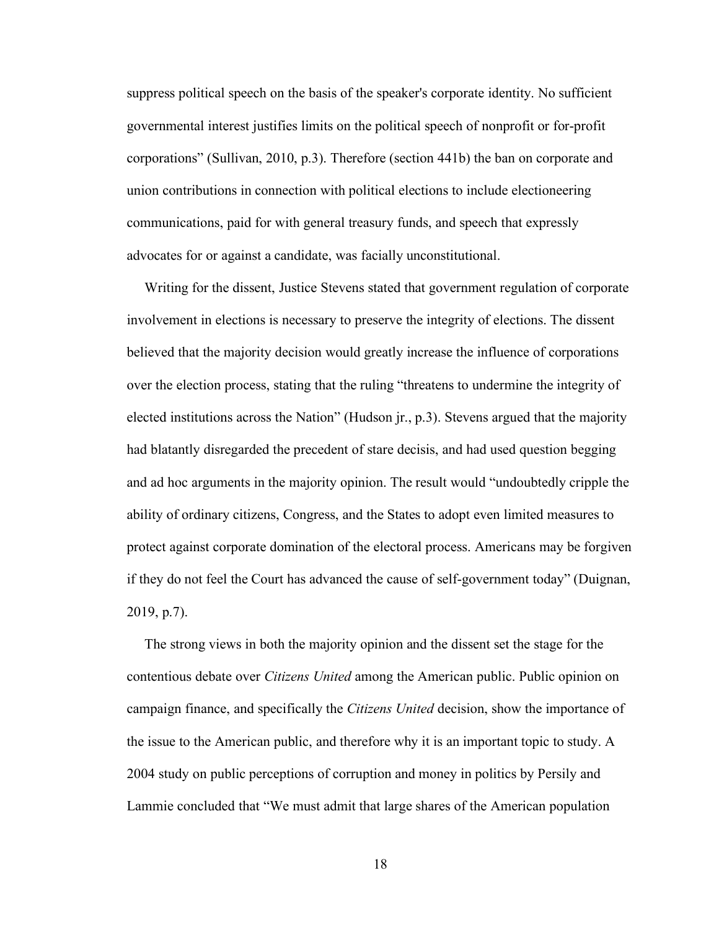suppress political speech on the basis of the speaker's corporate identity. No sufficient governmental interest justifies limits on the political speech of nonprofit or for-profit corporations" (Sullivan, 2010, p.3). Therefore (section 441b) the ban on corporate and union contributions in connection with political elections to include electioneering communications, paid for with general treasury funds, and speech that expressly advocates for or against a candidate, was facially unconstitutional.

 Writing for the dissent, Justice Stevens stated that government regulation of corporate involvement in elections is necessary to preserve the integrity of elections. The dissent believed that the majority decision would greatly increase the influence of corporations over the election process, stating that the ruling "threatens to undermine the integrity of elected institutions across the Nation" (Hudson jr., p.3). Stevens argued that the majority had blatantly disregarded the precedent of stare decisis, and had used question begging and ad hoc arguments in the majority opinion. The result would "undoubtedly cripple the ability of ordinary citizens, Congress, and the States to adopt even limited measures to protect against corporate domination of the electoral process. Americans may be forgiven if they do not feel the Court has advanced the cause of self-government today" (Duignan, 2019, p.7).

 The strong views in both the majority opinion and the dissent set the stage for the contentious debate over *Citizens United* among the American public. Public opinion on campaign finance, and specifically the *Citizens United* decision, show the importance of the issue to the American public, and therefore why it is an important topic to study. A 2004 study on public perceptions of corruption and money in politics by Persily and Lammie concluded that "We must admit that large shares of the American population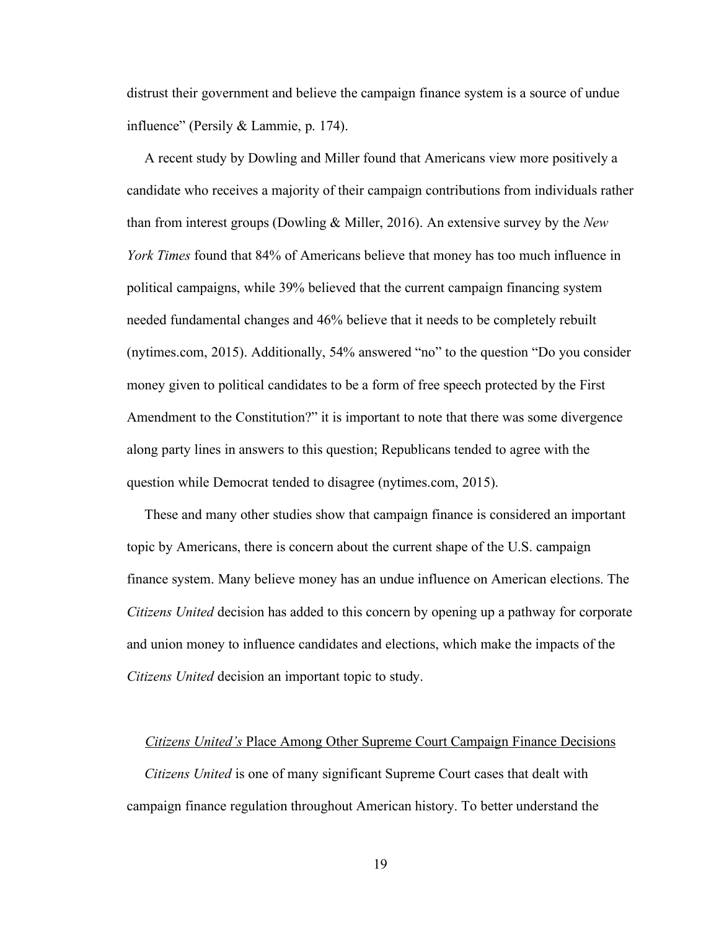distrust their government and believe the campaign finance system is a source of undue influence" (Persily & Lammie, p. 174).

 A recent study by Dowling and Miller found that Americans view more positively a candidate who receives a majority of their campaign contributions from individuals rather than from interest groups (Dowling & Miller, 2016). An extensive survey by the *New York Times* found that 84% of Americans believe that money has too much influence in political campaigns, while 39% believed that the current campaign financing system needed fundamental changes and 46% believe that it needs to be completely rebuilt (nytimes.com, 2015). Additionally, 54% answered "no" to the question "Do you consider money given to political candidates to be a form of free speech protected by the First Amendment to the Constitution?" it is important to note that there was some divergence along party lines in answers to this question; Republicans tended to agree with the question while Democrat tended to disagree (nytimes.com, 2015).

 These and many other studies show that campaign finance is considered an important topic by Americans, there is concern about the current shape of the U.S. campaign finance system. Many believe money has an undue influence on American elections. The *Citizens United* decision has added to this concern by opening up a pathway for corporate and union money to influence candidates and elections, which make the impacts of the *Citizens United* decision an important topic to study.

#### *Citizens United's* Place Among Other Supreme Court Campaign Finance Decisions

 *Citizens United* is one of many significant Supreme Court cases that dealt with campaign finance regulation throughout American history. To better understand the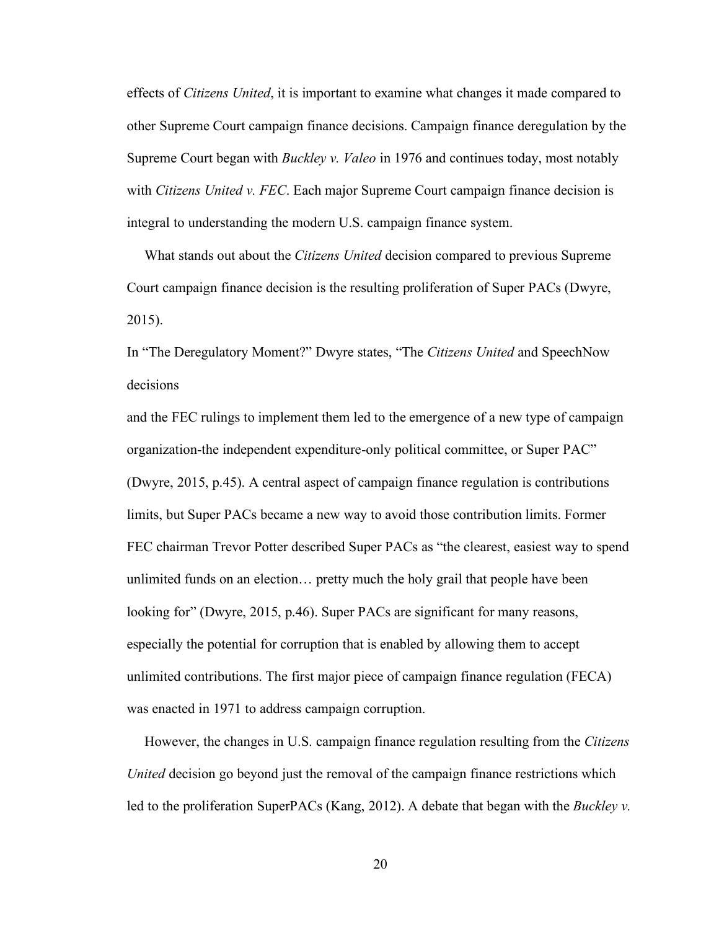effects of *Citizens United*, it is important to examine what changes it made compared to other Supreme Court campaign finance decisions. Campaign finance deregulation by the Supreme Court began with *Buckley v. Valeo* in 1976 and continues today, most notably with *Citizens United v. FEC*. Each major Supreme Court campaign finance decision is integral to understanding the modern U.S. campaign finance system.

 What stands out about the *Citizens United* decision compared to previous Supreme Court campaign finance decision is the resulting proliferation of Super PACs (Dwyre, 2015).

In "The Deregulatory Moment?" Dwyre states, "The *Citizens United* and SpeechNow decisions

and the FEC rulings to implement them led to the emergence of a new type of campaign organization-the independent expenditure-only political committee, or Super PAC" (Dwyre, 2015, p.45). A central aspect of campaign finance regulation is contributions limits, but Super PACs became a new way to avoid those contribution limits. Former FEC chairman Trevor Potter described Super PACs as "the clearest, easiest way to spend unlimited funds on an election… pretty much the holy grail that people have been looking for" (Dwyre, 2015, p.46). Super PACs are significant for many reasons, especially the potential for corruption that is enabled by allowing them to accept unlimited contributions. The first major piece of campaign finance regulation (FECA) was enacted in 1971 to address campaign corruption.

 However, the changes in U.S. campaign finance regulation resulting from the *Citizens United* decision go beyond just the removal of the campaign finance restrictions which led to the proliferation SuperPACs (Kang, 2012). A debate that began with the *Buckley v.*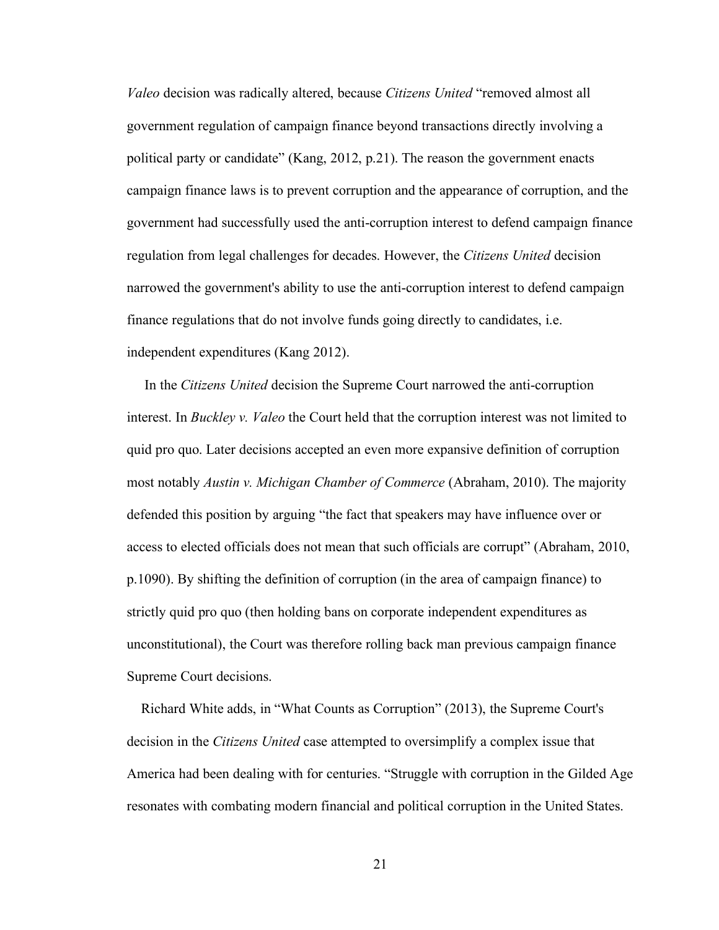*Valeo* decision was radically altered, because *Citizens United* "removed almost all government regulation of campaign finance beyond transactions directly involving a political party or candidate" (Kang, 2012, p.21). The reason the government enacts campaign finance laws is to prevent corruption and the appearance of corruption, and the government had successfully used the anti-corruption interest to defend campaign finance regulation from legal challenges for decades. However, the *Citizens United* decision narrowed the government's ability to use the anti-corruption interest to defend campaign finance regulations that do not involve funds going directly to candidates, i.e. independent expenditures (Kang 2012).

 In the *Citizens United* decision the Supreme Court narrowed the anti-corruption interest. In *Buckley v. Valeo* the Court held that the corruption interest was not limited to quid pro quo. Later decisions accepted an even more expansive definition of corruption most notably *Austin v. Michigan Chamber of Commerce* (Abraham, 2010). The majority defended this position by arguing "the fact that speakers may have influence over or access to elected officials does not mean that such officials are corrupt" (Abraham, 2010, p.1090). By shifting the definition of corruption (in the area of campaign finance) to strictly quid pro quo (then holding bans on corporate independent expenditures as unconstitutional), the Court was therefore rolling back man previous campaign finance Supreme Court decisions.

 Richard White adds, in "What Counts as Corruption" (2013), the Supreme Court's decision in the *Citizens United* case attempted to oversimplify a complex issue that America had been dealing with for centuries. "Struggle with corruption in the Gilded Age resonates with combating modern financial and political corruption in the United States.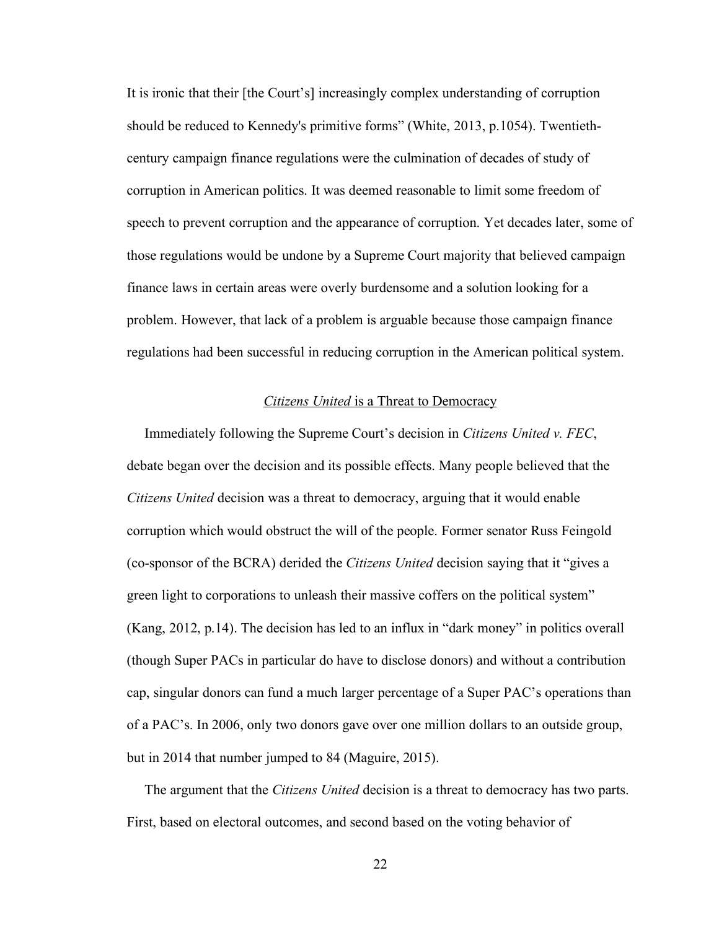It is ironic that their [the Court's] increasingly complex understanding of corruption should be reduced to Kennedy's primitive forms" (White, 2013, p.1054). Twentiethcentury campaign finance regulations were the culmination of decades of study of corruption in American politics. It was deemed reasonable to limit some freedom of speech to prevent corruption and the appearance of corruption. Yet decades later, some of those regulations would be undone by a Supreme Court majority that believed campaign finance laws in certain areas were overly burdensome and a solution looking for a problem. However, that lack of a problem is arguable because those campaign finance regulations had been successful in reducing corruption in the American political system.

### *Citizens United* is a Threat to Democracy

 Immediately following the Supreme Court's decision in *Citizens United v. FEC*, debate began over the decision and its possible effects. Many people believed that the *Citizens United* decision was a threat to democracy, arguing that it would enable corruption which would obstruct the will of the people. Former senator Russ Feingold (co-sponsor of the BCRA) derided the *Citizens United* decision saying that it "gives a green light to corporations to unleash their massive coffers on the political system" (Kang, 2012, p.14). The decision has led to an influx in "dark money" in politics overall (though Super PACs in particular do have to disclose donors) and without a contribution cap, singular donors can fund a much larger percentage of a Super PAC's operations than of a PAC's. In 2006, only two donors gave over one million dollars to an outside group, but in 2014 that number jumped to 84 (Maguire, 2015).

 The argument that the *Citizens United* decision is a threat to democracy has two parts. First, based on electoral outcomes, and second based on the voting behavior of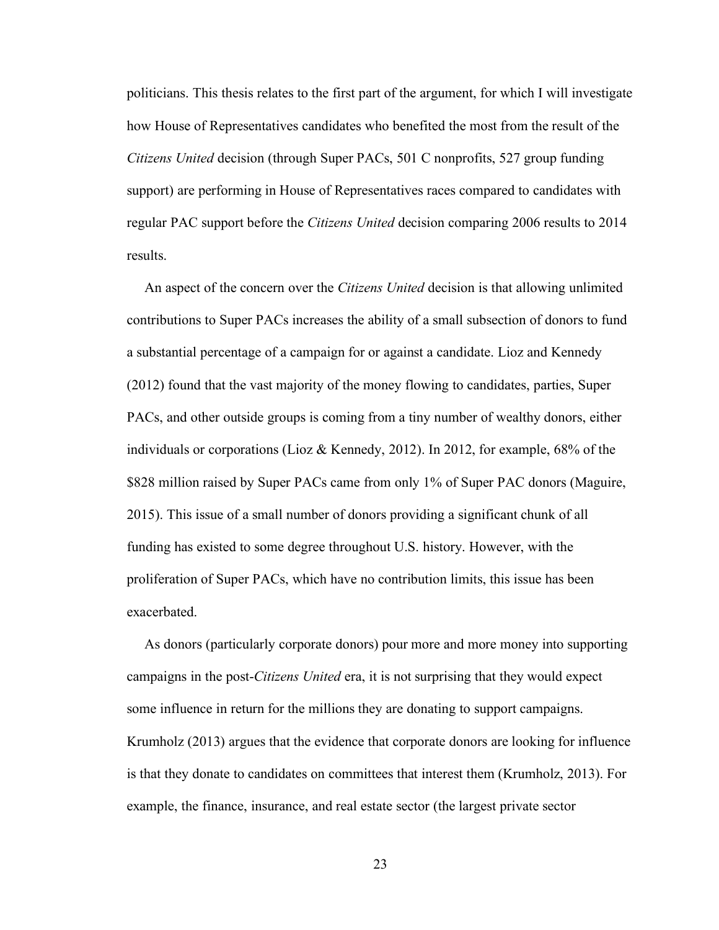politicians. This thesis relates to the first part of the argument, for which I will investigate how House of Representatives candidates who benefited the most from the result of the *Citizens United* decision (through Super PACs, 501 C nonprofits, 527 group funding support) are performing in House of Representatives races compared to candidates with regular PAC support before the *Citizens United* decision comparing 2006 results to 2014 results.

 An aspect of the concern over the *Citizens United* decision is that allowing unlimited contributions to Super PACs increases the ability of a small subsection of donors to fund a substantial percentage of a campaign for or against a candidate. Lioz and Kennedy (2012) found that the vast majority of the money flowing to candidates, parties, Super PACs, and other outside groups is coming from a tiny number of wealthy donors, either individuals or corporations (Lioz & Kennedy, 2012). In 2012, for example, 68% of the \$828 million raised by Super PACs came from only 1% of Super PAC donors (Maguire, 2015). This issue of a small number of donors providing a significant chunk of all funding has existed to some degree throughout U.S. history. However, with the proliferation of Super PACs, which have no contribution limits, this issue has been exacerbated.

 As donors (particularly corporate donors) pour more and more money into supporting campaigns in the post-*Citizens United* era, it is not surprising that they would expect some influence in return for the millions they are donating to support campaigns. Krumholz (2013) argues that the evidence that corporate donors are looking for influence is that they donate to candidates on committees that interest them (Krumholz, 2013). For example, the finance, insurance, and real estate sector (the largest private sector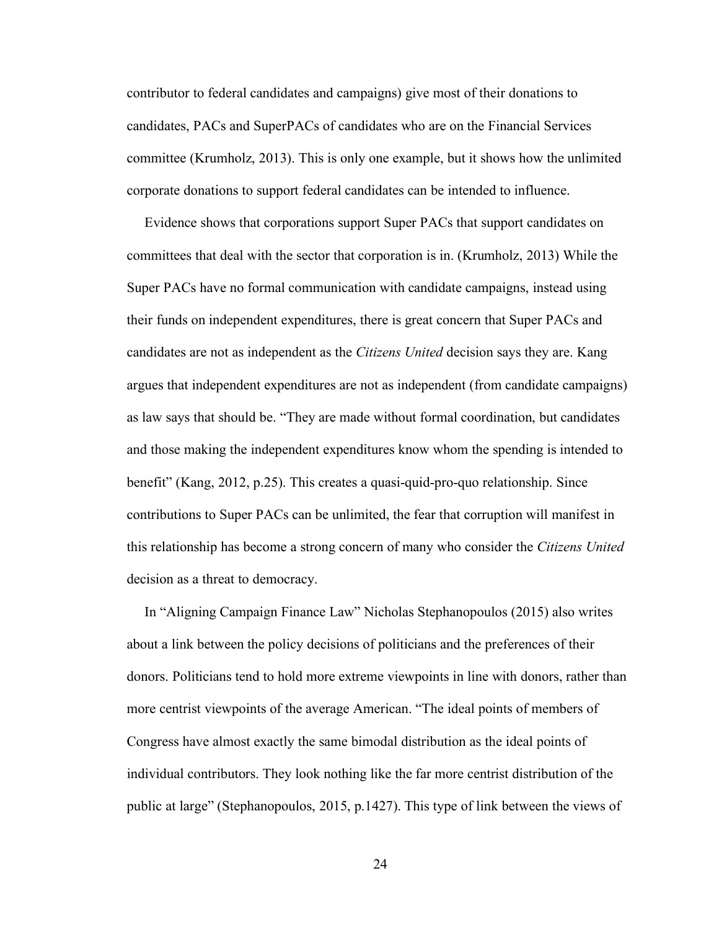contributor to federal candidates and campaigns) give most of their donations to candidates, PACs and SuperPACs of candidates who are on the Financial Services committee (Krumholz, 2013). This is only one example, but it shows how the unlimited corporate donations to support federal candidates can be intended to influence.

 Evidence shows that corporations support Super PACs that support candidates on committees that deal with the sector that corporation is in. (Krumholz, 2013) While the Super PACs have no formal communication with candidate campaigns, instead using their funds on independent expenditures, there is great concern that Super PACs and candidates are not as independent as the *Citizens United* decision says they are. Kang argues that independent expenditures are not as independent (from candidate campaigns) as law says that should be. "They are made without formal coordination, but candidates and those making the independent expenditures know whom the spending is intended to benefit" (Kang, 2012, p.25). This creates a quasi-quid-pro-quo relationship. Since contributions to Super PACs can be unlimited, the fear that corruption will manifest in this relationship has become a strong concern of many who consider the *Citizens United* decision as a threat to democracy.

 In "Aligning Campaign Finance Law" Nicholas Stephanopoulos (2015) also writes about a link between the policy decisions of politicians and the preferences of their donors. Politicians tend to hold more extreme viewpoints in line with donors, rather than more centrist viewpoints of the average American. "The ideal points of members of Congress have almost exactly the same bimodal distribution as the ideal points of individual contributors. They look nothing like the far more centrist distribution of the public at large" (Stephanopoulos, 2015, p.1427). This type of link between the views of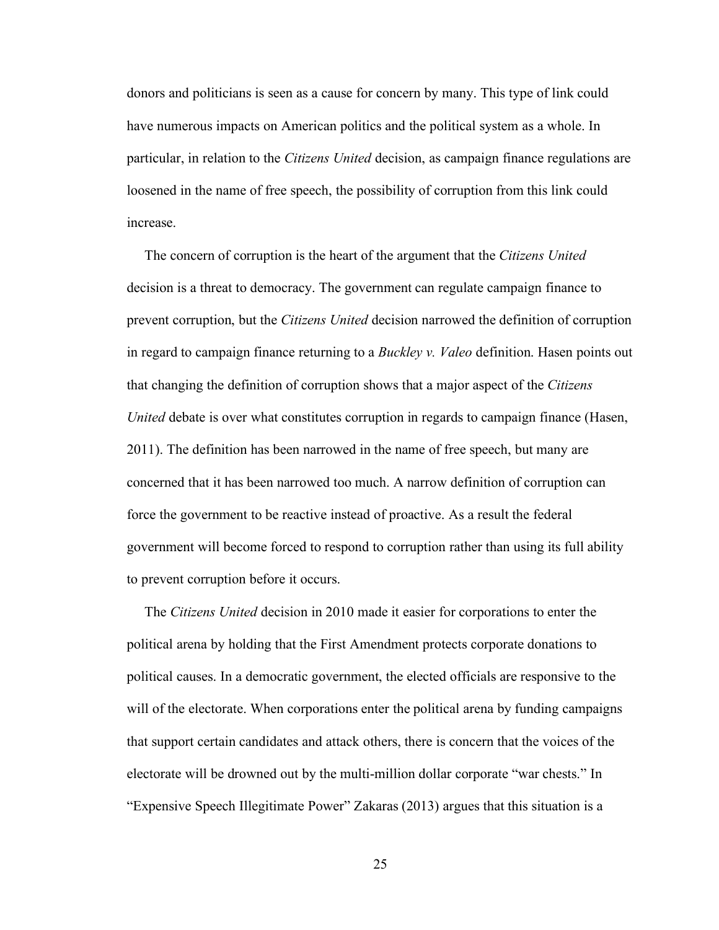donors and politicians is seen as a cause for concern by many. This type of link could have numerous impacts on American politics and the political system as a whole. In particular, in relation to the *Citizens United* decision, as campaign finance regulations are loosened in the name of free speech, the possibility of corruption from this link could increase.

 The concern of corruption is the heart of the argument that the *Citizens United* decision is a threat to democracy. The government can regulate campaign finance to prevent corruption, but the *Citizens United* decision narrowed the definition of corruption in regard to campaign finance returning to a *Buckley v. Valeo* definition. Hasen points out that changing the definition of corruption shows that a major aspect of the *Citizens United* debate is over what constitutes corruption in regards to campaign finance (Hasen, 2011). The definition has been narrowed in the name of free speech, but many are concerned that it has been narrowed too much. A narrow definition of corruption can force the government to be reactive instead of proactive. As a result the federal government will become forced to respond to corruption rather than using its full ability to prevent corruption before it occurs.

 The *Citizens United* decision in 2010 made it easier for corporations to enter the political arena by holding that the First Amendment protects corporate donations to political causes. In a democratic government, the elected officials are responsive to the will of the electorate. When corporations enter the political arena by funding campaigns that support certain candidates and attack others, there is concern that the voices of the electorate will be drowned out by the multi-million dollar corporate "war chests." In "Expensive Speech Illegitimate Power" Zakaras (2013) argues that this situation is a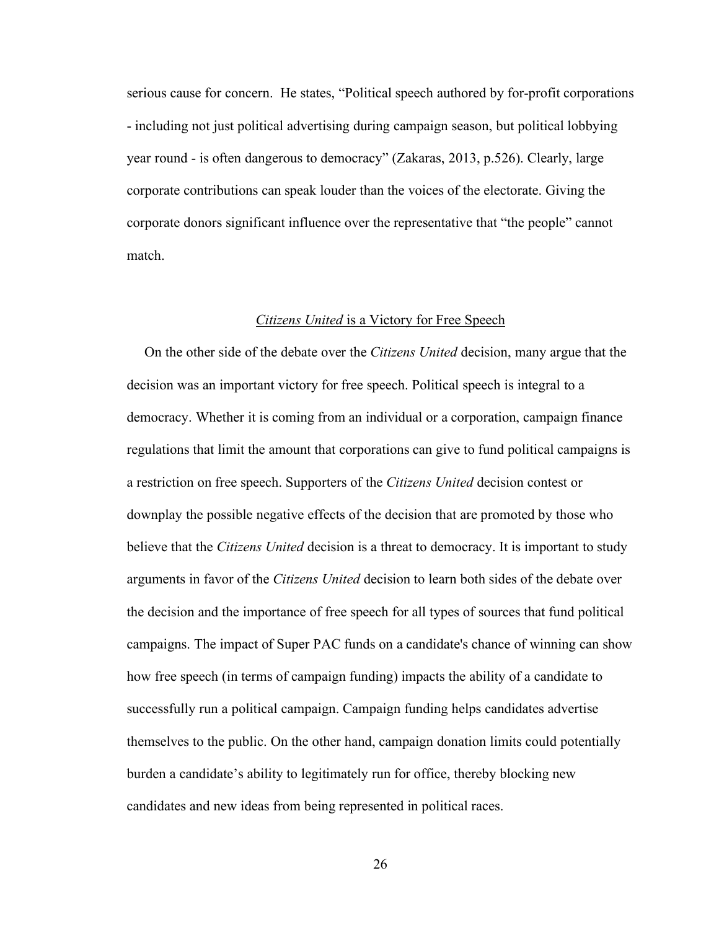serious cause for concern. He states, "Political speech authored by for-profit corporations - including not just political advertising during campaign season, but political lobbying year round - is often dangerous to democracy" (Zakaras, 2013, p.526). Clearly, large corporate contributions can speak louder than the voices of the electorate. Giving the corporate donors significant influence over the representative that "the people" cannot match.

#### *Citizens United* is a Victory for Free Speech

 On the other side of the debate over the *Citizens United* decision, many argue that the decision was an important victory for free speech. Political speech is integral to a democracy. Whether it is coming from an individual or a corporation, campaign finance regulations that limit the amount that corporations can give to fund political campaigns is a restriction on free speech. Supporters of the *Citizens United* decision contest or downplay the possible negative effects of the decision that are promoted by those who believe that the *Citizens United* decision is a threat to democracy. It is important to study arguments in favor of the *Citizens United* decision to learn both sides of the debate over the decision and the importance of free speech for all types of sources that fund political campaigns. The impact of Super PAC funds on a candidate's chance of winning can show how free speech (in terms of campaign funding) impacts the ability of a candidate to successfully run a political campaign. Campaign funding helps candidates advertise themselves to the public. On the other hand, campaign donation limits could potentially burden a candidate's ability to legitimately run for office, thereby blocking new candidates and new ideas from being represented in political races.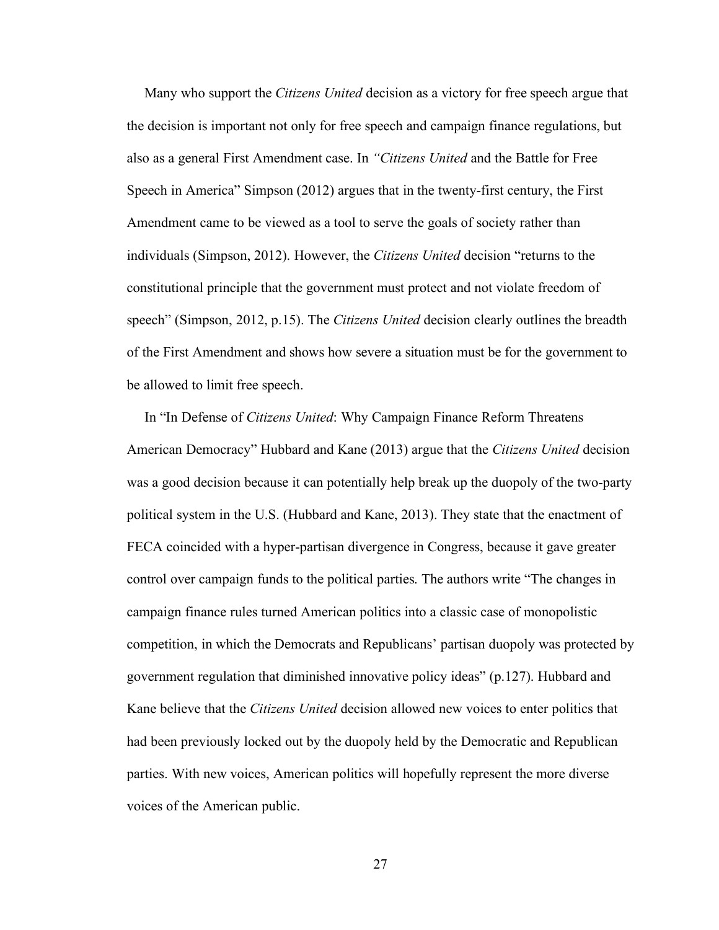Many who support the *Citizens United* decision as a victory for free speech argue that the decision is important not only for free speech and campaign finance regulations, but also as a general First Amendment case. In *"Citizens United* and the Battle for Free Speech in America" Simpson (2012) argues that in the twenty-first century, the First Amendment came to be viewed as a tool to serve the goals of society rather than individuals (Simpson, 2012). However, the *Citizens United* decision "returns to the constitutional principle that the government must protect and not violate freedom of speech" (Simpson, 2012, p.15). The *Citizens United* decision clearly outlines the breadth of the First Amendment and shows how severe a situation must be for the government to be allowed to limit free speech.

 In "In Defense of *Citizens United*: Why Campaign Finance Reform Threatens American Democracy" Hubbard and Kane (2013) argue that the *Citizens United* decision was a good decision because it can potentially help break up the duopoly of the two-party political system in the U.S. (Hubbard and Kane, 2013). They state that the enactment of FECA coincided with a hyper-partisan divergence in Congress, because it gave greater control over campaign funds to the political parties. The authors write "The changes in campaign finance rules turned American politics into a classic case of monopolistic competition, in which the Democrats and Republicans' partisan duopoly was protected by government regulation that diminished innovative policy ideas" (p.127). Hubbard and Kane believe that the *Citizens United* decision allowed new voices to enter politics that had been previously locked out by the duopoly held by the Democratic and Republican parties. With new voices, American politics will hopefully represent the more diverse voices of the American public.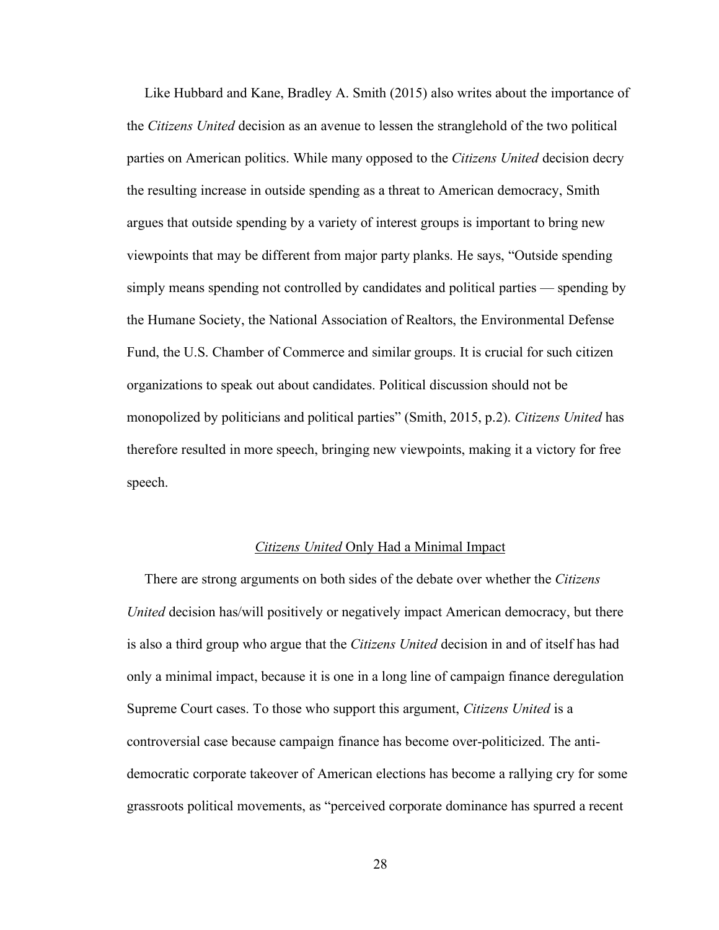Like Hubbard and Kane, Bradley A. Smith (2015) also writes about the importance of the *Citizens United* decision as an avenue to lessen the stranglehold of the two political parties on American politics. While many opposed to the *Citizens United* decision decry the resulting increase in outside spending as a threat to American democracy, Smith argues that outside spending by a variety of interest groups is important to bring new viewpoints that may be different from major party planks. He says, "Outside spending simply means spending not controlled by candidates and political parties — spending by the Humane Society, the National Association of Realtors, the Environmental Defense Fund, the U.S. Chamber of Commerce and similar groups. It is crucial for such citizen organizations to speak out about candidates. Political discussion should not be monopolized by politicians and political parties" (Smith, 2015, p.2). *Citizens United* has therefore resulted in more speech, bringing new viewpoints, making it a victory for free speech.

#### *Citizens United* Only Had a Minimal Impact

 There are strong arguments on both sides of the debate over whether the *Citizens United* decision has/will positively or negatively impact American democracy, but there is also a third group who argue that the *Citizens United* decision in and of itself has had only a minimal impact, because it is one in a long line of campaign finance deregulation Supreme Court cases. To those who support this argument, *Citizens United* is a controversial case because campaign finance has become over-politicized. The antidemocratic corporate takeover of American elections has become a rallying cry for some grassroots political movements, as "perceived corporate dominance has spurred a recent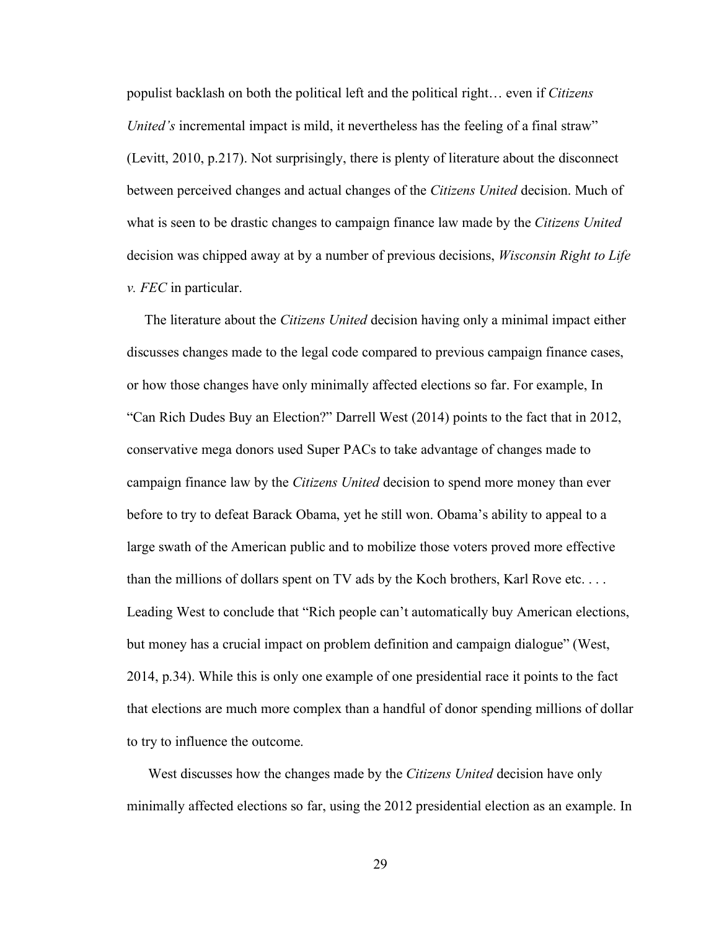populist backlash on both the political left and the political right… even if *Citizens United's* incremental impact is mild, it nevertheless has the feeling of a final straw" (Levitt, 2010, p.217). Not surprisingly, there is plenty of literature about the disconnect between perceived changes and actual changes of the *Citizens United* decision. Much of what is seen to be drastic changes to campaign finance law made by the *Citizens United* decision was chipped away at by a number of previous decisions, *Wisconsin Right to Life v. FEC* in particular.

 The literature about the *Citizens United* decision having only a minimal impact either discusses changes made to the legal code compared to previous campaign finance cases, or how those changes have only minimally affected elections so far. For example, In "Can Rich Dudes Buy an Election?" Darrell West (2014) points to the fact that in 2012, conservative mega donors used Super PACs to take advantage of changes made to campaign finance law by the *Citizens United* decision to spend more money than ever before to try to defeat Barack Obama, yet he still won. Obama's ability to appeal to a large swath of the American public and to mobilize those voters proved more effective than the millions of dollars spent on TV ads by the Koch brothers, Karl Rove etc. . . . Leading West to conclude that "Rich people can't automatically buy American elections, but money has a crucial impact on problem definition and campaign dialogue" (West, 2014, p.34). While this is only one example of one presidential race it points to the fact that elections are much more complex than a handful of donor spending millions of dollar to try to influence the outcome.

 West discusses how the changes made by the *Citizens United* decision have only minimally affected elections so far, using the 2012 presidential election as an example. In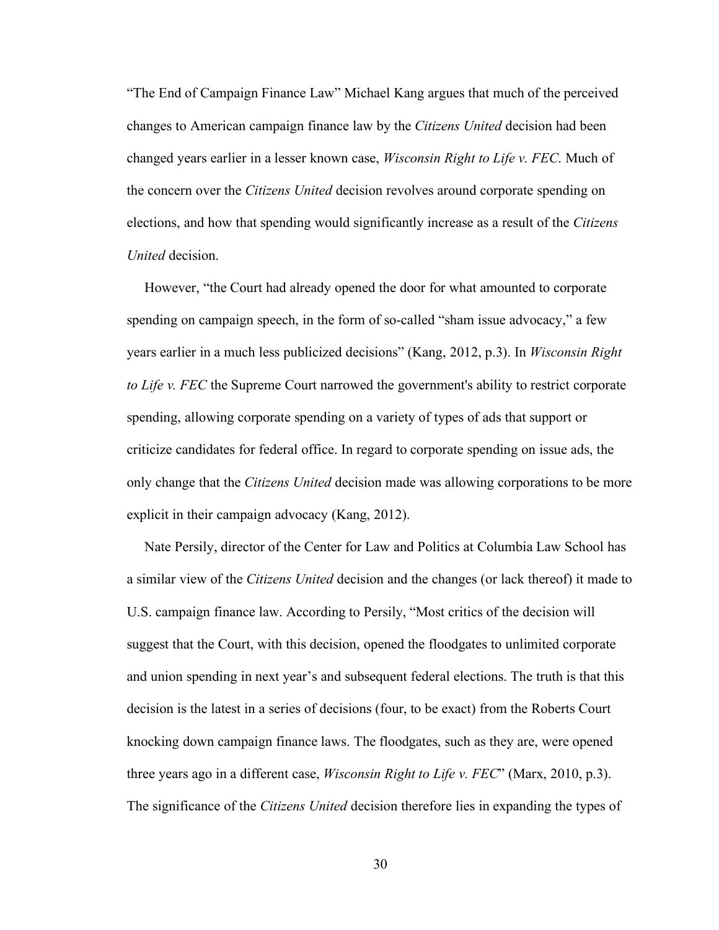"The End of Campaign Finance Law" Michael Kang argues that much of the perceived changes to American campaign finance law by the *Citizens United* decision had been changed years earlier in a lesser known case, *Wisconsin Right to Life v. FEC*. Much of the concern over the *Citizens United* decision revolves around corporate spending on elections, and how that spending would significantly increase as a result of the *Citizens United* decision.

 However, "the Court had already opened the door for what amounted to corporate spending on campaign speech, in the form of so-called "sham issue advocacy," a few years earlier in a much less publicized decisions" (Kang, 2012, p.3). In *Wisconsin Right to Life v. FEC* the Supreme Court narrowed the government's ability to restrict corporate spending, allowing corporate spending on a variety of types of ads that support or criticize candidates for federal office. In regard to corporate spending on issue ads, the only change that the *Citizens United* decision made was allowing corporations to be more explicit in their campaign advocacy (Kang, 2012).

 Nate Persily, director of the Center for Law and Politics at Columbia Law School has a similar view of the *Citizens United* decision and the changes (or lack thereof) it made to U.S. campaign finance law. According to Persily, "Most critics of the decision will suggest that the Court, with this decision, opened the floodgates to unlimited corporate and union spending in next year's and subsequent federal elections. The truth is that this decision is the latest in a series of decisions (four, to be exact) from the Roberts Court knocking down campaign finance laws. The floodgates, such as they are, were opened three years ago in a different case, *Wisconsin Right to Life v. FEC*" (Marx, 2010, p.3). The significance of the *Citizens United* decision therefore lies in expanding the types of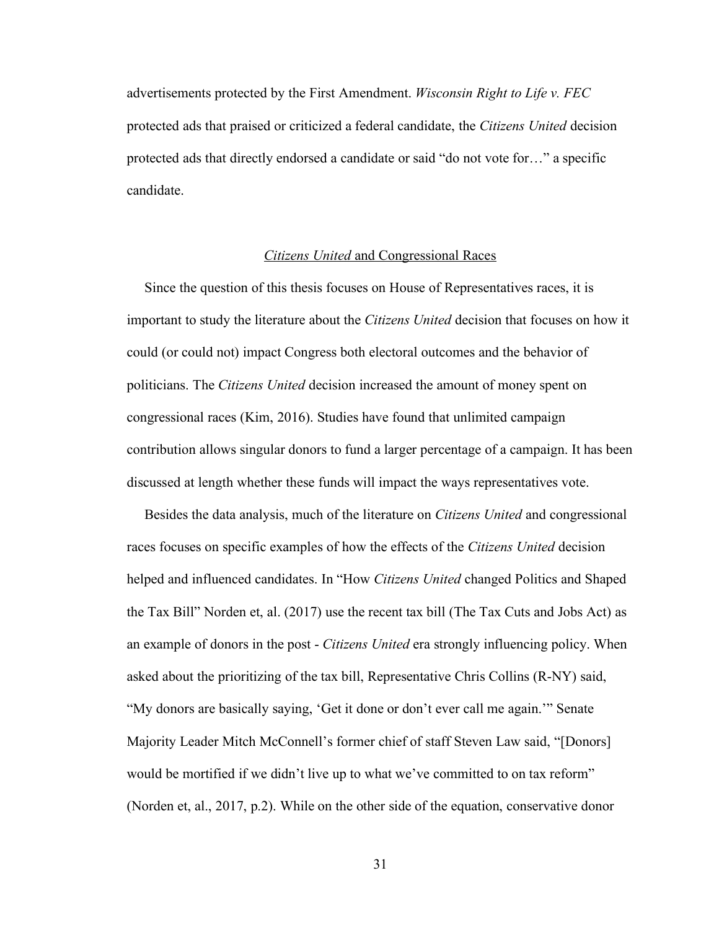advertisements protected by the First Amendment. *Wisconsin Right to Life v. FEC*  protected ads that praised or criticized a federal candidate, the *Citizens United* decision protected ads that directly endorsed a candidate or said "do not vote for…" a specific candidate.

### *Citizens United* and Congressional Races

 Since the question of this thesis focuses on House of Representatives races, it is important to study the literature about the *Citizens United* decision that focuses on how it could (or could not) impact Congress both electoral outcomes and the behavior of politicians. The *Citizens United* decision increased the amount of money spent on congressional races (Kim, 2016). Studies have found that unlimited campaign contribution allows singular donors to fund a larger percentage of a campaign. It has been discussed at length whether these funds will impact the ways representatives vote.

 Besides the data analysis, much of the literature on *Citizens United* and congressional races focuses on specific examples of how the effects of the *Citizens United* decision helped and influenced candidates. In "How *Citizens United* changed Politics and Shaped the Tax Bill" Norden et, al. (2017) use the recent tax bill (The Tax Cuts and Jobs Act) as an example of donors in the post - *Citizens United* era strongly influencing policy. When asked about the prioritizing of the tax bill, Representative Chris Collins (R-NY) said, "My donors are basically saying, 'Get it done or don't ever call me again.'" Senate Majority Leader Mitch McConnell's former chief of staff Steven Law said, "[Donors] would be mortified if we didn't live up to what we've committed to on tax reform" (Norden et, al., 2017, p.2). While on the other side of the equation, conservative donor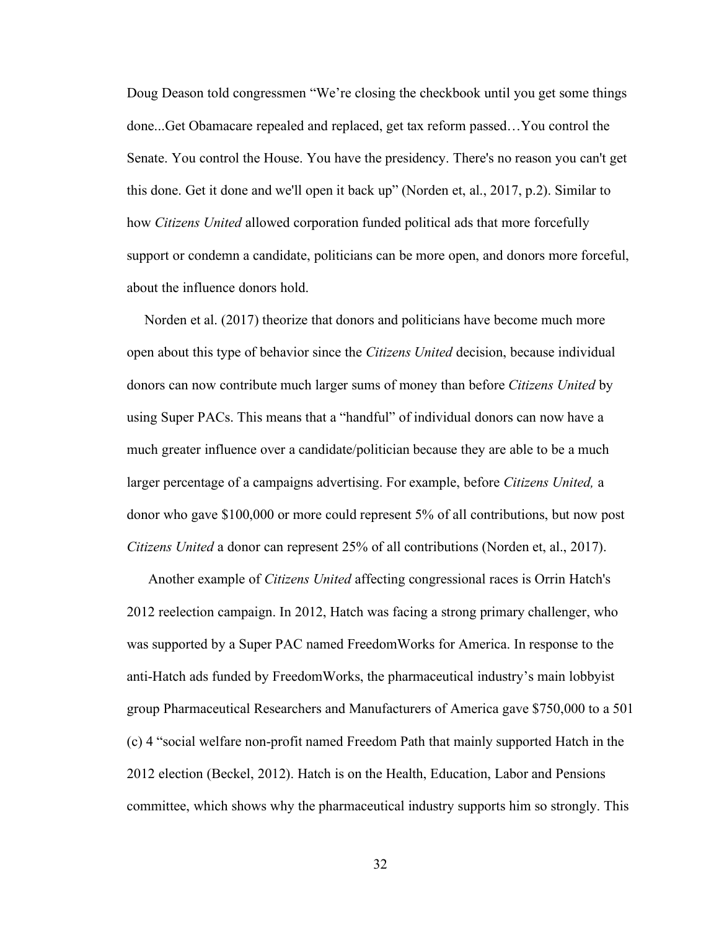Doug Deason told congressmen "We're closing the checkbook until you get some things done...Get Obamacare repealed and replaced, get tax reform passed…You control the Senate. You control the House. You have the presidency. There's no reason you can't get this done. Get it done and we'll open it back up" (Norden et, al., 2017, p.2). Similar to how *Citizens United* allowed corporation funded political ads that more forcefully support or condemn a candidate, politicians can be more open, and donors more forceful, about the influence donors hold.

 Norden et al. (2017) theorize that donors and politicians have become much more open about this type of behavior since the *Citizens United* decision, because individual donors can now contribute much larger sums of money than before *Citizens United* by using Super PACs. This means that a "handful" of individual donors can now have a much greater influence over a candidate/politician because they are able to be a much larger percentage of a campaigns advertising. For example, before *Citizens United,* a donor who gave \$100,000 or more could represent 5% of all contributions, but now post *Citizens United* a donor can represent 25% of all contributions (Norden et, al., 2017).

 Another example of *Citizens United* affecting congressional races is Orrin Hatch's 2012 reelection campaign. In 2012, Hatch was facing a strong primary challenger, who was supported by a Super PAC named FreedomWorks for America. In response to the anti-Hatch ads funded by FreedomWorks, the pharmaceutical industry's main lobbyist group Pharmaceutical Researchers and Manufacturers of America gave \$750,000 to a 501 (c) 4 "social welfare non-profit named Freedom Path that mainly supported Hatch in the 2012 election (Beckel, 2012). Hatch is on the Health, Education, Labor and Pensions committee, which shows why the pharmaceutical industry supports him so strongly. This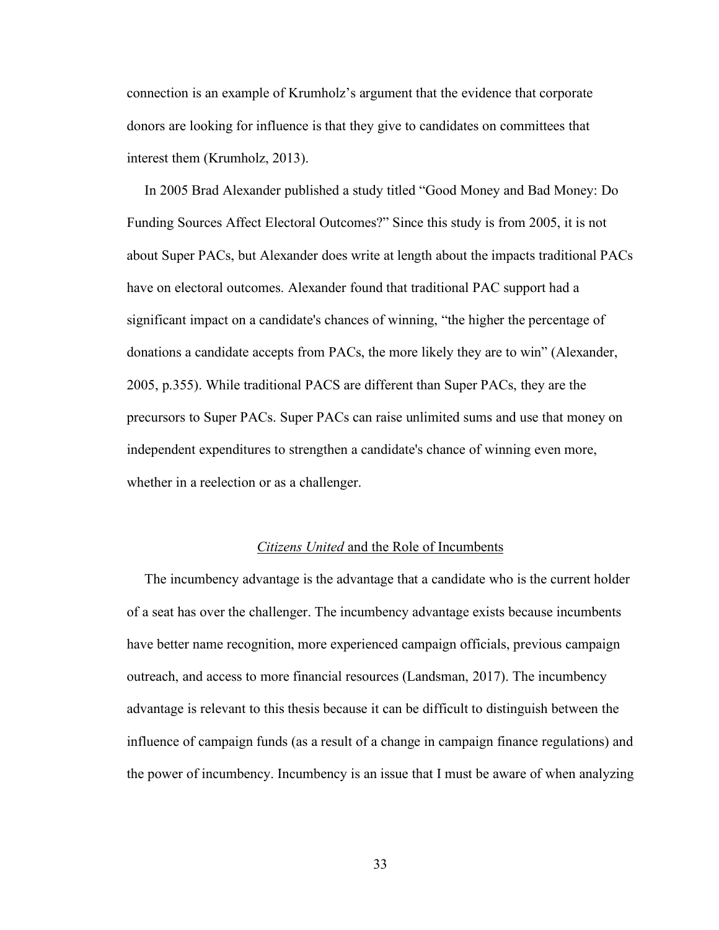connection is an example of Krumholz's argument that the evidence that corporate donors are looking for influence is that they give to candidates on committees that interest them (Krumholz, 2013).

 In 2005 Brad Alexander published a study titled "Good Money and Bad Money: Do Funding Sources Affect Electoral Outcomes?" Since this study is from 2005, it is not about Super PACs, but Alexander does write at length about the impacts traditional PACs have on electoral outcomes. Alexander found that traditional PAC support had a significant impact on a candidate's chances of winning, "the higher the percentage of donations a candidate accepts from PACs, the more likely they are to win" (Alexander, 2005, p.355). While traditional PACS are different than Super PACs, they are the precursors to Super PACs. Super PACs can raise unlimited sums and use that money on independent expenditures to strengthen a candidate's chance of winning even more, whether in a reelection or as a challenger.

#### *Citizens United* and the Role of Incumbents

 The incumbency advantage is the advantage that a candidate who is the current holder of a seat has over the challenger. The incumbency advantage exists because incumbents have better name recognition, more experienced campaign officials, previous campaign outreach, and access to more financial resources (Landsman, 2017). The incumbency advantage is relevant to this thesis because it can be difficult to distinguish between the influence of campaign funds (as a result of a change in campaign finance regulations) and the power of incumbency. Incumbency is an issue that I must be aware of when analyzing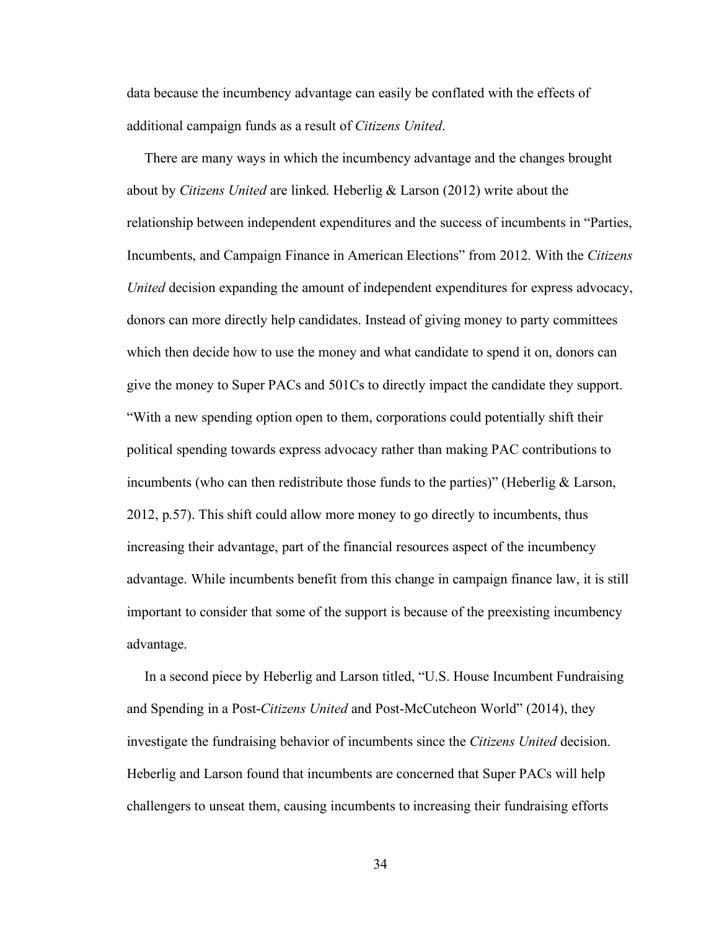data because the incumbency advantage can easily be conflated with the effects of additional campaign funds as a result of *Citizens United*.

 There are many ways in which the incumbency advantage and the changes brought about by *Citizens United* are linked. Heberlig & Larson (2012) write about the relationship between independent expenditures and the success of incumbents in "Parties, Incumbents, and Campaign Finance in American Elections" from 2012. With the *Citizens United* decision expanding the amount of independent expenditures for express advocacy, donors can more directly help candidates. Instead of giving money to party committees which then decide how to use the money and what candidate to spend it on, donors can give the money to Super PACs and 501Cs to directly impact the candidate they support. "With a new spending option open to them, corporations could potentially shift their political spending towards express advocacy rather than making PAC contributions to incumbents (who can then redistribute those funds to the parties)" (Heberlig  $\&$  Larson, 2012, p.57). This shift could allow more money to go directly to incumbents, thus increasing their advantage, part of the financial resources aspect of the incumbency advantage. While incumbents benefit from this change in campaign finance law, it is still important to consider that some of the support is because of the preexisting incumbency advantage.

 In a second piece by Heberlig and Larson titled, "U.S. House Incumbent Fundraising and Spending in a Post-*Citizens United* and Post-McCutcheon World" (2014), they investigate the fundraising behavior of incumbents since the *Citizens United* decision. Heberlig and Larson found that incumbents are concerned that Super PACs will help challengers to unseat them, causing incumbents to increasing their fundraising efforts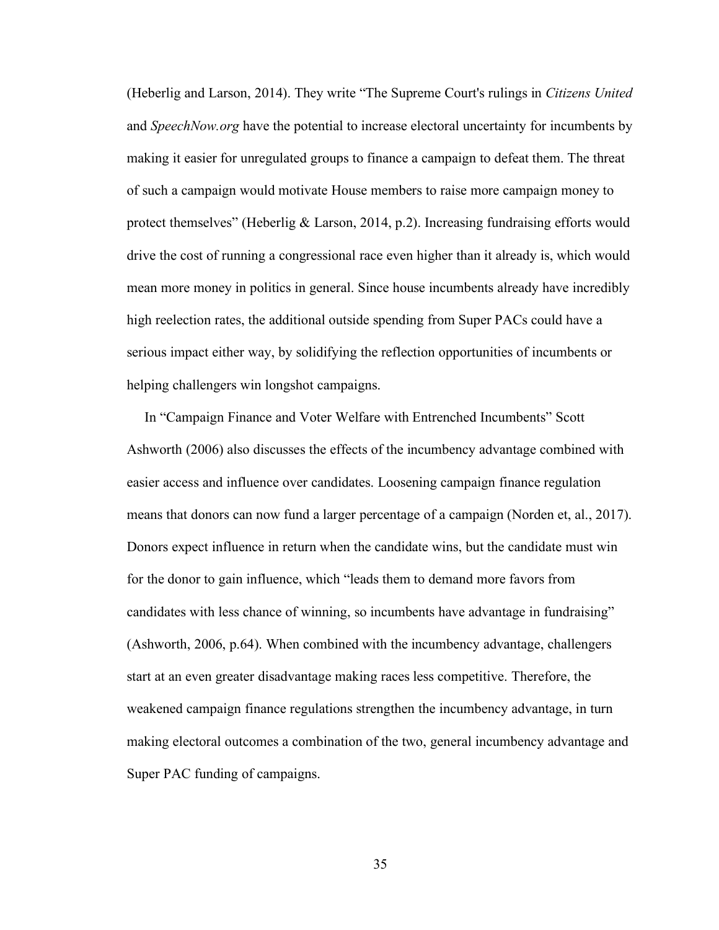(Heberlig and Larson, 2014). They write "The Supreme Court's rulings in *Citizens United* and *SpeechNow.org* have the potential to increase electoral uncertainty for incumbents by making it easier for unregulated groups to finance a campaign to defeat them. The threat of such a campaign would motivate House members to raise more campaign money to protect themselves" (Heberlig  $\&$  Larson, 2014, p.2). Increasing fundraising efforts would drive the cost of running a congressional race even higher than it already is, which would mean more money in politics in general. Since house incumbents already have incredibly high reelection rates, the additional outside spending from Super PACs could have a serious impact either way, by solidifying the reflection opportunities of incumbents or helping challengers win longshot campaigns.

 In "Campaign Finance and Voter Welfare with Entrenched Incumbents" Scott Ashworth (2006) also discusses the effects of the incumbency advantage combined with easier access and influence over candidates. Loosening campaign finance regulation means that donors can now fund a larger percentage of a campaign (Norden et, al., 2017). Donors expect influence in return when the candidate wins, but the candidate must win for the donor to gain influence, which "leads them to demand more favors from candidates with less chance of winning, so incumbents have advantage in fundraising" (Ashworth, 2006, p.64). When combined with the incumbency advantage, challengers start at an even greater disadvantage making races less competitive. Therefore, the weakened campaign finance regulations strengthen the incumbency advantage, in turn making electoral outcomes a combination of the two, general incumbency advantage and Super PAC funding of campaigns.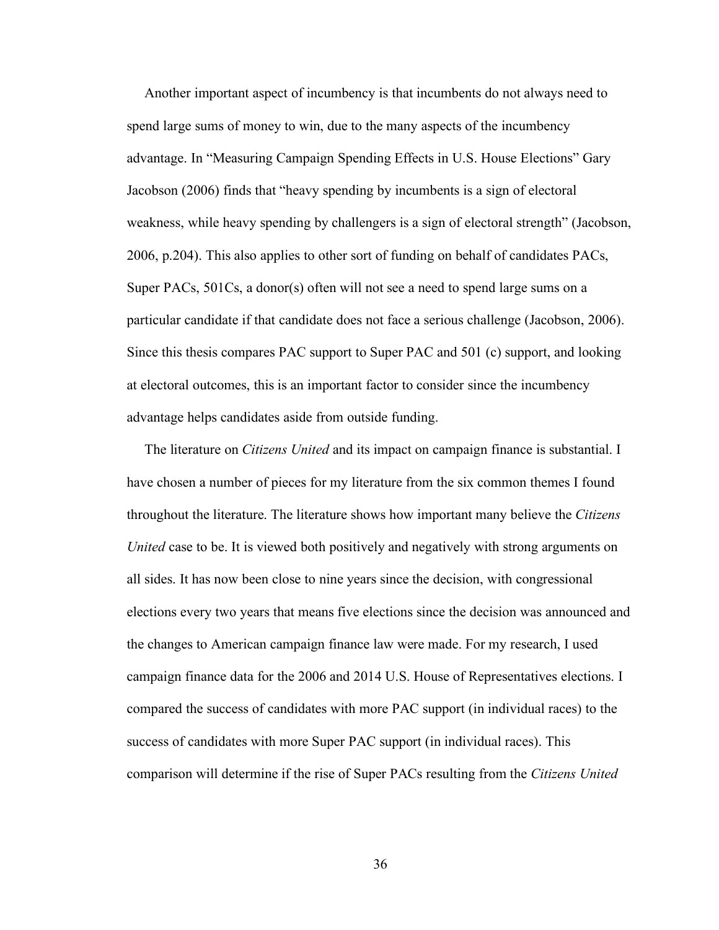Another important aspect of incumbency is that incumbents do not always need to spend large sums of money to win, due to the many aspects of the incumbency advantage. In "Measuring Campaign Spending Effects in U.S. House Elections" Gary Jacobson (2006) finds that "heavy spending by incumbents is a sign of electoral weakness, while heavy spending by challengers is a sign of electoral strength" (Jacobson, 2006, p.204). This also applies to other sort of funding on behalf of candidates PACs, Super PACs, 501Cs, a donor(s) often will not see a need to spend large sums on a particular candidate if that candidate does not face a serious challenge (Jacobson, 2006). Since this thesis compares PAC support to Super PAC and 501 (c) support, and looking at electoral outcomes, this is an important factor to consider since the incumbency advantage helps candidates aside from outside funding.

 The literature on *Citizens United* and its impact on campaign finance is substantial. I have chosen a number of pieces for my literature from the six common themes I found throughout the literature. The literature shows how important many believe the *Citizens United* case to be. It is viewed both positively and negatively with strong arguments on all sides. It has now been close to nine years since the decision, with congressional elections every two years that means five elections since the decision was announced and the changes to American campaign finance law were made. For my research, I used campaign finance data for the 2006 and 2014 U.S. House of Representatives elections. I compared the success of candidates with more PAC support (in individual races) to the success of candidates with more Super PAC support (in individual races). This comparison will determine if the rise of Super PACs resulting from the *Citizens United*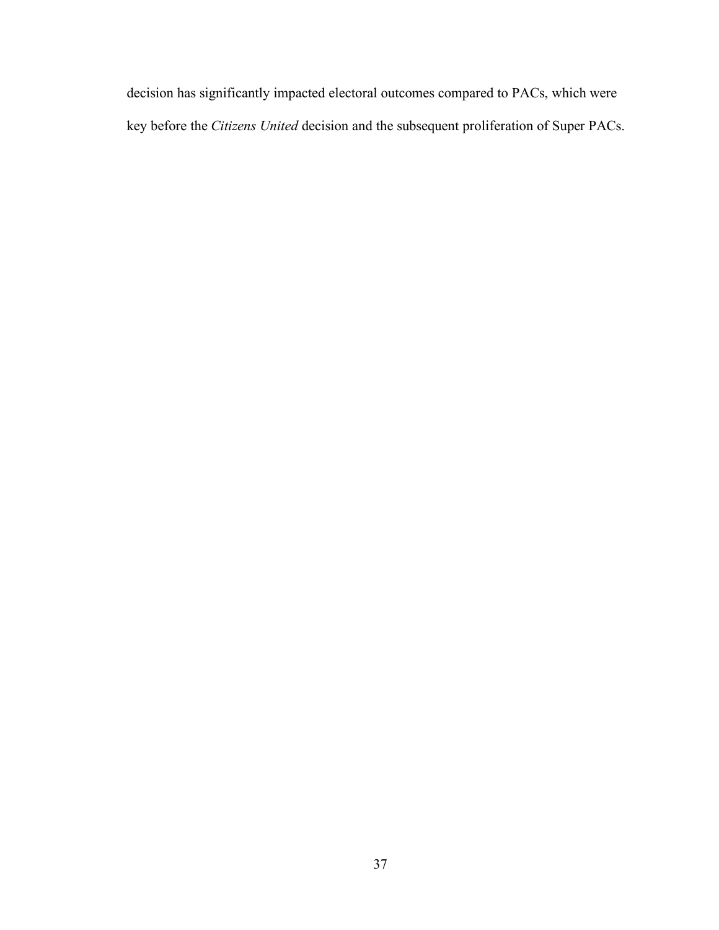decision has significantly impacted electoral outcomes compared to PACs, which were key before the *Citizens United* decision and the subsequent proliferation of Super PACs.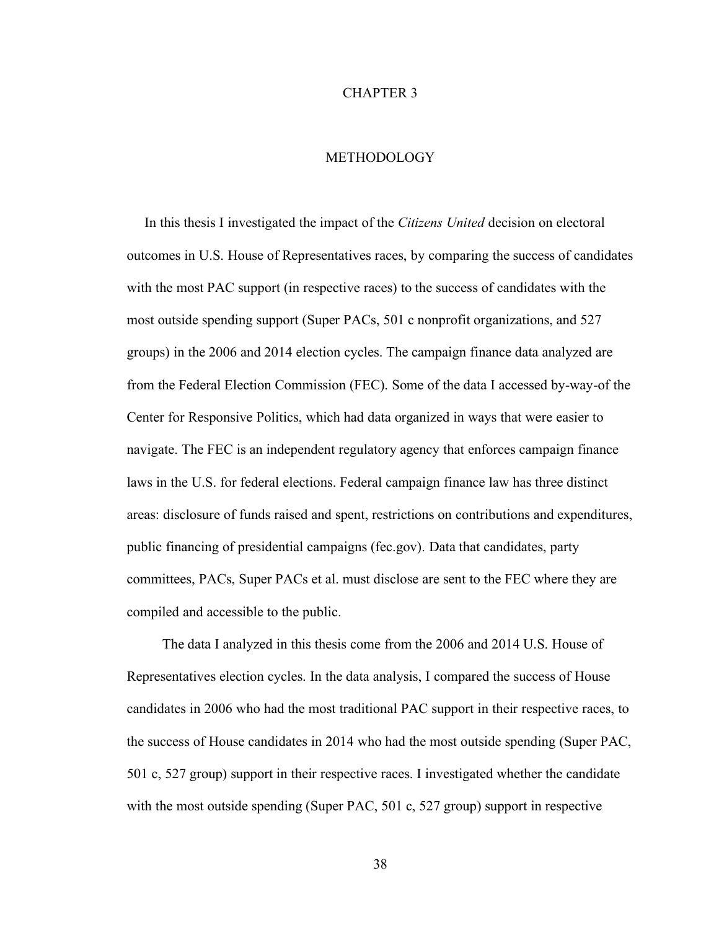#### CHAPTER 3

### **METHODOLOGY**

 In this thesis I investigated the impact of the *Citizens United* decision on electoral outcomes in U.S. House of Representatives races, by comparing the success of candidates with the most PAC support (in respective races) to the success of candidates with the most outside spending support (Super PACs, 501 c nonprofit organizations, and 527 groups) in the 2006 and 2014 election cycles. The campaign finance data analyzed are from the Federal Election Commission (FEC). Some of the data I accessed by-way-of the Center for Responsive Politics, which had data organized in ways that were easier to navigate. The FEC is an independent regulatory agency that enforces campaign finance laws in the U.S. for federal elections. Federal campaign finance law has three distinct areas: disclosure of funds raised and spent, restrictions on contributions and expenditures, public financing of presidential campaigns (fec.gov). Data that candidates, party committees, PACs, Super PACs et al. must disclose are sent to the FEC where they are compiled and accessible to the public.

 The data I analyzed in this thesis come from the 2006 and 2014 U.S. House of Representatives election cycles. In the data analysis, I compared the success of House candidates in 2006 who had the most traditional PAC support in their respective races, to the success of House candidates in 2014 who had the most outside spending (Super PAC, 501 c, 527 group) support in their respective races. I investigated whether the candidate with the most outside spending (Super PAC, 501 c, 527 group) support in respective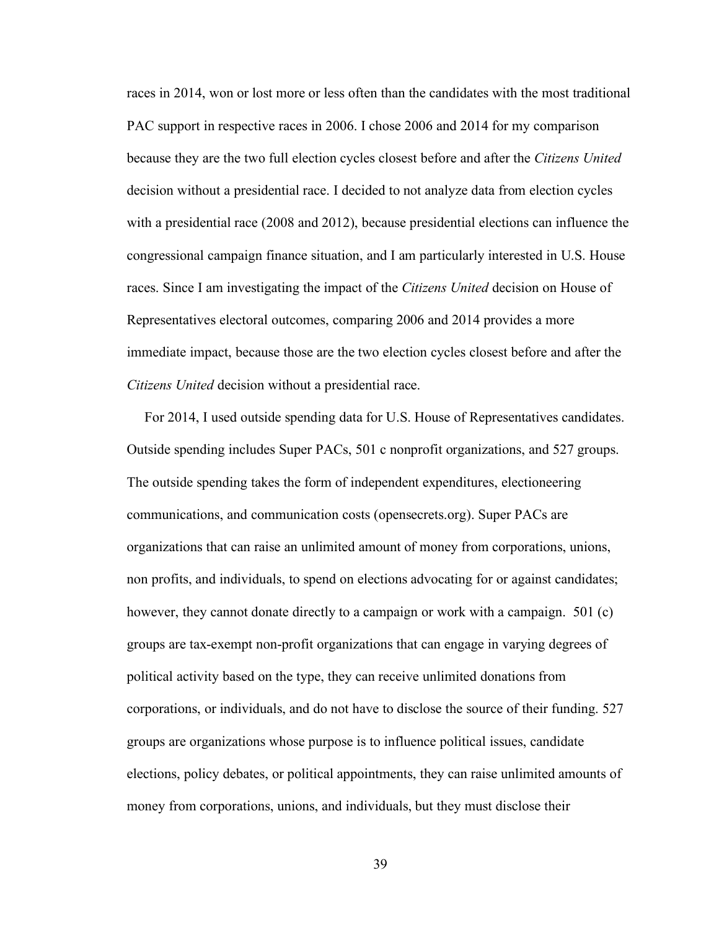races in 2014, won or lost more or less often than the candidates with the most traditional PAC support in respective races in 2006. I chose 2006 and 2014 for my comparison because they are the two full election cycles closest before and after the *Citizens United* decision without a presidential race. I decided to not analyze data from election cycles with a presidential race (2008 and 2012), because presidential elections can influence the congressional campaign finance situation, and I am particularly interested in U.S. House races. Since I am investigating the impact of the *Citizens United* decision on House of Representatives electoral outcomes, comparing 2006 and 2014 provides a more immediate impact, because those are the two election cycles closest before and after the *Citizens United* decision without a presidential race.

 For 2014, I used outside spending data for U.S. House of Representatives candidates. Outside spending includes Super PACs, 501 c nonprofit organizations, and 527 groups. The outside spending takes the form of independent expenditures, electioneering communications, and communication costs (opensecrets.org). Super PACs are organizations that can raise an unlimited amount of money from corporations, unions, non profits, and individuals, to spend on elections advocating for or against candidates; however, they cannot donate directly to a campaign or work with a campaign. 501 (c) groups are tax-exempt non-profit organizations that can engage in varying degrees of political activity based on the type, they can receive unlimited donations from corporations, or individuals, and do not have to disclose the source of their funding. 527 groups are organizations whose purpose is to influence political issues, candidate elections, policy debates, or political appointments, they can raise unlimited amounts of money from corporations, unions, and individuals, but they must disclose their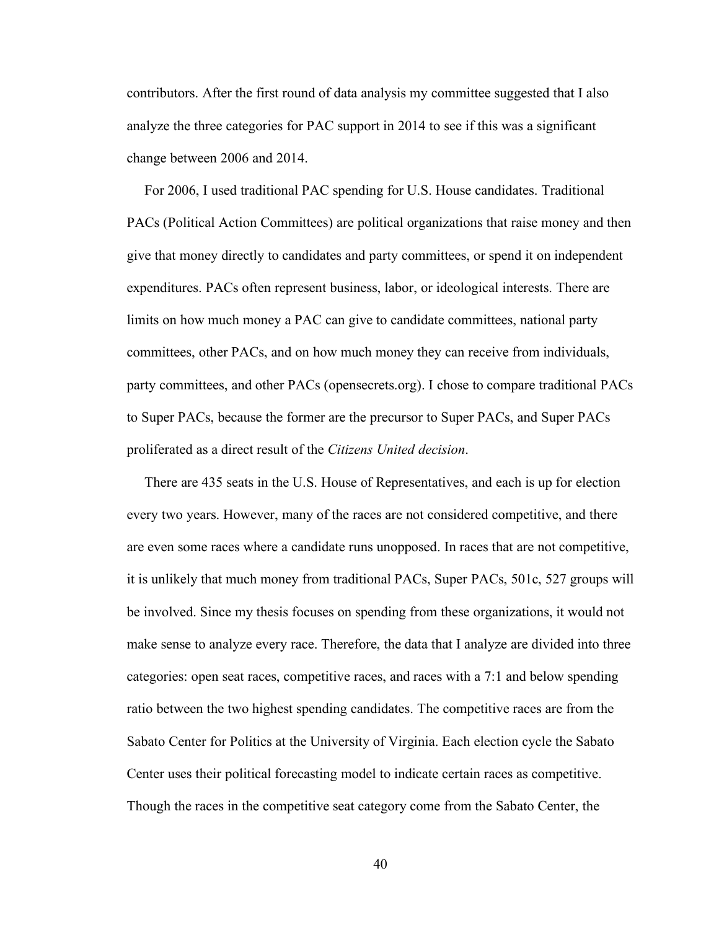contributors. After the first round of data analysis my committee suggested that I also analyze the three categories for PAC support in 2014 to see if this was a significant change between 2006 and 2014.

 For 2006, I used traditional PAC spending for U.S. House candidates. Traditional PACs (Political Action Committees) are political organizations that raise money and then give that money directly to candidates and party committees, or spend it on independent expenditures. PACs often represent business, labor, or ideological interests. There are limits on how much money a PAC can give to candidate committees, national party committees, other PACs, and on how much money they can receive from individuals, party committees, and other PACs (opensecrets.org). I chose to compare traditional PACs to Super PACs, because the former are the precursor to Super PACs, and Super PACs proliferated as a direct result of the *Citizens United decision*.

 There are 435 seats in the U.S. House of Representatives, and each is up for election every two years. However, many of the races are not considered competitive, and there are even some races where a candidate runs unopposed. In races that are not competitive, it is unlikely that much money from traditional PACs, Super PACs, 501c, 527 groups will be involved. Since my thesis focuses on spending from these organizations, it would not make sense to analyze every race. Therefore, the data that I analyze are divided into three categories: open seat races, competitive races, and races with a 7:1 and below spending ratio between the two highest spending candidates. The competitive races are from the Sabato Center for Politics at the University of Virginia. Each election cycle the Sabato Center uses their political forecasting model to indicate certain races as competitive. Though the races in the competitive seat category come from the Sabato Center, the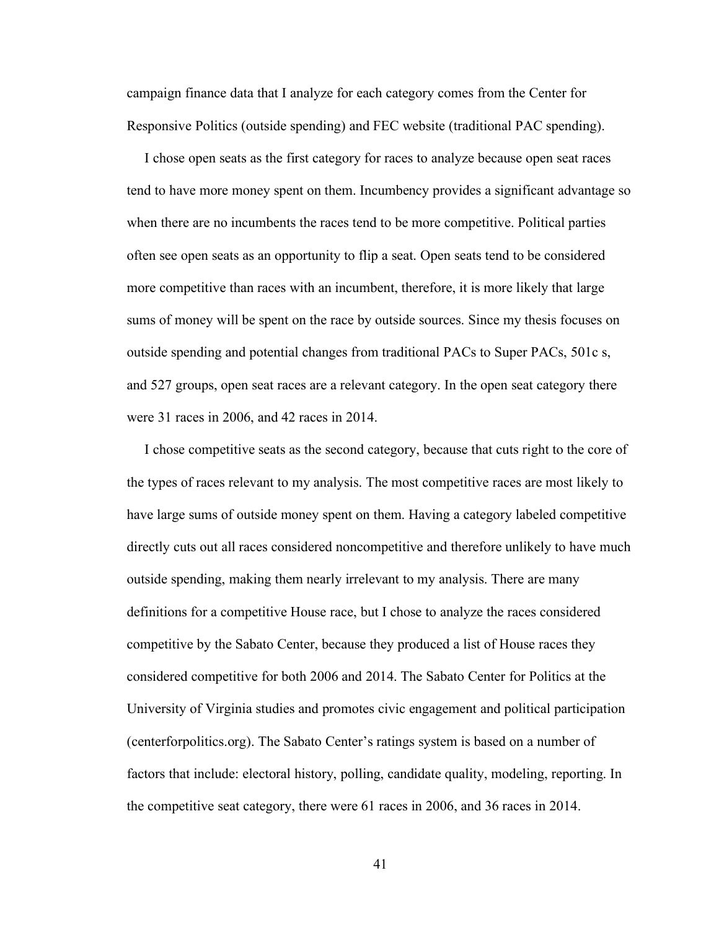campaign finance data that I analyze for each category comes from the Center for Responsive Politics (outside spending) and FEC website (traditional PAC spending).

 I chose open seats as the first category for races to analyze because open seat races tend to have more money spent on them. Incumbency provides a significant advantage so when there are no incumbents the races tend to be more competitive. Political parties often see open seats as an opportunity to flip a seat. Open seats tend to be considered more competitive than races with an incumbent, therefore, it is more likely that large sums of money will be spent on the race by outside sources. Since my thesis focuses on outside spending and potential changes from traditional PACs to Super PACs, 501c s, and 527 groups, open seat races are a relevant category. In the open seat category there were 31 races in 2006, and 42 races in 2014.

 I chose competitive seats as the second category, because that cuts right to the core of the types of races relevant to my analysis. The most competitive races are most likely to have large sums of outside money spent on them. Having a category labeled competitive directly cuts out all races considered noncompetitive and therefore unlikely to have much outside spending, making them nearly irrelevant to my analysis. There are many definitions for a competitive House race, but I chose to analyze the races considered competitive by the Sabato Center, because they produced a list of House races they considered competitive for both 2006 and 2014. The Sabato Center for Politics at the University of Virginia studies and promotes civic engagement and political participation (centerforpolitics.org). The Sabato Center's ratings system is based on a number of factors that include: electoral history, polling, candidate quality, modeling, reporting. In the competitive seat category, there were 61 races in 2006, and 36 races in 2014.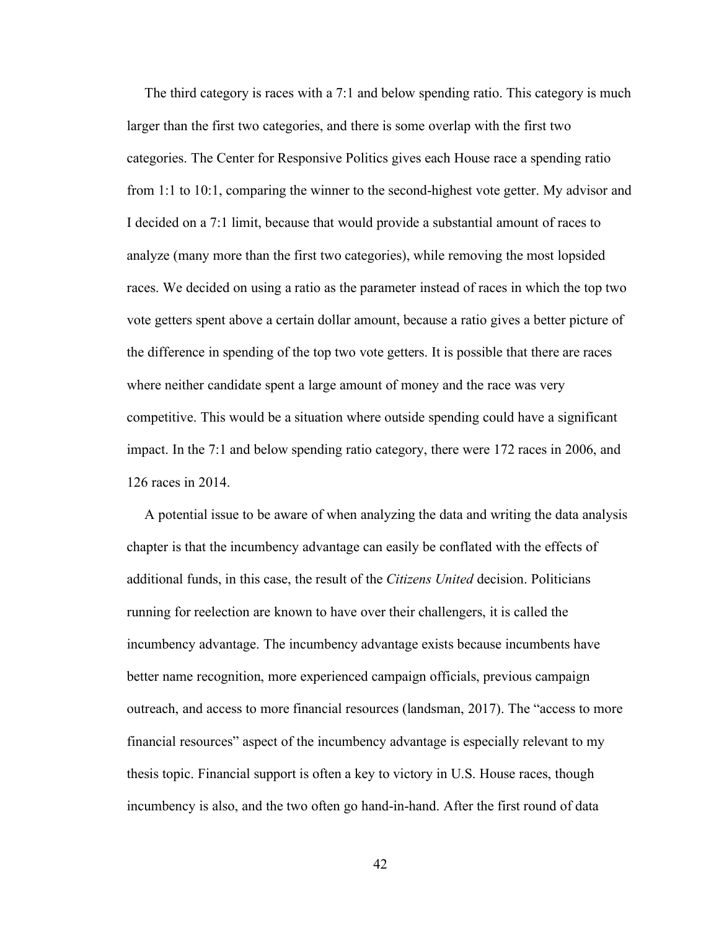The third category is races with a 7:1 and below spending ratio. This category is much larger than the first two categories, and there is some overlap with the first two categories. The Center for Responsive Politics gives each House race a spending ratio from 1:1 to 10:1, comparing the winner to the second-highest vote getter. My advisor and I decided on a 7:1 limit, because that would provide a substantial amount of races to analyze (many more than the first two categories), while removing the most lopsided races. We decided on using a ratio as the parameter instead of races in which the top two vote getters spent above a certain dollar amount, because a ratio gives a better picture of the difference in spending of the top two vote getters. It is possible that there are races where neither candidate spent a large amount of money and the race was very competitive. This would be a situation where outside spending could have a significant impact. In the 7:1 and below spending ratio category, there were 172 races in 2006, and 126 races in 2014.

 A potential issue to be aware of when analyzing the data and writing the data analysis chapter is that the incumbency advantage can easily be conflated with the effects of additional funds, in this case, the result of the *Citizens United* decision. Politicians running for reelection are known to have over their challengers, it is called the incumbency advantage. The incumbency advantage exists because incumbents have better name recognition, more experienced campaign officials, previous campaign outreach, and access to more financial resources (landsman, 2017). The "access to more financial resources" aspect of the incumbency advantage is especially relevant to my thesis topic. Financial support is often a key to victory in U.S. House races, though incumbency is also, and the two often go hand-in-hand. After the first round of data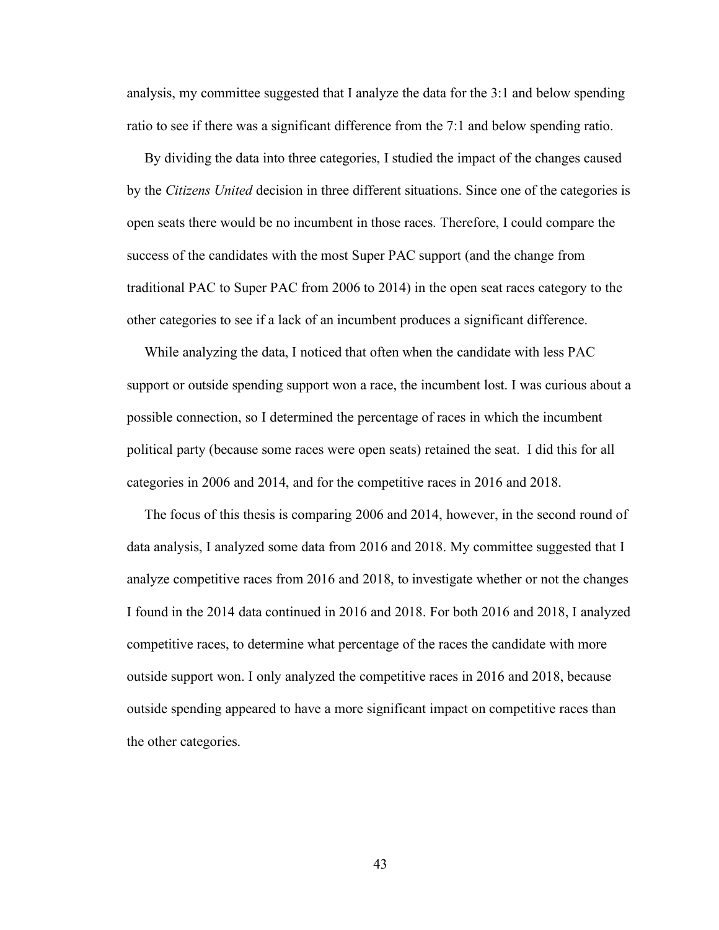analysis, my committee suggested that I analyze the data for the 3:1 and below spending ratio to see if there was a significant difference from the 7:1 and below spending ratio.

 By dividing the data into three categories, I studied the impact of the changes caused by the *Citizens United* decision in three different situations. Since one of the categories is open seats there would be no incumbent in those races. Therefore, I could compare the success of the candidates with the most Super PAC support (and the change from traditional PAC to Super PAC from 2006 to 2014) in the open seat races category to the other categories to see if a lack of an incumbent produces a significant difference.

 While analyzing the data, I noticed that often when the candidate with less PAC support or outside spending support won a race, the incumbent lost. I was curious about a possible connection, so I determined the percentage of races in which the incumbent political party (because some races were open seats) retained the seat. I did this for all categories in 2006 and 2014, and for the competitive races in 2016 and 2018.

 The focus of this thesis is comparing 2006 and 2014, however, in the second round of data analysis, I analyzed some data from 2016 and 2018. My committee suggested that I analyze competitive races from 2016 and 2018, to investigate whether or not the changes I found in the 2014 data continued in 2016 and 2018. For both 2016 and 2018, I analyzed competitive races, to determine what percentage of the races the candidate with more outside support won. I only analyzed the competitive races in 2016 and 2018, because outside spending appeared to have a more significant impact on competitive races than the other categories.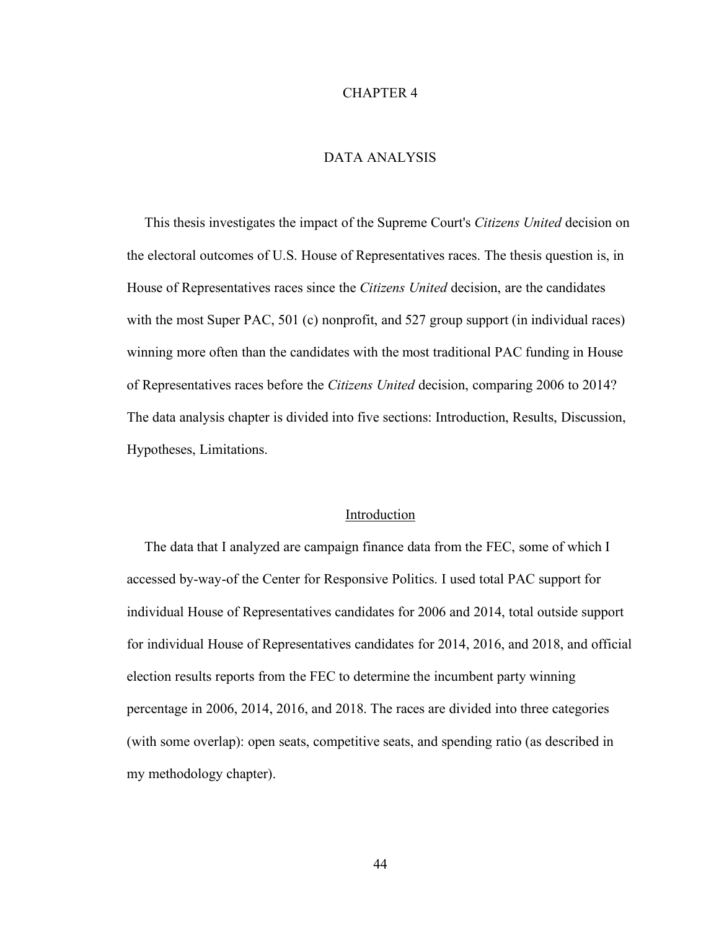#### CHAPTER 4

## DATA ANALYSIS

 This thesis investigates the impact of the Supreme Court's *Citizens United* decision on the electoral outcomes of U.S. House of Representatives races. The thesis question is, in House of Representatives races since the *Citizens United* decision, are the candidates with the most Super PAC, 501 (c) nonprofit, and 527 group support (in individual races) winning more often than the candidates with the most traditional PAC funding in House of Representatives races before the *Citizens United* decision, comparing 2006 to 2014? The data analysis chapter is divided into five sections: Introduction, Results, Discussion, Hypotheses, Limitations.

#### Introduction

 The data that I analyzed are campaign finance data from the FEC, some of which I accessed by-way-of the Center for Responsive Politics. I used total PAC support for individual House of Representatives candidates for 2006 and 2014, total outside support for individual House of Representatives candidates for 2014, 2016, and 2018, and official election results reports from the FEC to determine the incumbent party winning percentage in 2006, 2014, 2016, and 2018. The races are divided into three categories (with some overlap): open seats, competitive seats, and spending ratio (as described in my methodology chapter).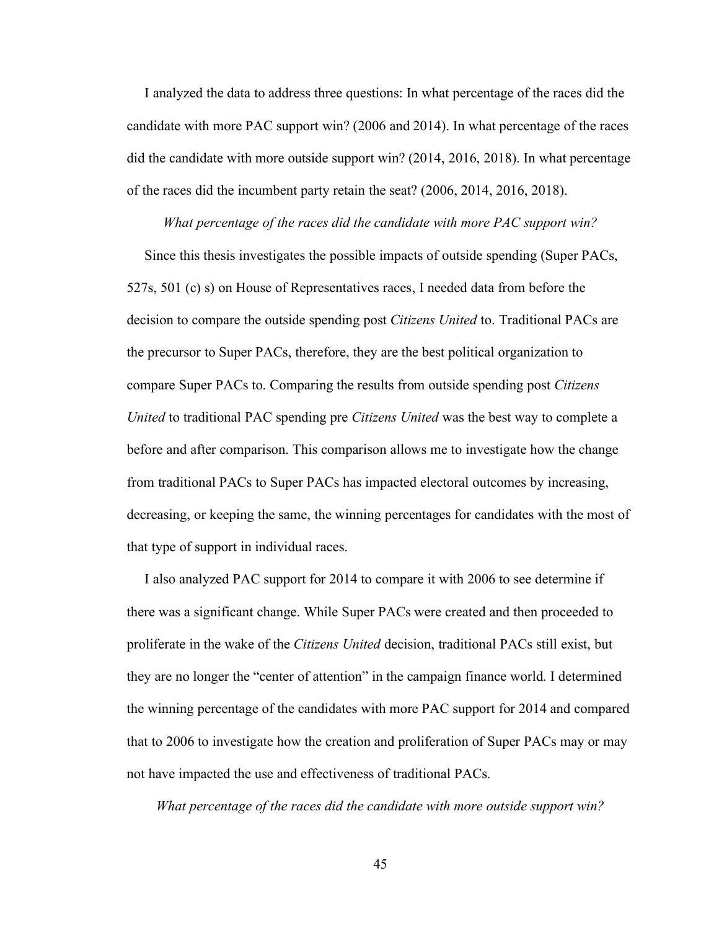I analyzed the data to address three questions: In what percentage of the races did the candidate with more PAC support win? (2006 and 2014). In what percentage of the races did the candidate with more outside support win? (2014, 2016, 2018). In what percentage of the races did the incumbent party retain the seat? (2006, 2014, 2016, 2018).

*What percentage of the races did the candidate with more PAC support win?*

 Since this thesis investigates the possible impacts of outside spending (Super PACs, 527s, 501 (c) s) on House of Representatives races, I needed data from before the decision to compare the outside spending post *Citizens United* to. Traditional PACs are the precursor to Super PACs, therefore, they are the best political organization to compare Super PACs to. Comparing the results from outside spending post *Citizens United* to traditional PAC spending pre *Citizens United* was the best way to complete a before and after comparison. This comparison allows me to investigate how the change from traditional PACs to Super PACs has impacted electoral outcomes by increasing, decreasing, or keeping the same, the winning percentages for candidates with the most of that type of support in individual races.

 I also analyzed PAC support for 2014 to compare it with 2006 to see determine if there was a significant change. While Super PACs were created and then proceeded to proliferate in the wake of the *Citizens United* decision, traditional PACs still exist, but they are no longer the "center of attention" in the campaign finance world. I determined the winning percentage of the candidates with more PAC support for 2014 and compared that to 2006 to investigate how the creation and proliferation of Super PACs may or may not have impacted the use and effectiveness of traditional PACs.

*What percentage of the races did the candidate with more outside support win?*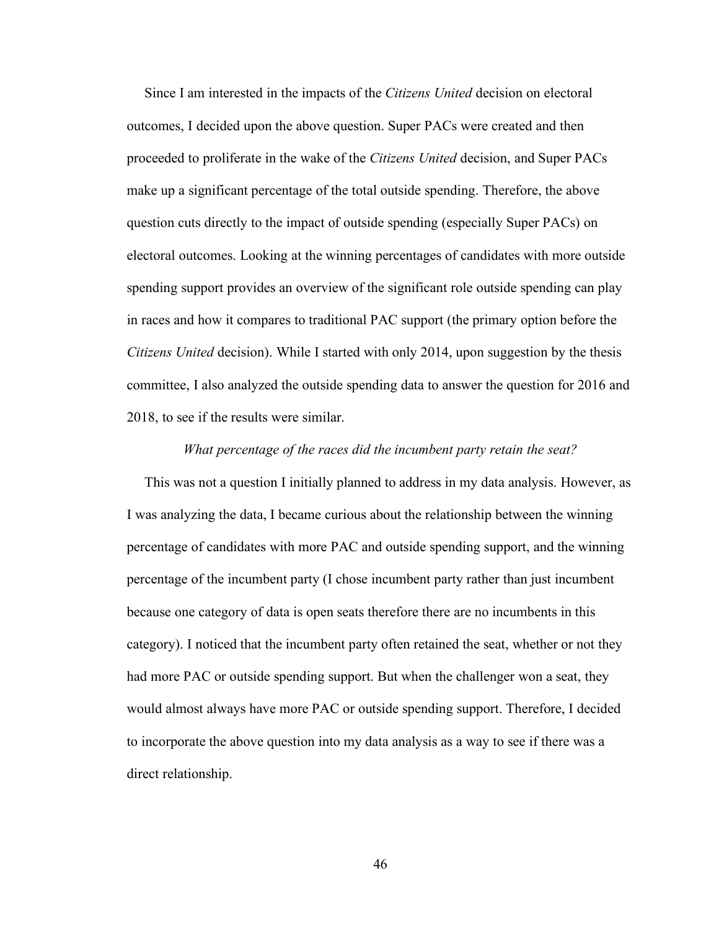Since I am interested in the impacts of the *Citizens United* decision on electoral outcomes, I decided upon the above question. Super PACs were created and then proceeded to proliferate in the wake of the *Citizens United* decision, and Super PACs make up a significant percentage of the total outside spending. Therefore, the above question cuts directly to the impact of outside spending (especially Super PACs) on electoral outcomes. Looking at the winning percentages of candidates with more outside spending support provides an overview of the significant role outside spending can play in races and how it compares to traditional PAC support (the primary option before the *Citizens United* decision). While I started with only 2014, upon suggestion by the thesis committee, I also analyzed the outside spending data to answer the question for 2016 and 2018, to see if the results were similar.

### *What percentage of the races did the incumbent party retain the seat?*

 This was not a question I initially planned to address in my data analysis. However, as I was analyzing the data, I became curious about the relationship between the winning percentage of candidates with more PAC and outside spending support, and the winning percentage of the incumbent party (I chose incumbent party rather than just incumbent because one category of data is open seats therefore there are no incumbents in this category). I noticed that the incumbent party often retained the seat, whether or not they had more PAC or outside spending support. But when the challenger won a seat, they would almost always have more PAC or outside spending support. Therefore, I decided to incorporate the above question into my data analysis as a way to see if there was a direct relationship.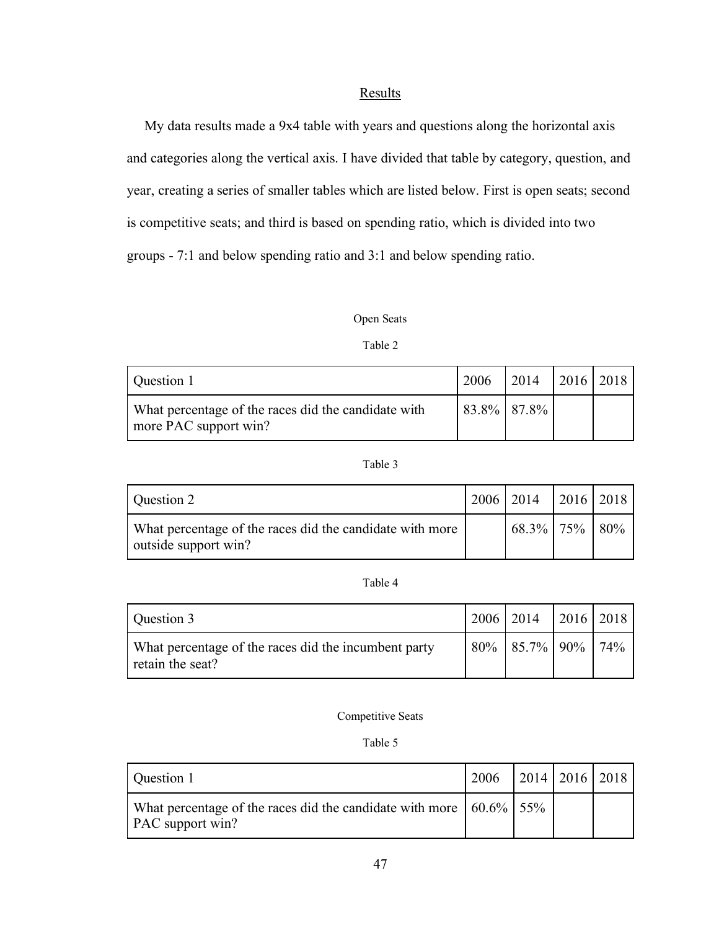# **Results**

 My data results made a 9x4 table with years and questions along the horizontal axis and categories along the vertical axis. I have divided that table by category, question, and year, creating a series of smaller tables which are listed below. First is open seats; second is competitive seats; and third is based on spending ratio, which is divided into two groups - 7:1 and below spending ratio and 3:1 and below spending ratio.

## Open Seats

Table 2

| Question 1                                                                   | 2006        | $\mid$ 2014 $\mid$ 2016 $\mid$ 2018 |  |
|------------------------------------------------------------------------------|-------------|-------------------------------------|--|
| What percentage of the races did the candidate with<br>more PAC support win? | 83.8% 87.8% |                                     |  |

### Table 3

| Question 2                                                                       | $2006$   2014   2016   2018 |  |
|----------------------------------------------------------------------------------|-----------------------------|--|
| What percentage of the races did the candidate with more<br>outside support win? | $68.3\%$   75%   80%        |  |

### Table 4

| Question 3                                                               | 2006   2014   2016   2018  |  |
|--------------------------------------------------------------------------|----------------------------|--|
| What percentage of the races did the incumbent party<br>retain the seat? | $80\%$   85.7%   90%   74% |  |

### Competitive Seats

### Table 5

| Question 1                                                                                             | $2006$   2014   2016   2018 |  |  |
|--------------------------------------------------------------------------------------------------------|-----------------------------|--|--|
| What percentage of the races did the candidate with more $\vert$ 60.6% $\vert$ 55%<br>PAC support win? |                             |  |  |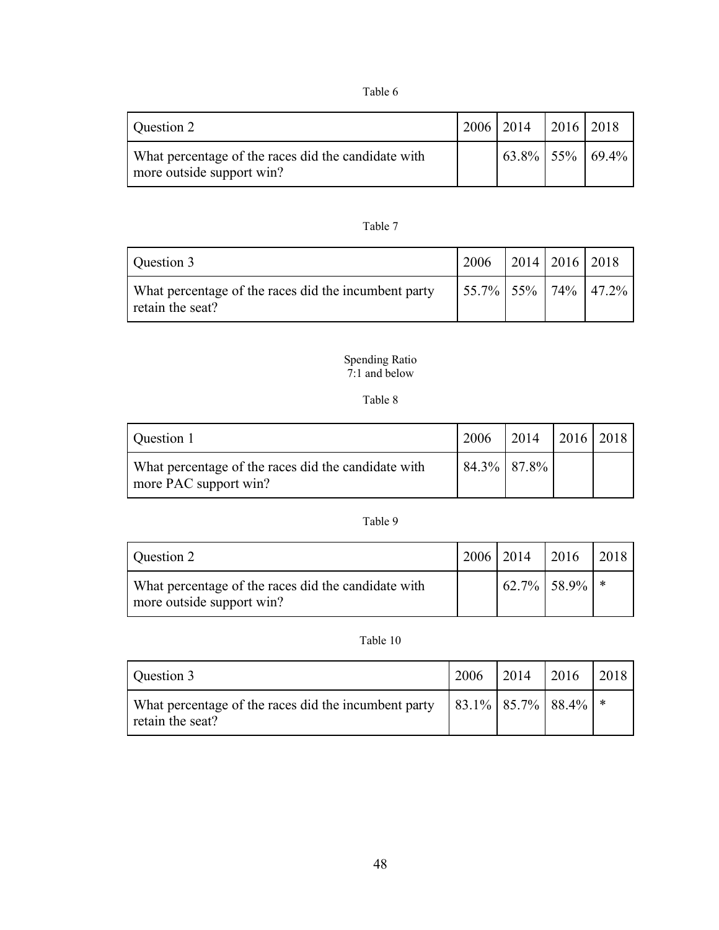### Table 6

| Question 2                                                                       | $\vert 2006 \vert 2014 \vert 2016 \vert 2018 \vert$ |                           |
|----------------------------------------------------------------------------------|-----------------------------------------------------|---------------------------|
| What percentage of the races did the candidate with<br>more outside support win? |                                                     | $63.8\%$ 55\% 69.4\% both |

### Table 7

| Question 3                                                               | $\vert$ 2006 $\vert$ 2014 $\vert$ 2016 $\vert$ 2018     |  |  |
|--------------------------------------------------------------------------|---------------------------------------------------------|--|--|
| What percentage of the races did the incumbent party<br>retain the seat? | $\vert 55.7\% \vert 55\% \vert 74\% \vert 47.2\% \vert$ |  |  |

#### Spending Ratio 7:1 and below

### Table 8

| Question 1                                                                   | 2006 | $\mid$ 2014 $\mid$ 2016 $\mid$ 2018 |  |
|------------------------------------------------------------------------------|------|-------------------------------------|--|
| What percentage of the races did the candidate with<br>more PAC support win? |      | 84.3% 87.8%                         |  |

### Table 9

| Question 2                                                                       | 2006 2014 | 2016             | 2018 |
|----------------------------------------------------------------------------------|-----------|------------------|------|
| What percentage of the races did the candidate with<br>more outside support win? |           | $62.7\%$ 58.9% * |      |

## Table 10

| Question 3                                                                                                    | 2006 | 2014 | 2016 | 2018 |
|---------------------------------------------------------------------------------------------------------------|------|------|------|------|
| What percentage of the races did the incumbent party $\  83.1\% \  85.7\% \  88.4\% \  *$<br>retain the seat? |      |      |      |      |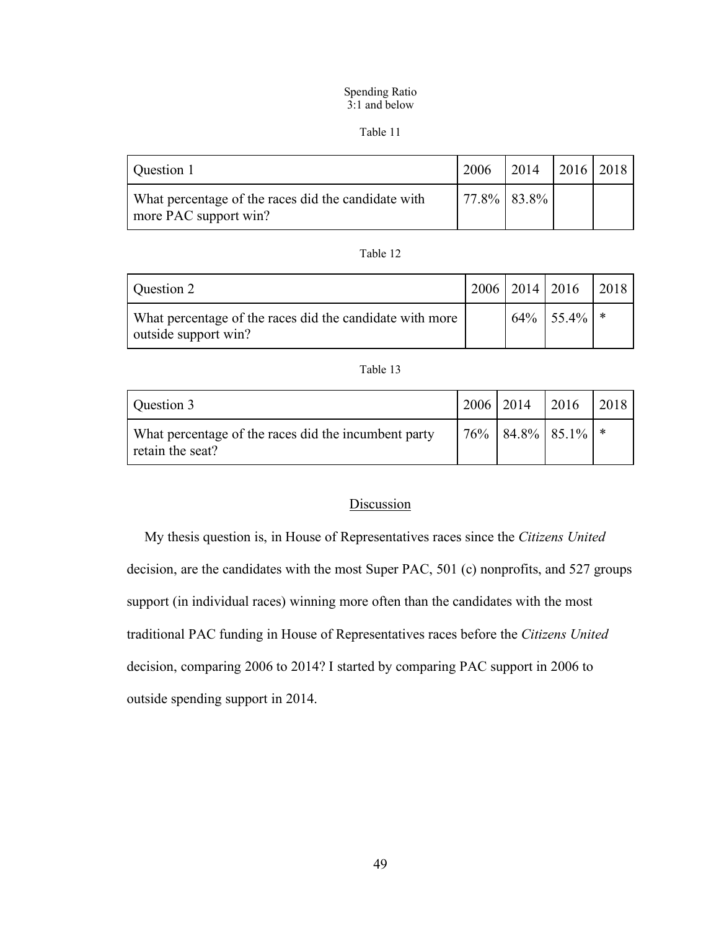#### Spending Ratio 3:1 and below

#### Table 11

| Question 1                                                                   | 2006 | $\vert 2014 \vert 2016 \vert 2018 \vert$ |  |
|------------------------------------------------------------------------------|------|------------------------------------------|--|
| What percentage of the races did the candidate with<br>more PAC support win? |      | $77.8\%$ 83.8%                           |  |

# Table 12

| Question 2                                                                       |  | $12006$   2014   2016 | 2018 |
|----------------------------------------------------------------------------------|--|-----------------------|------|
| What percentage of the races did the candidate with more<br>outside support win? |  | $64\%$ 55.4% *        |      |

### Table 13

| Question 3                                                               | $2006$   2014 |                             | 2016 | 2018 |
|--------------------------------------------------------------------------|---------------|-----------------------------|------|------|
| What percentage of the races did the incumbent party<br>retain the seat? |               | $176\%$   84.8%   85.1%   * |      |      |

# Discussion

 My thesis question is, in House of Representatives races since the *Citizens United* decision, are the candidates with the most Super PAC, 501 (c) nonprofits, and 527 groups support (in individual races) winning more often than the candidates with the most traditional PAC funding in House of Representatives races before the *Citizens United* decision, comparing 2006 to 2014? I started by comparing PAC support in 2006 to outside spending support in 2014.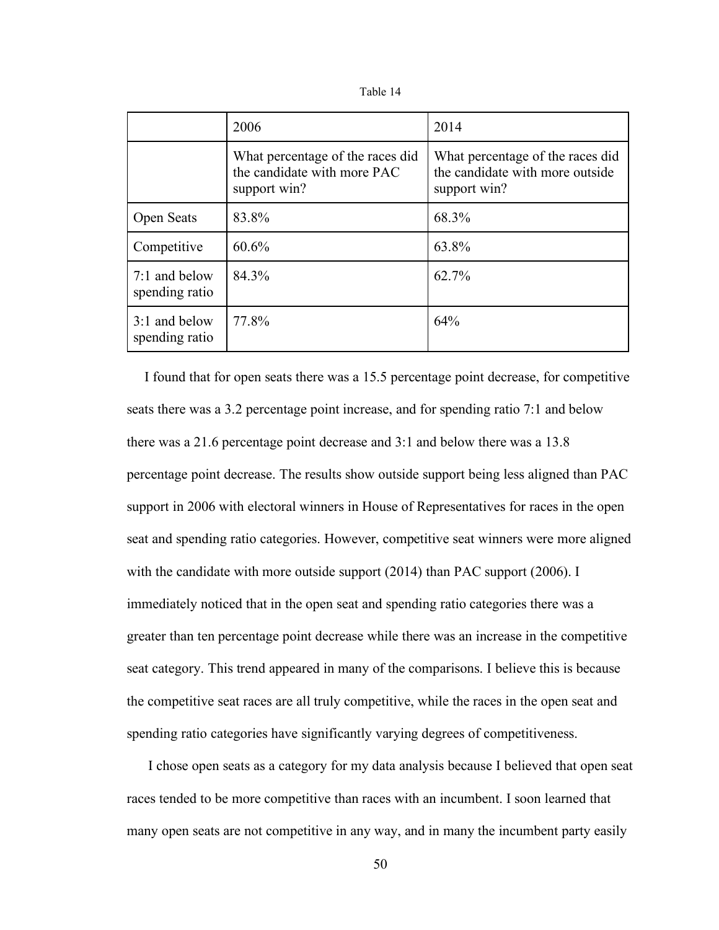| able |  |
|------|--|
|------|--|

|                                 | 2006                                                                            | 2014                                                                                |
|---------------------------------|---------------------------------------------------------------------------------|-------------------------------------------------------------------------------------|
|                                 | What percentage of the races did<br>the candidate with more PAC<br>support win? | What percentage of the races did<br>the candidate with more outside<br>support win? |
| Open Seats                      | 83.8%                                                                           | 68.3%                                                                               |
| Competitive                     | 60.6%                                                                           | 63.8%                                                                               |
| 7:1 and below<br>spending ratio | 84.3%                                                                           | 62.7%                                                                               |
| 3:1 and below<br>spending ratio | 77.8%                                                                           | 64%                                                                                 |

 I found that for open seats there was a 15.5 percentage point decrease, for competitive seats there was a 3.2 percentage point increase, and for spending ratio 7:1 and below there was a 21.6 percentage point decrease and 3:1 and below there was a 13.8 percentage point decrease. The results show outside support being less aligned than PAC support in 2006 with electoral winners in House of Representatives for races in the open seat and spending ratio categories. However, competitive seat winners were more aligned with the candidate with more outside support (2014) than PAC support (2006). I immediately noticed that in the open seat and spending ratio categories there was a greater than ten percentage point decrease while there was an increase in the competitive seat category. This trend appeared in many of the comparisons. I believe this is because the competitive seat races are all truly competitive, while the races in the open seat and spending ratio categories have significantly varying degrees of competitiveness.

 I chose open seats as a category for my data analysis because I believed that open seat races tended to be more competitive than races with an incumbent. I soon learned that many open seats are not competitive in any way, and in many the incumbent party easily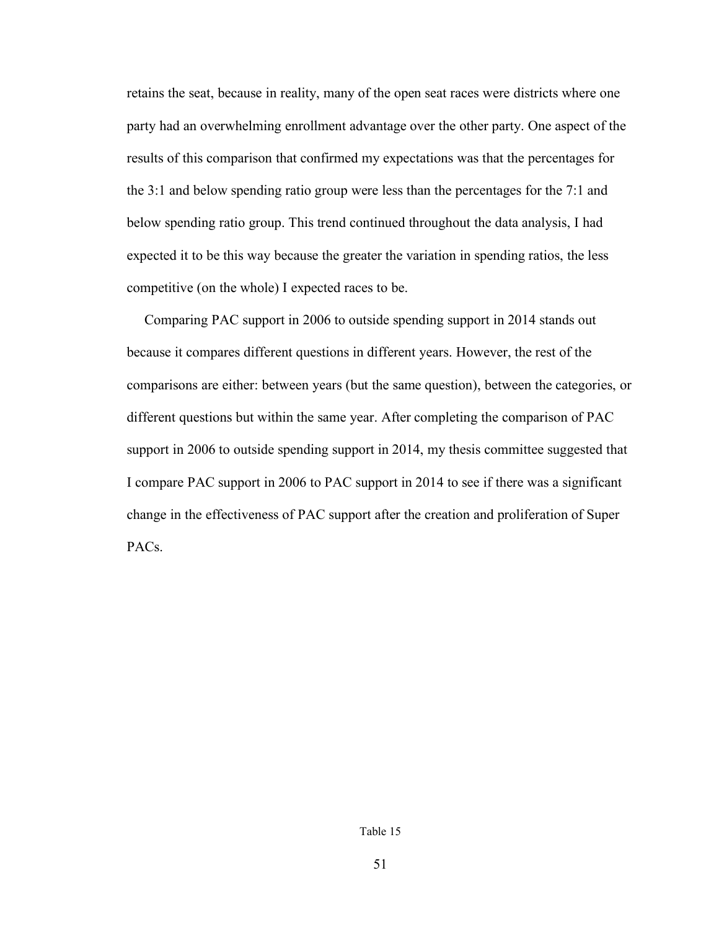retains the seat, because in reality, many of the open seat races were districts where one party had an overwhelming enrollment advantage over the other party. One aspect of the results of this comparison that confirmed my expectations was that the percentages for the 3:1 and below spending ratio group were less than the percentages for the 7:1 and below spending ratio group. This trend continued throughout the data analysis, I had expected it to be this way because the greater the variation in spending ratios, the less competitive (on the whole) I expected races to be.

 Comparing PAC support in 2006 to outside spending support in 2014 stands out because it compares different questions in different years. However, the rest of the comparisons are either: between years (but the same question), between the categories, or different questions but within the same year. After completing the comparison of PAC support in 2006 to outside spending support in 2014, my thesis committee suggested that I compare PAC support in 2006 to PAC support in 2014 to see if there was a significant change in the effectiveness of PAC support after the creation and proliferation of Super PACs.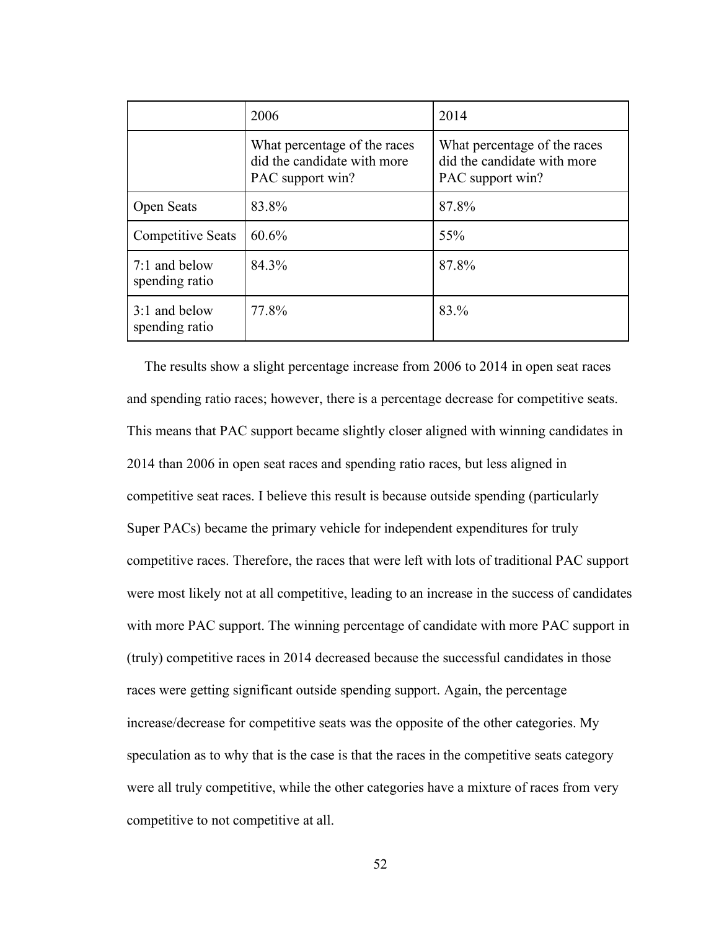|                                   | 2006                                                                            | 2014                                                                            |
|-----------------------------------|---------------------------------------------------------------------------------|---------------------------------------------------------------------------------|
|                                   | What percentage of the races<br>did the candidate with more<br>PAC support win? | What percentage of the races<br>did the candidate with more<br>PAC support win? |
| Open Seats                        | 83.8%                                                                           | 87.8%                                                                           |
| <b>Competitive Seats</b>          | 60.6%                                                                           | 55%                                                                             |
| $7:1$ and below<br>spending ratio | 84.3%                                                                           | 87.8%                                                                           |
| 3:1 and below<br>spending ratio   | 77.8%                                                                           | 83.%                                                                            |

 The results show a slight percentage increase from 2006 to 2014 in open seat races and spending ratio races; however, there is a percentage decrease for competitive seats. This means that PAC support became slightly closer aligned with winning candidates in 2014 than 2006 in open seat races and spending ratio races, but less aligned in competitive seat races. I believe this result is because outside spending (particularly Super PACs) became the primary vehicle for independent expenditures for truly competitive races. Therefore, the races that were left with lots of traditional PAC support were most likely not at all competitive, leading to an increase in the success of candidates with more PAC support. The winning percentage of candidate with more PAC support in (truly) competitive races in 2014 decreased because the successful candidates in those races were getting significant outside spending support. Again, the percentage increase/decrease for competitive seats was the opposite of the other categories. My speculation as to why that is the case is that the races in the competitive seats category were all truly competitive, while the other categories have a mixture of races from very competitive to not competitive at all.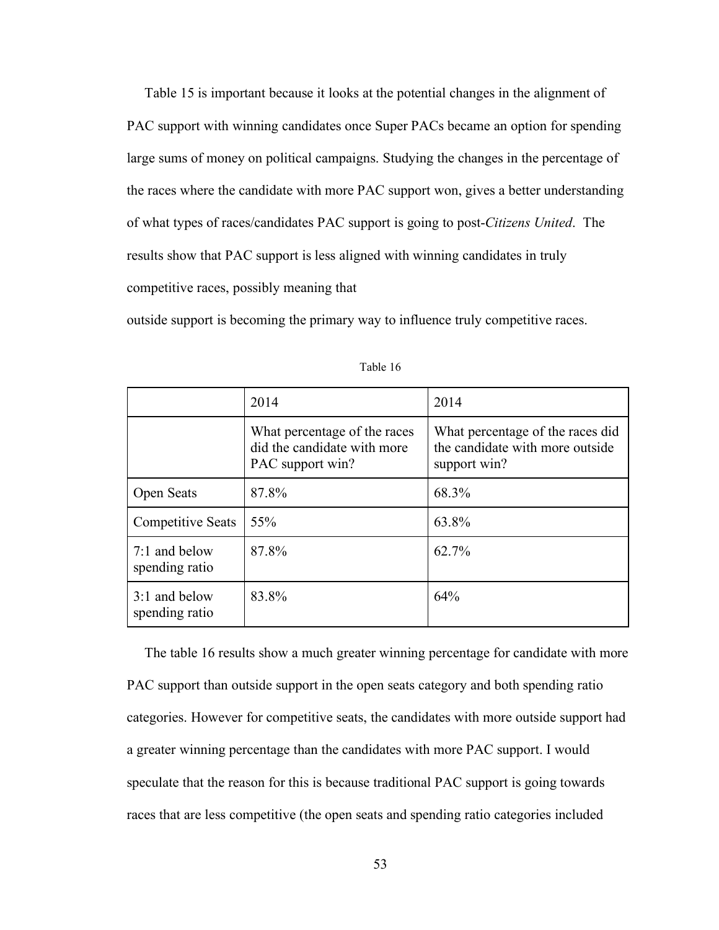Table 15 is important because it looks at the potential changes in the alignment of PAC support with winning candidates once Super PACs became an option for spending large sums of money on political campaigns. Studying the changes in the percentage of the races where the candidate with more PAC support won, gives a better understanding of what types of races/candidates PAC support is going to post-*Citizens United*. The results show that PAC support is less aligned with winning candidates in truly competitive races, possibly meaning that

outside support is becoming the primary way to influence truly competitive races.

|                                 | 2014                                                                            | 2014                                                                                |
|---------------------------------|---------------------------------------------------------------------------------|-------------------------------------------------------------------------------------|
|                                 | What percentage of the races<br>did the candidate with more<br>PAC support win? | What percentage of the races did<br>the candidate with more outside<br>support win? |
| Open Seats                      | 87.8%                                                                           | 68.3%                                                                               |
| <b>Competitive Seats</b>        | 55%                                                                             | 63.8%                                                                               |
| 7:1 and below<br>spending ratio | 87.8%                                                                           | 62.7%                                                                               |
| 3:1 and below<br>spending ratio | 83.8%                                                                           | 64%                                                                                 |

Table 16

 The table 16 results show a much greater winning percentage for candidate with more PAC support than outside support in the open seats category and both spending ratio categories. However for competitive seats, the candidates with more outside support had a greater winning percentage than the candidates with more PAC support. I would speculate that the reason for this is because traditional PAC support is going towards races that are less competitive (the open seats and spending ratio categories included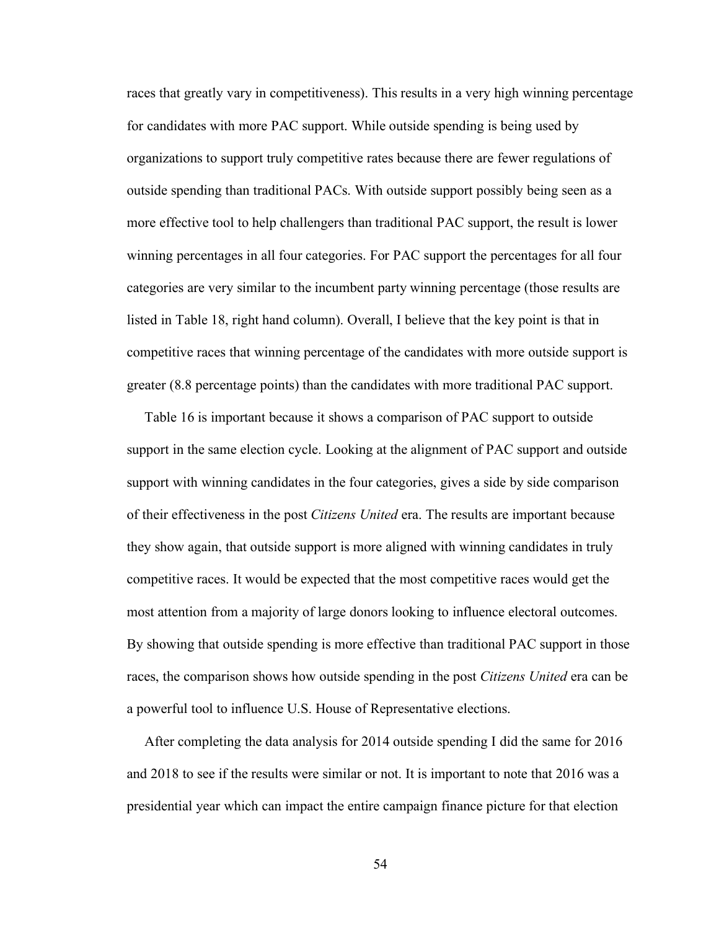races that greatly vary in competitiveness). This results in a very high winning percentage for candidates with more PAC support. While outside spending is being used by organizations to support truly competitive rates because there are fewer regulations of outside spending than traditional PACs. With outside support possibly being seen as a more effective tool to help challengers than traditional PAC support, the result is lower winning percentages in all four categories. For PAC support the percentages for all four categories are very similar to the incumbent party winning percentage (those results are listed in Table 18, right hand column). Overall, I believe that the key point is that in competitive races that winning percentage of the candidates with more outside support is greater (8.8 percentage points) than the candidates with more traditional PAC support.

 Table 16 is important because it shows a comparison of PAC support to outside support in the same election cycle. Looking at the alignment of PAC support and outside support with winning candidates in the four categories, gives a side by side comparison of their effectiveness in the post *Citizens United* era. The results are important because they show again, that outside support is more aligned with winning candidates in truly competitive races. It would be expected that the most competitive races would get the most attention from a majority of large donors looking to influence electoral outcomes. By showing that outside spending is more effective than traditional PAC support in those races, the comparison shows how outside spending in the post *Citizens United* era can be a powerful tool to influence U.S. House of Representative elections.

 After completing the data analysis for 2014 outside spending I did the same for 2016 and 2018 to see if the results were similar or not. It is important to note that 2016 was a presidential year which can impact the entire campaign finance picture for that election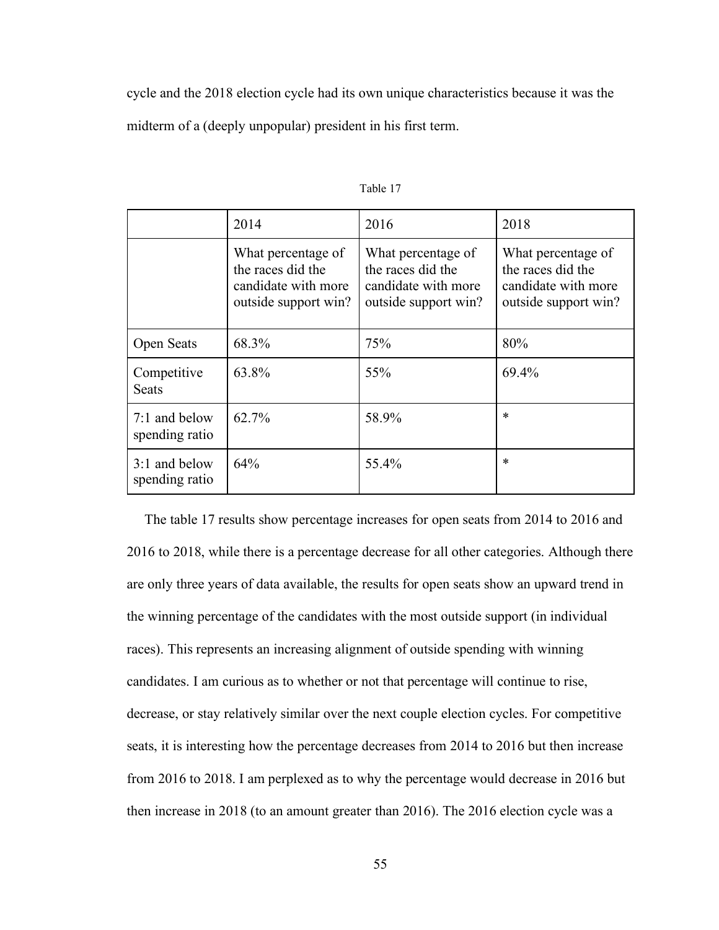cycle and the 2018 election cycle had its own unique characteristics because it was the midterm of a (deeply unpopular) president in his first term.

|                                 | 2014                                                                                   | 2016                                                                                   | 2018                                                                                   |
|---------------------------------|----------------------------------------------------------------------------------------|----------------------------------------------------------------------------------------|----------------------------------------------------------------------------------------|
|                                 | What percentage of<br>the races did the<br>candidate with more<br>outside support win? | What percentage of<br>the races did the<br>candidate with more<br>outside support win? | What percentage of<br>the races did the<br>candidate with more<br>outside support win? |
| <b>Open Seats</b>               | 68.3%                                                                                  | 75%                                                                                    | 80%                                                                                    |
| Competitive<br><b>Seats</b>     | 63.8%                                                                                  | 55%                                                                                    | 69.4%                                                                                  |
| 7:1 and below<br>spending ratio | 62.7%                                                                                  | 58.9%                                                                                  | $\ast$                                                                                 |
| 3:1 and below<br>spending ratio | 64%                                                                                    | 55.4%                                                                                  | $\ast$                                                                                 |

Table 17

 The table 17 results show percentage increases for open seats from 2014 to 2016 and 2016 to 2018, while there is a percentage decrease for all other categories. Although there are only three years of data available, the results for open seats show an upward trend in the winning percentage of the candidates with the most outside support (in individual races). This represents an increasing alignment of outside spending with winning candidates. I am curious as to whether or not that percentage will continue to rise, decrease, or stay relatively similar over the next couple election cycles. For competitive seats, it is interesting how the percentage decreases from 2014 to 2016 but then increase from 2016 to 2018. I am perplexed as to why the percentage would decrease in 2016 but then increase in 2018 (to an amount greater than 2016). The 2016 election cycle was a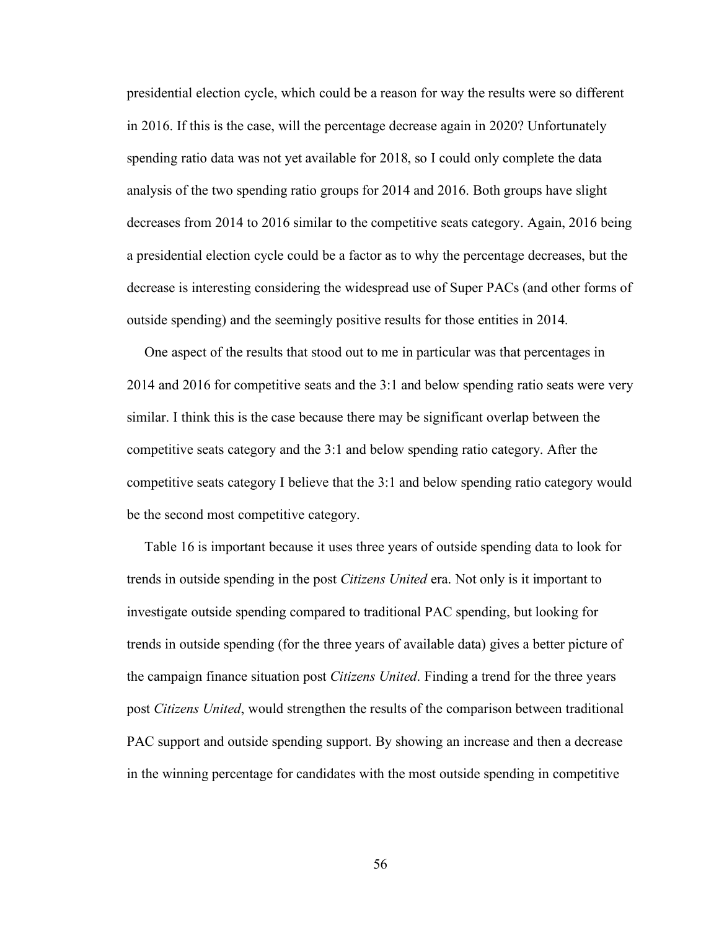presidential election cycle, which could be a reason for way the results were so different in 2016. If this is the case, will the percentage decrease again in 2020? Unfortunately spending ratio data was not yet available for 2018, so I could only complete the data analysis of the two spending ratio groups for 2014 and 2016. Both groups have slight decreases from 2014 to 2016 similar to the competitive seats category. Again, 2016 being a presidential election cycle could be a factor as to why the percentage decreases, but the decrease is interesting considering the widespread use of Super PACs (and other forms of outside spending) and the seemingly positive results for those entities in 2014.

 One aspect of the results that stood out to me in particular was that percentages in 2014 and 2016 for competitive seats and the 3:1 and below spending ratio seats were very similar. I think this is the case because there may be significant overlap between the competitive seats category and the 3:1 and below spending ratio category. After the competitive seats category I believe that the 3:1 and below spending ratio category would be the second most competitive category.

 Table 16 is important because it uses three years of outside spending data to look for trends in outside spending in the post *Citizens United* era. Not only is it important to investigate outside spending compared to traditional PAC spending, but looking for trends in outside spending (for the three years of available data) gives a better picture of the campaign finance situation post *Citizens United*. Finding a trend for the three years post *Citizens United*, would strengthen the results of the comparison between traditional PAC support and outside spending support. By showing an increase and then a decrease in the winning percentage for candidates with the most outside spending in competitive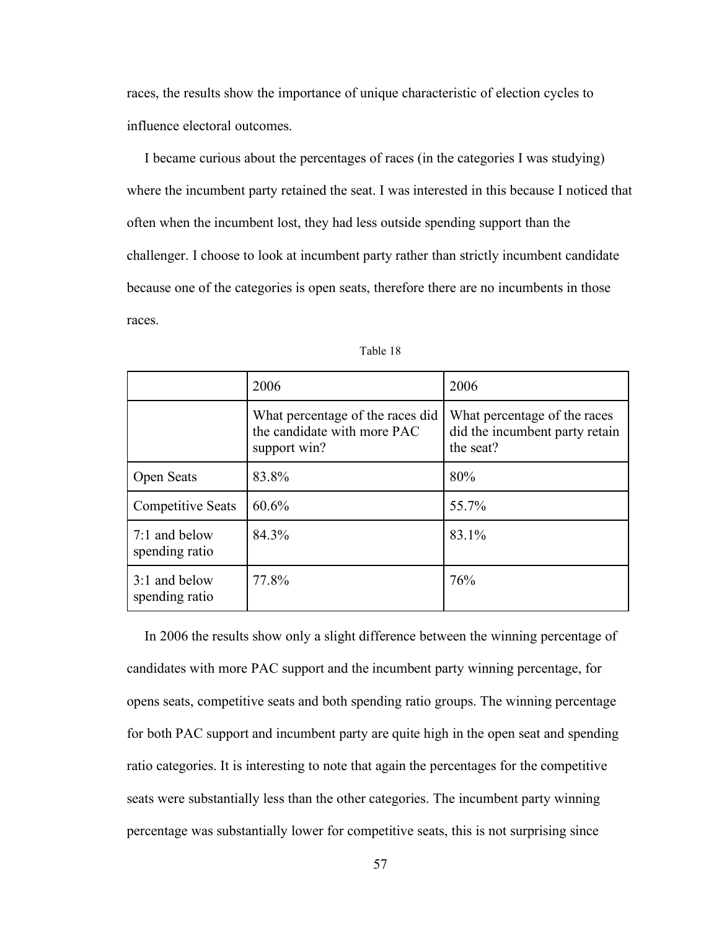races, the results show the importance of unique characteristic of election cycles to influence electoral outcomes.

 I became curious about the percentages of races (in the categories I was studying) where the incumbent party retained the seat. I was interested in this because I noticed that often when the incumbent lost, they had less outside spending support than the challenger. I choose to look at incumbent party rather than strictly incumbent candidate because one of the categories is open seats, therefore there are no incumbents in those races.

|                                 | 2006                                                                            | 2006                                                                        |
|---------------------------------|---------------------------------------------------------------------------------|-----------------------------------------------------------------------------|
|                                 | What percentage of the races did<br>the candidate with more PAC<br>support win? | What percentage of the races<br>did the incumbent party retain<br>the seat? |
| <b>Open Seats</b>               | 83.8%                                                                           | 80%                                                                         |
| <b>Competitive Seats</b>        | 60.6%                                                                           | 55.7%                                                                       |
| 7:1 and below<br>spending ratio | 84.3%                                                                           | 83.1%                                                                       |
| 3:1 and below<br>spending ratio | 77.8%                                                                           | 76%                                                                         |

| Table | -18 |
|-------|-----|
|-------|-----|

 In 2006 the results show only a slight difference between the winning percentage of candidates with more PAC support and the incumbent party winning percentage, for opens seats, competitive seats and both spending ratio groups. The winning percentage for both PAC support and incumbent party are quite high in the open seat and spending ratio categories. It is interesting to note that again the percentages for the competitive seats were substantially less than the other categories. The incumbent party winning percentage was substantially lower for competitive seats, this is not surprising since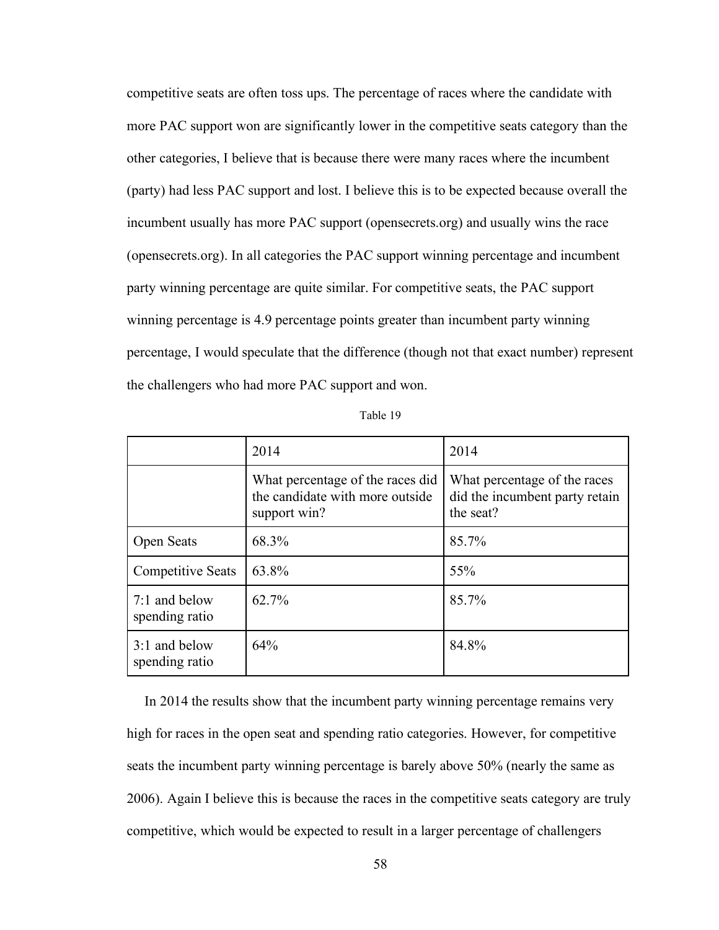competitive seats are often toss ups. The percentage of races where the candidate with more PAC support won are significantly lower in the competitive seats category than the other categories, I believe that is because there were many races where the incumbent (party) had less PAC support and lost. I believe this is to be expected because overall the incumbent usually has more PAC support (opensecrets.org) and usually wins the race (opensecrets.org). In all categories the PAC support winning percentage and incumbent party winning percentage are quite similar. For competitive seats, the PAC support winning percentage is 4.9 percentage points greater than incumbent party winning percentage, I would speculate that the difference (though not that exact number) represent the challengers who had more PAC support and won.

| abie |  |
|------|--|
|------|--|

|                                 | 2014                                                                                | 2014                                                                        |
|---------------------------------|-------------------------------------------------------------------------------------|-----------------------------------------------------------------------------|
|                                 | What percentage of the races did<br>the candidate with more outside<br>support win? | What percentage of the races<br>did the incumbent party retain<br>the seat? |
| <b>Open Seats</b>               | 68.3%                                                                               | 85.7%                                                                       |
| <b>Competitive Seats</b>        | 63.8%                                                                               | 55%                                                                         |
| 7:1 and below<br>spending ratio | $62.7\%$                                                                            | 85.7%                                                                       |
| 3:1 and below<br>spending ratio | 64%                                                                                 | 84.8%                                                                       |

 In 2014 the results show that the incumbent party winning percentage remains very high for races in the open seat and spending ratio categories. However, for competitive seats the incumbent party winning percentage is barely above 50% (nearly the same as 2006). Again I believe this is because the races in the competitive seats category are truly competitive, which would be expected to result in a larger percentage of challengers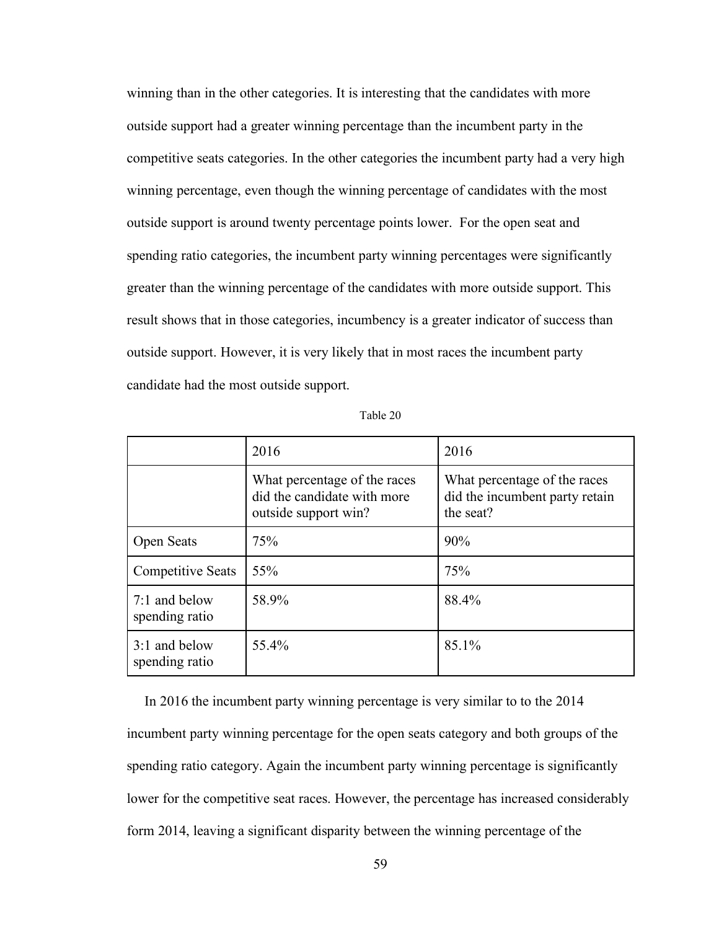winning than in the other categories. It is interesting that the candidates with more outside support had a greater winning percentage than the incumbent party in the competitive seats categories. In the other categories the incumbent party had a very high winning percentage, even though the winning percentage of candidates with the most outside support is around twenty percentage points lower. For the open seat and spending ratio categories, the incumbent party winning percentages were significantly greater than the winning percentage of the candidates with more outside support. This result shows that in those categories, incumbency is a greater indicator of success than outside support. However, it is very likely that in most races the incumbent party candidate had the most outside support.

| able <sup>1</sup><br>20 |
|-------------------------|
|-------------------------|

|                                 | 2016                                                                                | 2016                                                                        |
|---------------------------------|-------------------------------------------------------------------------------------|-----------------------------------------------------------------------------|
|                                 | What percentage of the races<br>did the candidate with more<br>outside support win? | What percentage of the races<br>did the incumbent party retain<br>the seat? |
| Open Seats                      | 75%                                                                                 | 90%                                                                         |
| <b>Competitive Seats</b>        | 55%                                                                                 | 75%                                                                         |
| 7:1 and below<br>spending ratio | 58.9%                                                                               | 88.4%                                                                       |
| 3:1 and below<br>spending ratio | 55.4%                                                                               | 85.1%                                                                       |

 In 2016 the incumbent party winning percentage is very similar to to the 2014 incumbent party winning percentage for the open seats category and both groups of the spending ratio category. Again the incumbent party winning percentage is significantly lower for the competitive seat races. However, the percentage has increased considerably form 2014, leaving a significant disparity between the winning percentage of the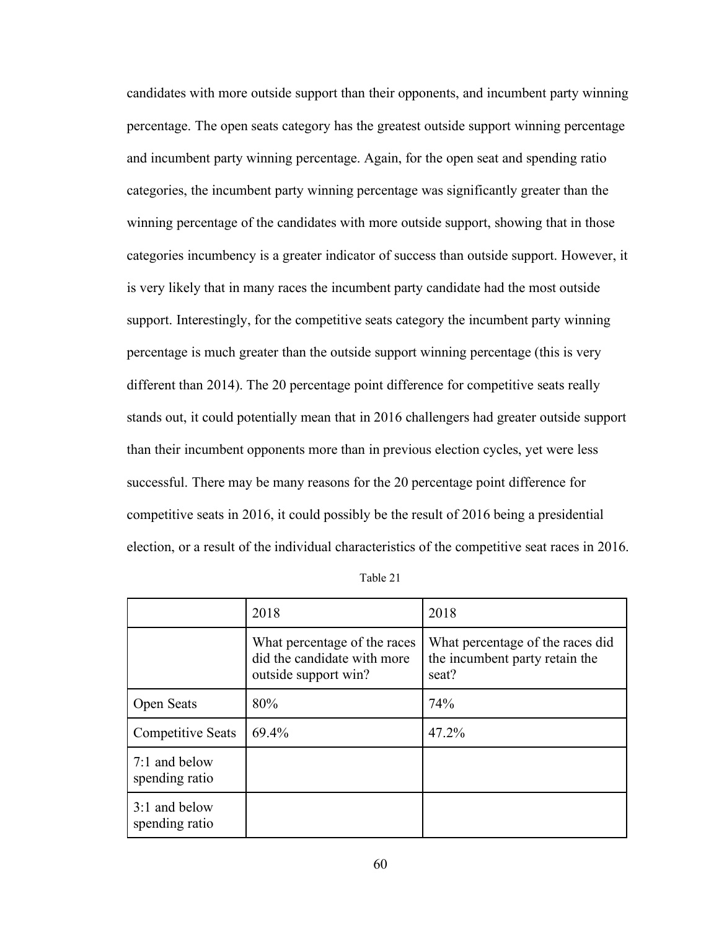candidates with more outside support than their opponents, and incumbent party winning percentage. The open seats category has the greatest outside support winning percentage and incumbent party winning percentage. Again, for the open seat and spending ratio categories, the incumbent party winning percentage was significantly greater than the winning percentage of the candidates with more outside support, showing that in those categories incumbency is a greater indicator of success than outside support. However, it is very likely that in many races the incumbent party candidate had the most outside support. Interestingly, for the competitive seats category the incumbent party winning percentage is much greater than the outside support winning percentage (this is very different than 2014). The 20 percentage point difference for competitive seats really stands out, it could potentially mean that in 2016 challengers had greater outside support than their incumbent opponents more than in previous election cycles, yet were less successful. There may be many reasons for the 20 percentage point difference for competitive seats in 2016, it could possibly be the result of 2016 being a presidential election, or a result of the individual characteristics of the competitive seat races in 2016.

|                                 | 2018                                                                                | 2018                                                                        |
|---------------------------------|-------------------------------------------------------------------------------------|-----------------------------------------------------------------------------|
|                                 | What percentage of the races<br>did the candidate with more<br>outside support win? | What percentage of the races did<br>the incumbent party retain the<br>seat? |
| Open Seats                      | 80%                                                                                 | 74%                                                                         |
| <b>Competitive Seats</b>        | 69.4%                                                                               | 47.2%                                                                       |
| 7:1 and below<br>spending ratio |                                                                                     |                                                                             |
| 3:1 and below<br>spending ratio |                                                                                     |                                                                             |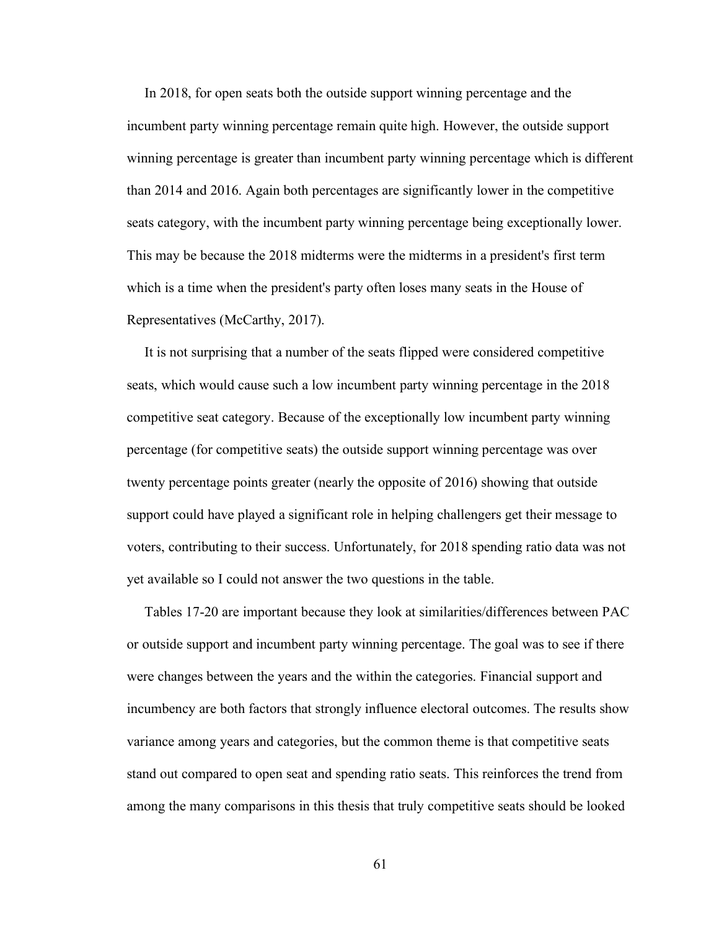In 2018, for open seats both the outside support winning percentage and the incumbent party winning percentage remain quite high. However, the outside support winning percentage is greater than incumbent party winning percentage which is different than 2014 and 2016. Again both percentages are significantly lower in the competitive seats category, with the incumbent party winning percentage being exceptionally lower. This may be because the 2018 midterms were the midterms in a president's first term which is a time when the president's party often loses many seats in the House of Representatives (McCarthy, 2017).

 It is not surprising that a number of the seats flipped were considered competitive seats, which would cause such a low incumbent party winning percentage in the 2018 competitive seat category. Because of the exceptionally low incumbent party winning percentage (for competitive seats) the outside support winning percentage was over twenty percentage points greater (nearly the opposite of 2016) showing that outside support could have played a significant role in helping challengers get their message to voters, contributing to their success. Unfortunately, for 2018 spending ratio data was not yet available so I could not answer the two questions in the table.

 Tables 17-20 are important because they look at similarities/differences between PAC or outside support and incumbent party winning percentage. The goal was to see if there were changes between the years and the within the categories. Financial support and incumbency are both factors that strongly influence electoral outcomes. The results show variance among years and categories, but the common theme is that competitive seats stand out compared to open seat and spending ratio seats. This reinforces the trend from among the many comparisons in this thesis that truly competitive seats should be looked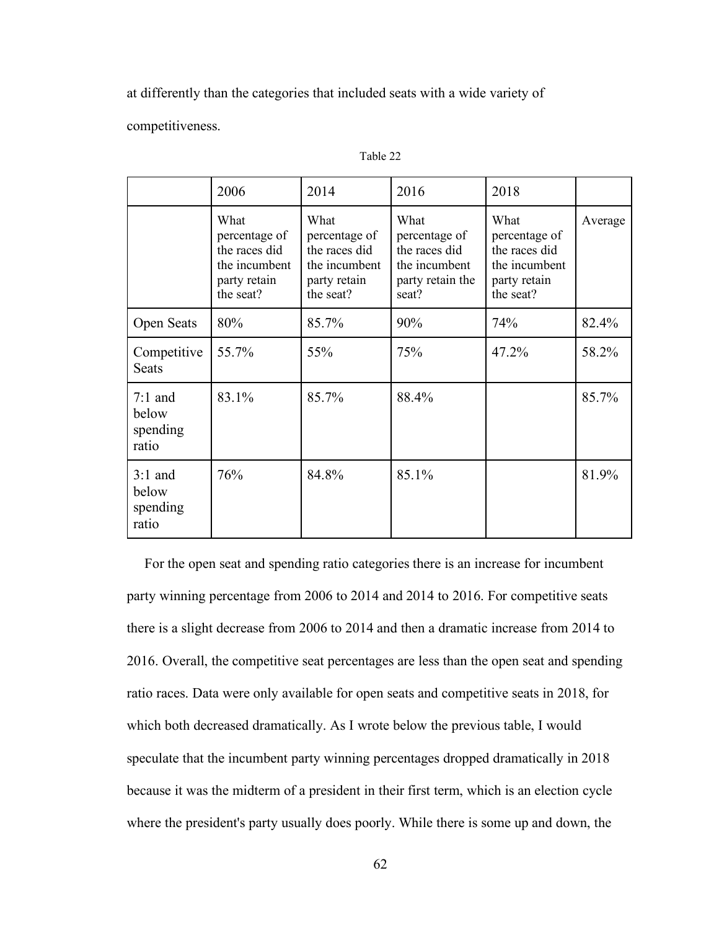at differently than the categories that included seats with a wide variety of

competitiveness.

|                                         | 2006                                                                                 | 2014                                                                                 | 2016                                                                                 | 2018                                                                                 |         |
|-----------------------------------------|--------------------------------------------------------------------------------------|--------------------------------------------------------------------------------------|--------------------------------------------------------------------------------------|--------------------------------------------------------------------------------------|---------|
|                                         | What<br>percentage of<br>the races did<br>the incumbent<br>party retain<br>the seat? | What<br>percentage of<br>the races did<br>the incumbent<br>party retain<br>the seat? | What<br>percentage of<br>the races did<br>the incumbent<br>party retain the<br>seat? | What<br>percentage of<br>the races did<br>the incumbent<br>party retain<br>the seat? | Average |
| <b>Open Seats</b>                       | 80%                                                                                  | 85.7%                                                                                | 90%                                                                                  | 74%                                                                                  | 82.4%   |
| Competitive<br><b>Seats</b>             | 55.7%                                                                                | 55%                                                                                  | 75%                                                                                  | 47.2%                                                                                | 58.2%   |
| $7:1$ and<br>below<br>spending<br>ratio | 83.1%                                                                                | 85.7%                                                                                | 88.4%                                                                                |                                                                                      | 85.7%   |
| $3:1$ and<br>below<br>spending<br>ratio | 76%                                                                                  | 84.8%                                                                                | 85.1%                                                                                |                                                                                      | 81.9%   |

Table 22

 For the open seat and spending ratio categories there is an increase for incumbent party winning percentage from 2006 to 2014 and 2014 to 2016. For competitive seats there is a slight decrease from 2006 to 2014 and then a dramatic increase from 2014 to 2016. Overall, the competitive seat percentages are less than the open seat and spending ratio races. Data were only available for open seats and competitive seats in 2018, for which both decreased dramatically. As I wrote below the previous table, I would speculate that the incumbent party winning percentages dropped dramatically in 2018 because it was the midterm of a president in their first term, which is an election cycle where the president's party usually does poorly. While there is some up and down, the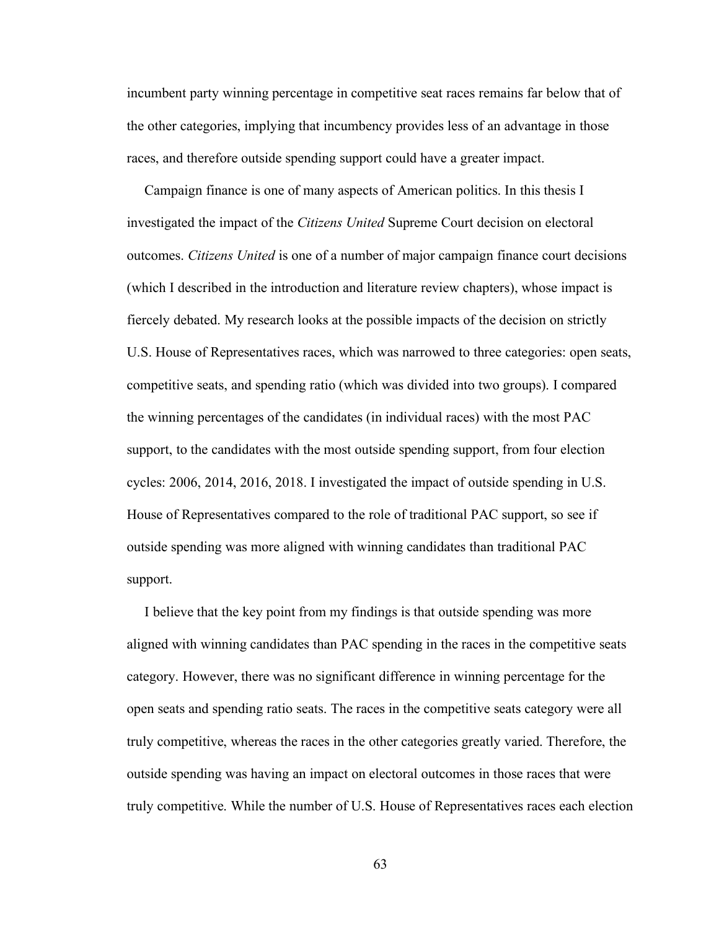incumbent party winning percentage in competitive seat races remains far below that of the other categories, implying that incumbency provides less of an advantage in those races, and therefore outside spending support could have a greater impact.

 Campaign finance is one of many aspects of American politics. In this thesis I investigated the impact of the *Citizens United* Supreme Court decision on electoral outcomes. *Citizens United* is one of a number of major campaign finance court decisions (which I described in the introduction and literature review chapters), whose impact is fiercely debated. My research looks at the possible impacts of the decision on strictly U.S. House of Representatives races, which was narrowed to three categories: open seats, competitive seats, and spending ratio (which was divided into two groups). I compared the winning percentages of the candidates (in individual races) with the most PAC support, to the candidates with the most outside spending support, from four election cycles: 2006, 2014, 2016, 2018. I investigated the impact of outside spending in U.S. House of Representatives compared to the role of traditional PAC support, so see if outside spending was more aligned with winning candidates than traditional PAC support.

 I believe that the key point from my findings is that outside spending was more aligned with winning candidates than PAC spending in the races in the competitive seats category. However, there was no significant difference in winning percentage for the open seats and spending ratio seats. The races in the competitive seats category were all truly competitive, whereas the races in the other categories greatly varied. Therefore, the outside spending was having an impact on electoral outcomes in those races that were truly competitive. While the number of U.S. House of Representatives races each election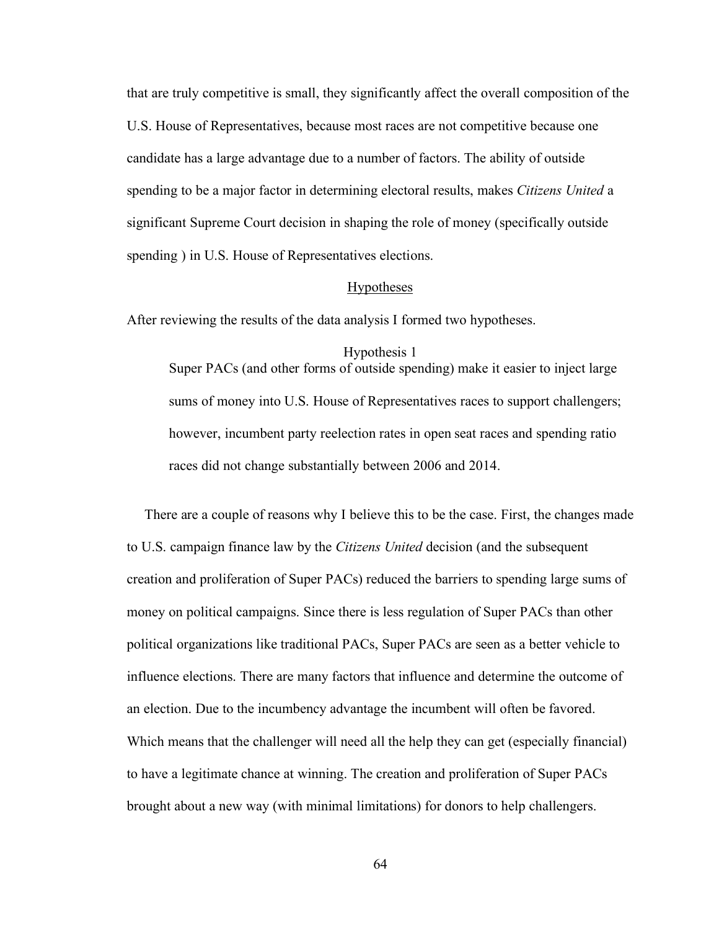that are truly competitive is small, they significantly affect the overall composition of the U.S. House of Representatives, because most races are not competitive because one candidate has a large advantage due to a number of factors. The ability of outside spending to be a major factor in determining electoral results, makes *Citizens United* a significant Supreme Court decision in shaping the role of money (specifically outside spending ) in U.S. House of Representatives elections.

#### Hypotheses

After reviewing the results of the data analysis I formed two hypotheses.

### Hypothesis 1

Super PACs (and other forms of outside spending) make it easier to inject large sums of money into U.S. House of Representatives races to support challengers; however, incumbent party reelection rates in open seat races and spending ratio races did not change substantially between 2006 and 2014.

 There are a couple of reasons why I believe this to be the case. First, the changes made to U.S. campaign finance law by the *Citizens United* decision (and the subsequent creation and proliferation of Super PACs) reduced the barriers to spending large sums of money on political campaigns. Since there is less regulation of Super PACs than other political organizations like traditional PACs, Super PACs are seen as a better vehicle to influence elections. There are many factors that influence and determine the outcome of an election. Due to the incumbency advantage the incumbent will often be favored. Which means that the challenger will need all the help they can get (especially financial) to have a legitimate chance at winning. The creation and proliferation of Super PACs brought about a new way (with minimal limitations) for donors to help challengers.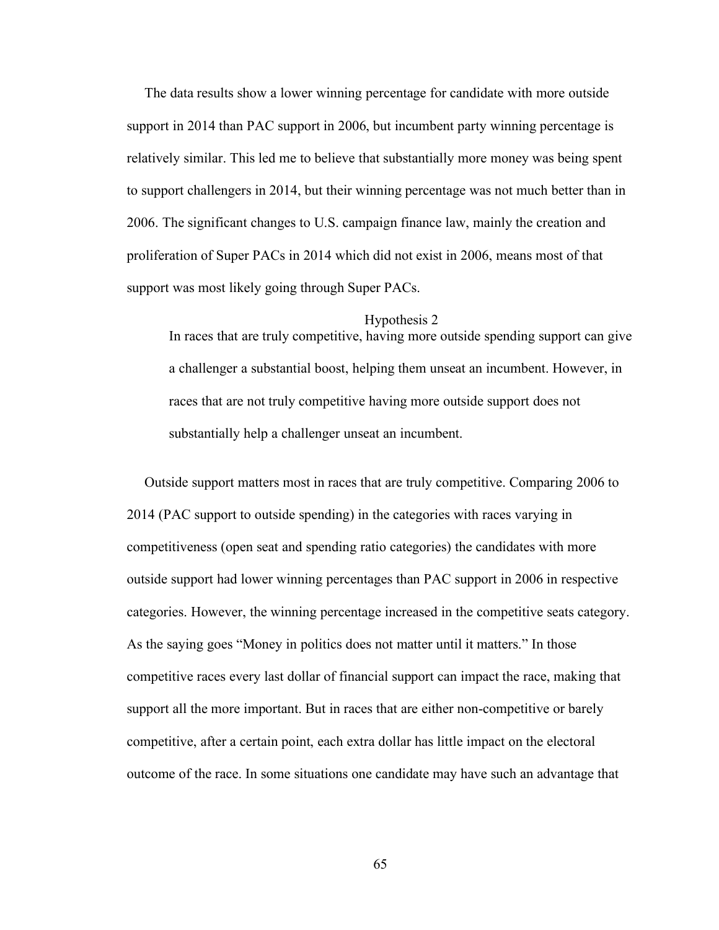The data results show a lower winning percentage for candidate with more outside support in 2014 than PAC support in 2006, but incumbent party winning percentage is relatively similar. This led me to believe that substantially more money was being spent to support challengers in 2014, but their winning percentage was not much better than in 2006. The significant changes to U.S. campaign finance law, mainly the creation and proliferation of Super PACs in 2014 which did not exist in 2006, means most of that support was most likely going through Super PACs.

#### Hypothesis 2

In races that are truly competitive, having more outside spending support can give a challenger a substantial boost, helping them unseat an incumbent. However, in races that are not truly competitive having more outside support does not substantially help a challenger unseat an incumbent.

 Outside support matters most in races that are truly competitive. Comparing 2006 to 2014 (PAC support to outside spending) in the categories with races varying in competitiveness (open seat and spending ratio categories) the candidates with more outside support had lower winning percentages than PAC support in 2006 in respective categories. However, the winning percentage increased in the competitive seats category. As the saying goes "Money in politics does not matter until it matters." In those competitive races every last dollar of financial support can impact the race, making that support all the more important. But in races that are either non-competitive or barely competitive, after a certain point, each extra dollar has little impact on the electoral outcome of the race. In some situations one candidate may have such an advantage that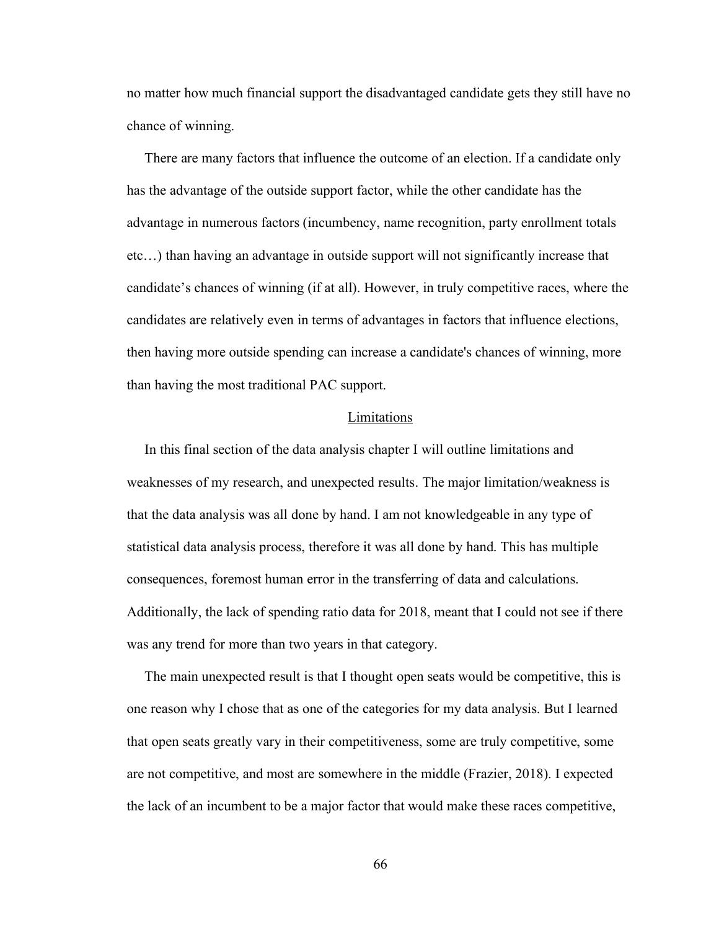no matter how much financial support the disadvantaged candidate gets they still have no chance of winning.

 There are many factors that influence the outcome of an election. If a candidate only has the advantage of the outside support factor, while the other candidate has the advantage in numerous factors (incumbency, name recognition, party enrollment totals etc…) than having an advantage in outside support will not significantly increase that candidate's chances of winning (if at all). However, in truly competitive races, where the candidates are relatively even in terms of advantages in factors that influence elections, then having more outside spending can increase a candidate's chances of winning, more than having the most traditional PAC support.

### **Limitations**

 In this final section of the data analysis chapter I will outline limitations and weaknesses of my research, and unexpected results. The major limitation/weakness is that the data analysis was all done by hand. I am not knowledgeable in any type of statistical data analysis process, therefore it was all done by hand. This has multiple consequences, foremost human error in the transferring of data and calculations. Additionally, the lack of spending ratio data for 2018, meant that I could not see if there was any trend for more than two years in that category.

 The main unexpected result is that I thought open seats would be competitive, this is one reason why I chose that as one of the categories for my data analysis. But I learned that open seats greatly vary in their competitiveness, some are truly competitive, some are not competitive, and most are somewhere in the middle (Frazier, 2018). I expected the lack of an incumbent to be a major factor that would make these races competitive,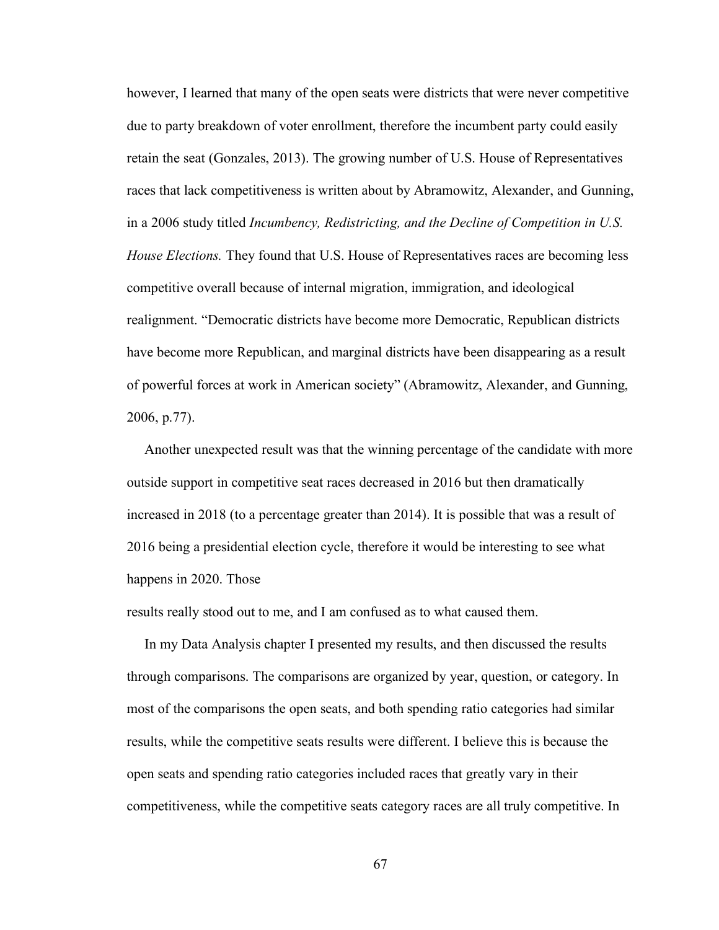however, I learned that many of the open seats were districts that were never competitive due to party breakdown of voter enrollment, therefore the incumbent party could easily retain the seat (Gonzales, 2013). The growing number of U.S. House of Representatives races that lack competitiveness is written about by Abramowitz, Alexander, and Gunning, in a 2006 study titled *Incumbency, Redistricting, and the Decline of Competition in U.S. House Elections.* They found that U.S. House of Representatives races are becoming less competitive overall because of internal migration, immigration, and ideological realignment. "Democratic districts have become more Democratic, Republican districts have become more Republican, and marginal districts have been disappearing as a result of powerful forces at work in American society" (Abramowitz, Alexander, and Gunning, 2006, p.77).

 Another unexpected result was that the winning percentage of the candidate with more outside support in competitive seat races decreased in 2016 but then dramatically increased in 2018 (to a percentage greater than 2014). It is possible that was a result of 2016 being a presidential election cycle, therefore it would be interesting to see what happens in 2020. Those

results really stood out to me, and I am confused as to what caused them.

 In my Data Analysis chapter I presented my results, and then discussed the results through comparisons. The comparisons are organized by year, question, or category. In most of the comparisons the open seats, and both spending ratio categories had similar results, while the competitive seats results were different. I believe this is because the open seats and spending ratio categories included races that greatly vary in their competitiveness, while the competitive seats category races are all truly competitive. In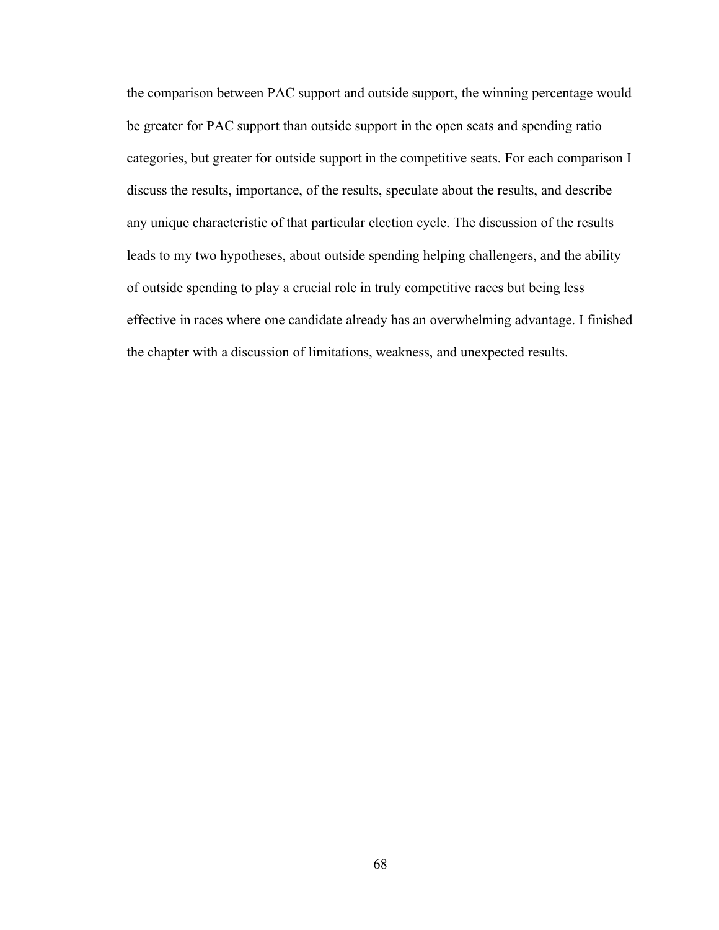the comparison between PAC support and outside support, the winning percentage would be greater for PAC support than outside support in the open seats and spending ratio categories, but greater for outside support in the competitive seats. For each comparison I discuss the results, importance, of the results, speculate about the results, and describe any unique characteristic of that particular election cycle. The discussion of the results leads to my two hypotheses, about outside spending helping challengers, and the ability of outside spending to play a crucial role in truly competitive races but being less effective in races where one candidate already has an overwhelming advantage. I finished the chapter with a discussion of limitations, weakness, and unexpected results.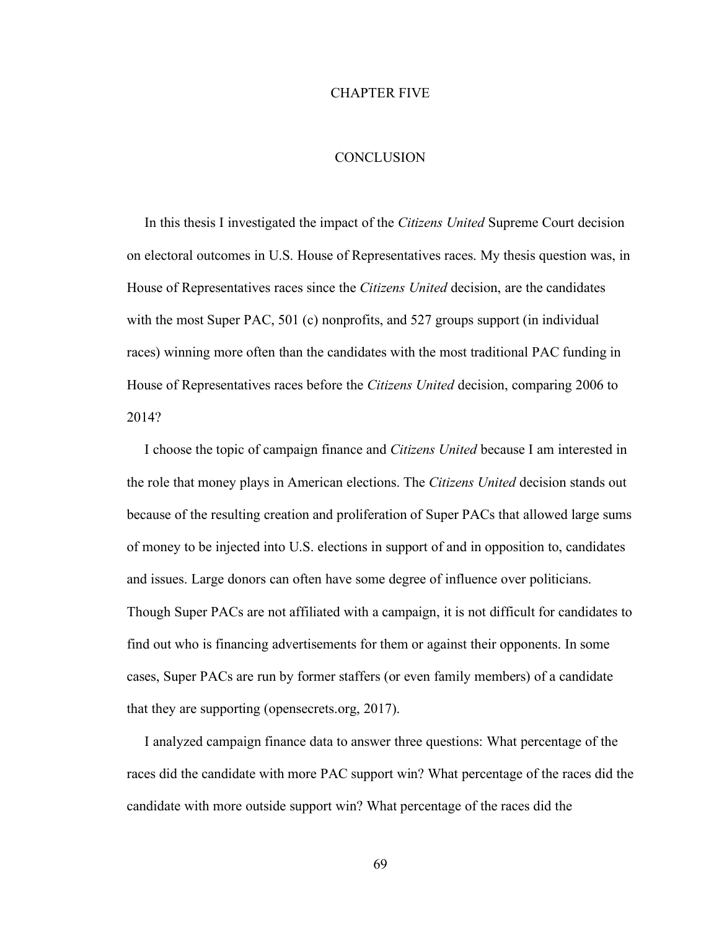## CHAPTER FIVE

## **CONCLUSION**

 In this thesis I investigated the impact of the *Citizens United* Supreme Court decision on electoral outcomes in U.S. House of Representatives races. My thesis question was, in House of Representatives races since the *Citizens United* decision, are the candidates with the most Super PAC, 501 (c) nonprofits, and 527 groups support (in individual races) winning more often than the candidates with the most traditional PAC funding in House of Representatives races before the *Citizens United* decision, comparing 2006 to 2014?

 I choose the topic of campaign finance and *Citizens United* because I am interested in the role that money plays in American elections. The *Citizens United* decision stands out because of the resulting creation and proliferation of Super PACs that allowed large sums of money to be injected into U.S. elections in support of and in opposition to, candidates and issues. Large donors can often have some degree of influence over politicians. Though Super PACs are not affiliated with a campaign, it is not difficult for candidates to find out who is financing advertisements for them or against their opponents. In some cases, Super PACs are run by former staffers (or even family members) of a candidate that they are supporting (opensecrets.org, 2017).

 I analyzed campaign finance data to answer three questions: What percentage of the races did the candidate with more PAC support win? What percentage of the races did the candidate with more outside support win? What percentage of the races did the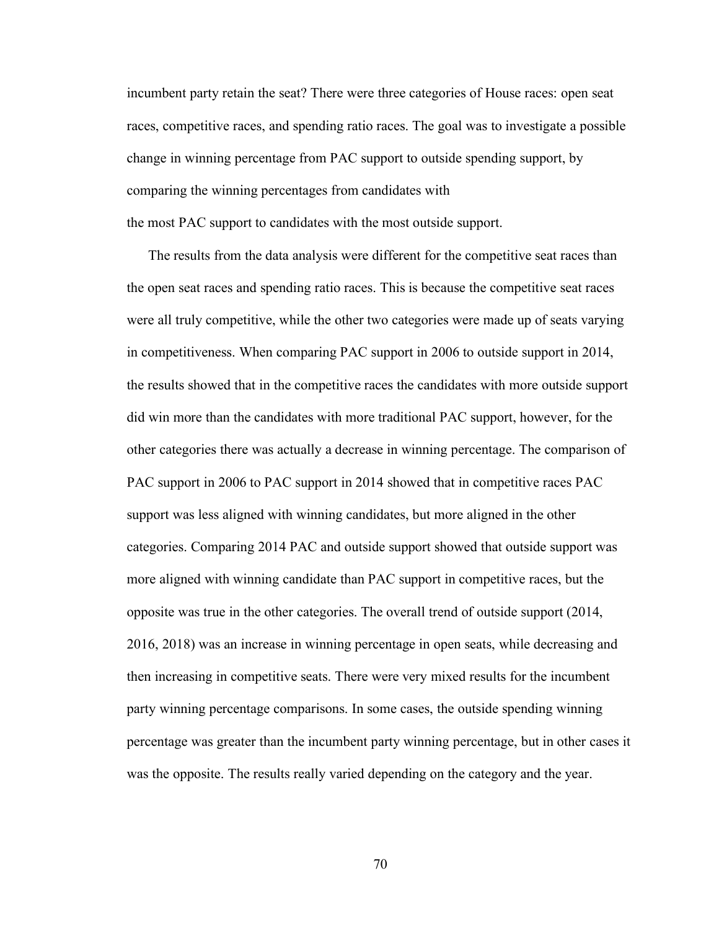incumbent party retain the seat? There were three categories of House races: open seat races, competitive races, and spending ratio races. The goal was to investigate a possible change in winning percentage from PAC support to outside spending support, by comparing the winning percentages from candidates with the most PAC support to candidates with the most outside support.

 The results from the data analysis were different for the competitive seat races than the open seat races and spending ratio races. This is because the competitive seat races were all truly competitive, while the other two categories were made up of seats varying in competitiveness. When comparing PAC support in 2006 to outside support in 2014, the results showed that in the competitive races the candidates with more outside support did win more than the candidates with more traditional PAC support, however, for the other categories there was actually a decrease in winning percentage. The comparison of PAC support in 2006 to PAC support in 2014 showed that in competitive races PAC support was less aligned with winning candidates, but more aligned in the other categories. Comparing 2014 PAC and outside support showed that outside support was more aligned with winning candidate than PAC support in competitive races, but the opposite was true in the other categories. The overall trend of outside support (2014, 2016, 2018) was an increase in winning percentage in open seats, while decreasing and then increasing in competitive seats. There were very mixed results for the incumbent party winning percentage comparisons. In some cases, the outside spending winning percentage was greater than the incumbent party winning percentage, but in other cases it was the opposite. The results really varied depending on the category and the year.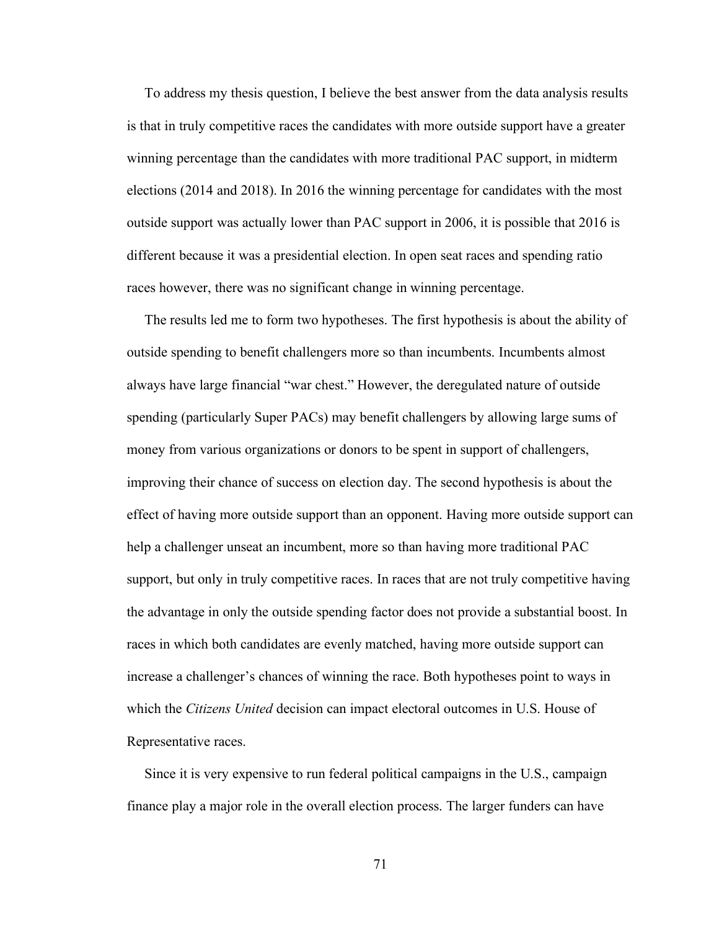To address my thesis question, I believe the best answer from the data analysis results is that in truly competitive races the candidates with more outside support have a greater winning percentage than the candidates with more traditional PAC support, in midterm elections (2014 and 2018). In 2016 the winning percentage for candidates with the most outside support was actually lower than PAC support in 2006, it is possible that 2016 is different because it was a presidential election. In open seat races and spending ratio races however, there was no significant change in winning percentage.

 The results led me to form two hypotheses. The first hypothesis is about the ability of outside spending to benefit challengers more so than incumbents. Incumbents almost always have large financial "war chest." However, the deregulated nature of outside spending (particularly Super PACs) may benefit challengers by allowing large sums of money from various organizations or donors to be spent in support of challengers, improving their chance of success on election day. The second hypothesis is about the effect of having more outside support than an opponent. Having more outside support can help a challenger unseat an incumbent, more so than having more traditional PAC support, but only in truly competitive races. In races that are not truly competitive having the advantage in only the outside spending factor does not provide a substantial boost. In races in which both candidates are evenly matched, having more outside support can increase a challenger's chances of winning the race. Both hypotheses point to ways in which the *Citizens United* decision can impact electoral outcomes in U.S. House of Representative races.

 Since it is very expensive to run federal political campaigns in the U.S., campaign finance play a major role in the overall election process. The larger funders can have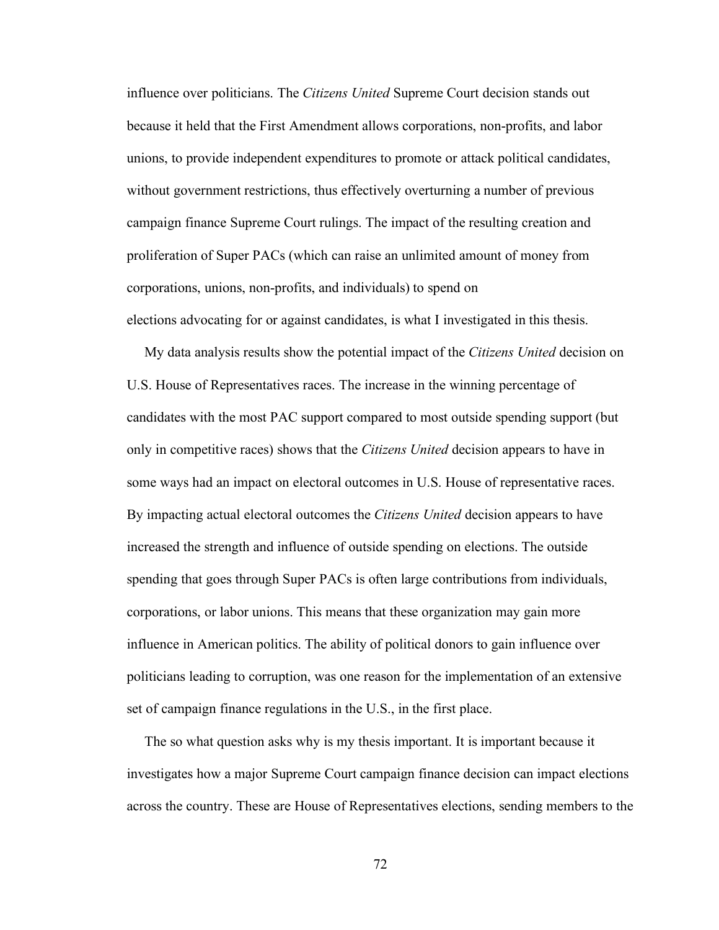influence over politicians. The *Citizens United* Supreme Court decision stands out because it held that the First Amendment allows corporations, non-profits, and labor unions, to provide independent expenditures to promote or attack political candidates, without government restrictions, thus effectively overturning a number of previous campaign finance Supreme Court rulings. The impact of the resulting creation and proliferation of Super PACs (which can raise an unlimited amount of money from corporations, unions, non-profits, and individuals) to spend on elections advocating for or against candidates, is what I investigated in this thesis.

 My data analysis results show the potential impact of the *Citizens United* decision on U.S. House of Representatives races. The increase in the winning percentage of candidates with the most PAC support compared to most outside spending support (but only in competitive races) shows that the *Citizens United* decision appears to have in some ways had an impact on electoral outcomes in U.S. House of representative races. By impacting actual electoral outcomes the *Citizens United* decision appears to have increased the strength and influence of outside spending on elections. The outside spending that goes through Super PACs is often large contributions from individuals, corporations, or labor unions. This means that these organization may gain more influence in American politics. The ability of political donors to gain influence over politicians leading to corruption, was one reason for the implementation of an extensive set of campaign finance regulations in the U.S., in the first place.

 The so what question asks why is my thesis important. It is important because it investigates how a major Supreme Court campaign finance decision can impact elections across the country. These are House of Representatives elections, sending members to the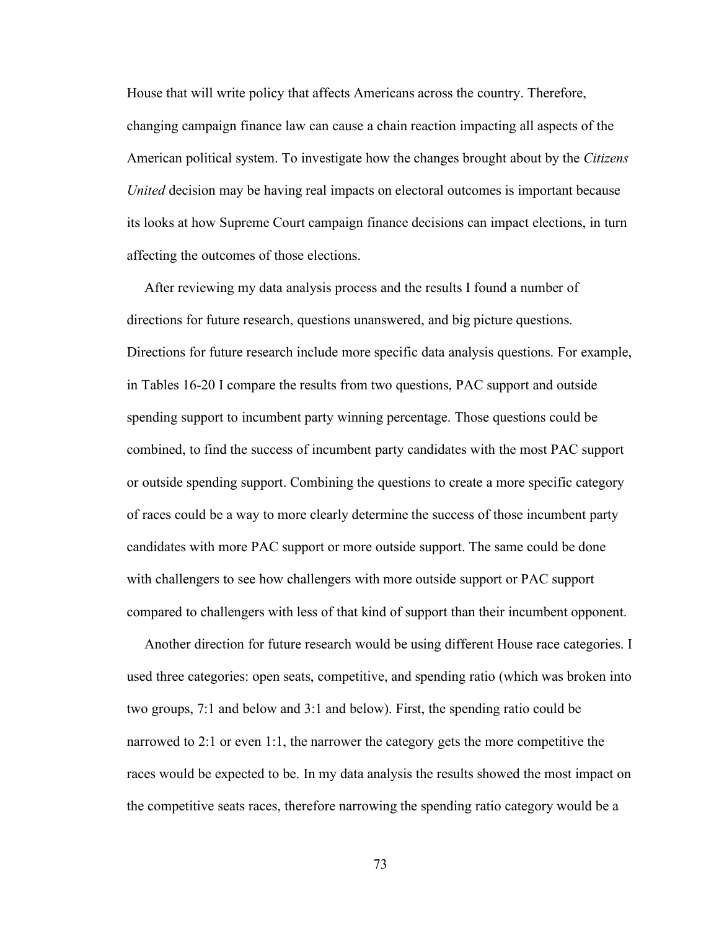House that will write policy that affects Americans across the country. Therefore, changing campaign finance law can cause a chain reaction impacting all aspects of the American political system. To investigate how the changes brought about by the *Citizens United* decision may be having real impacts on electoral outcomes is important because its looks at how Supreme Court campaign finance decisions can impact elections, in turn affecting the outcomes of those elections.

 After reviewing my data analysis process and the results I found a number of directions for future research, questions unanswered, and big picture questions. Directions for future research include more specific data analysis questions. For example, in Tables 16-20 I compare the results from two questions, PAC support and outside spending support to incumbent party winning percentage. Those questions could be combined, to find the success of incumbent party candidates with the most PAC support or outside spending support. Combining the questions to create a more specific category of races could be a way to more clearly determine the success of those incumbent party candidates with more PAC support or more outside support. The same could be done with challengers to see how challengers with more outside support or PAC support compared to challengers with less of that kind of support than their incumbent opponent.

 Another direction for future research would be using different House race categories. I used three categories: open seats, competitive, and spending ratio (which was broken into two groups, 7:1 and below and 3:1 and below). First, the spending ratio could be narrowed to 2:1 or even 1:1, the narrower the category gets the more competitive the races would be expected to be. In my data analysis the results showed the most impact on the competitive seats races, therefore narrowing the spending ratio category would be a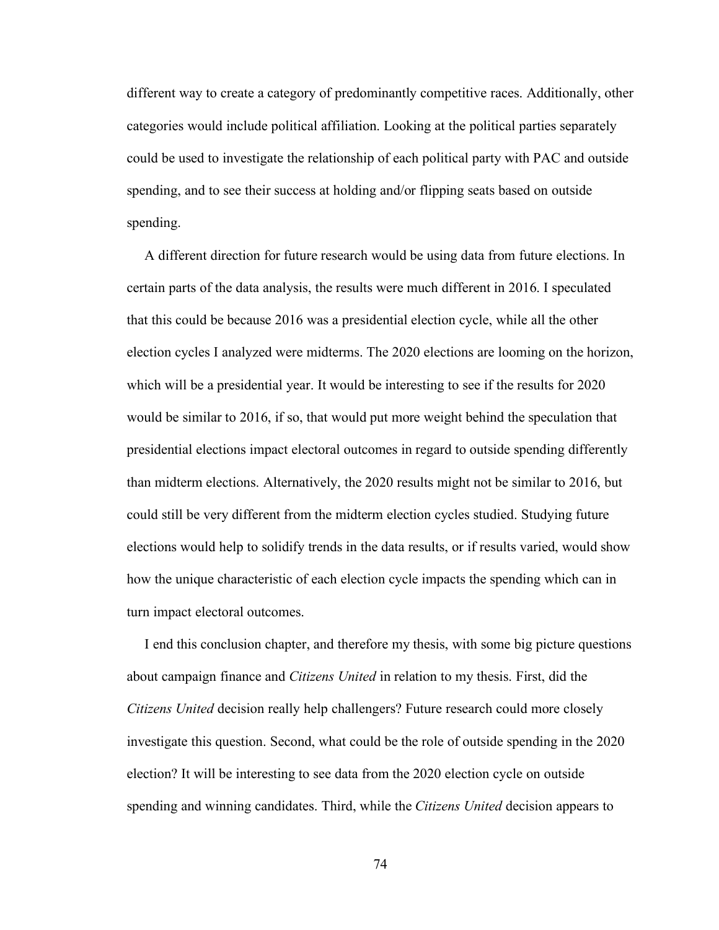different way to create a category of predominantly competitive races. Additionally, other categories would include political affiliation. Looking at the political parties separately could be used to investigate the relationship of each political party with PAC and outside spending, and to see their success at holding and/or flipping seats based on outside spending.

 A different direction for future research would be using data from future elections. In certain parts of the data analysis, the results were much different in 2016. I speculated that this could be because 2016 was a presidential election cycle, while all the other election cycles I analyzed were midterms. The 2020 elections are looming on the horizon, which will be a presidential year. It would be interesting to see if the results for 2020 would be similar to 2016, if so, that would put more weight behind the speculation that presidential elections impact electoral outcomes in regard to outside spending differently than midterm elections. Alternatively, the 2020 results might not be similar to 2016, but could still be very different from the midterm election cycles studied. Studying future elections would help to solidify trends in the data results, or if results varied, would show how the unique characteristic of each election cycle impacts the spending which can in turn impact electoral outcomes.

 I end this conclusion chapter, and therefore my thesis, with some big picture questions about campaign finance and *Citizens United* in relation to my thesis. First, did the *Citizens United* decision really help challengers? Future research could more closely investigate this question. Second, what could be the role of outside spending in the 2020 election? It will be interesting to see data from the 2020 election cycle on outside spending and winning candidates. Third, while the *Citizens United* decision appears to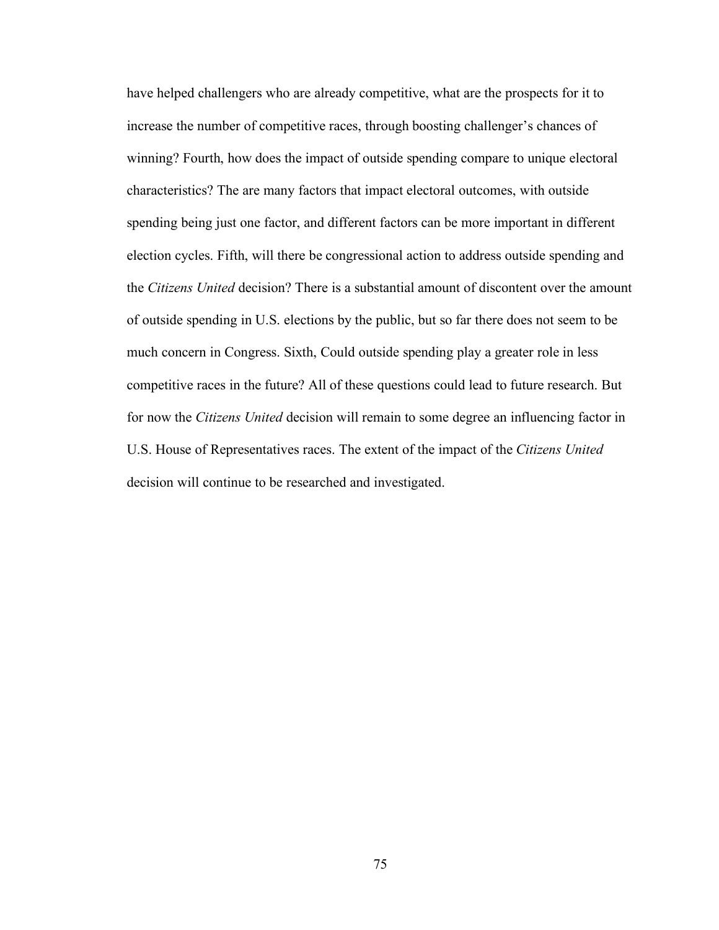have helped challengers who are already competitive, what are the prospects for it to increase the number of competitive races, through boosting challenger's chances of winning? Fourth, how does the impact of outside spending compare to unique electoral characteristics? The are many factors that impact electoral outcomes, with outside spending being just one factor, and different factors can be more important in different election cycles. Fifth, will there be congressional action to address outside spending and the *Citizens United* decision? There is a substantial amount of discontent over the amount of outside spending in U.S. elections by the public, but so far there does not seem to be much concern in Congress. Sixth, Could outside spending play a greater role in less competitive races in the future? All of these questions could lead to future research. But for now the *Citizens United* decision will remain to some degree an influencing factor in U.S. House of Representatives races. The extent of the impact of the *Citizens United* decision will continue to be researched and investigated.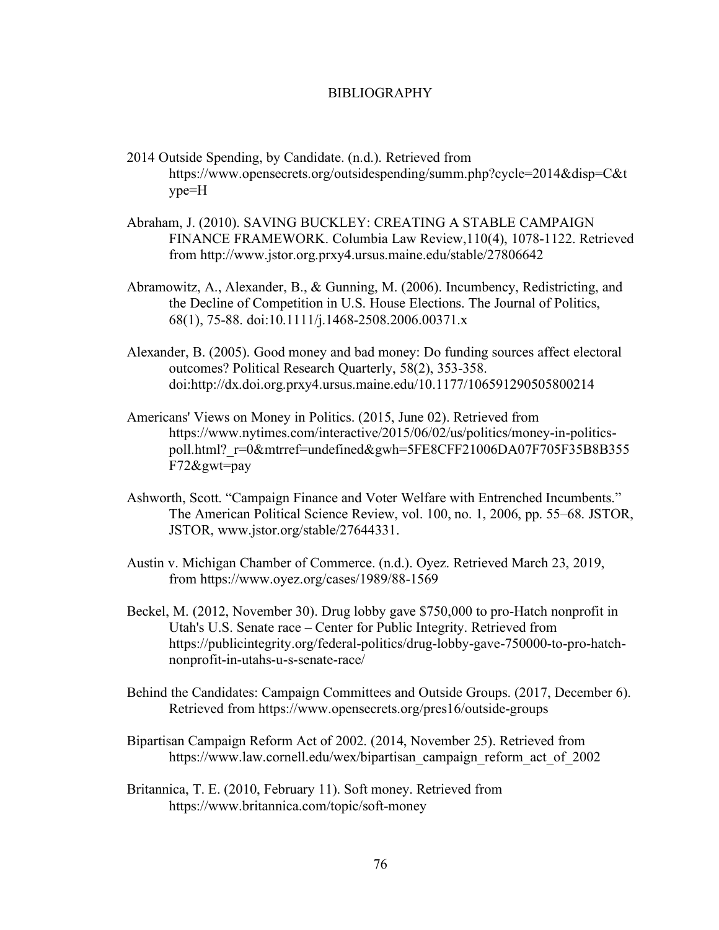## BIBLIOGRAPHY

- 2014 Outside Spending, by Candidate. (n.d.). Retrieved from https://www.opensecrets.org/outsidespending/summ.php?cycle=2014&disp=C&t ype=H
- Abraham, J. (2010). SAVING BUCKLEY: CREATING A STABLE CAMPAIGN FINANCE FRAMEWORK. Columbia Law Review,110(4), 1078-1122. Retrieved from http://www.jstor.org.prxy4.ursus.maine.edu/stable/27806642
- Abramowitz, A., Alexander, B., & Gunning, M. (2006). Incumbency, Redistricting, and the Decline of Competition in U.S. House Elections. The Journal of Politics, 68(1), 75-88. doi:10.1111/j.1468-2508.2006.00371.x
- Alexander, B. (2005). Good money and bad money: Do funding sources affect electoral outcomes? Political Research Quarterly, 58(2), 353-358. doi:http://dx.doi.org.prxy4.ursus.maine.edu/10.1177/106591290505800214
- Americans' Views on Money in Politics. (2015, June 02). Retrieved from https://www.nytimes.com/interactive/2015/06/02/us/politics/money-in-politicspoll.html? r=0&mtrref=undefined&gwh=5FE8CFF21006DA07F705F35B8B355 F72&gwt=pay
- Ashworth, Scott. "Campaign Finance and Voter Welfare with Entrenched Incumbents." The American Political Science Review, vol. 100, no. 1, 2006, pp. 55–68. JSTOR, JSTOR, www.jstor.org/stable/27644331.
- Austin v. Michigan Chamber of Commerce. (n.d.). Oyez. Retrieved March 23, 2019, from https://www.oyez.org/cases/1989/88-1569
- Beckel, M. (2012, November 30). Drug lobby gave \$750,000 to pro-Hatch nonprofit in Utah's U.S. Senate race – Center for Public Integrity. Retrieved from https://publicintegrity.org/federal-politics/drug-lobby-gave-750000-to-pro-hatchnonprofit-in-utahs-u-s-senate-race/
- Behind the Candidates: Campaign Committees and Outside Groups. (2017, December 6). Retrieved from https://www.opensecrets.org/pres16/outside-groups
- Bipartisan Campaign Reform Act of 2002. (2014, November 25). Retrieved from https://www.law.cornell.edu/wex/bipartisan\_campaign\_reform\_act\_of\_2002
- Britannica, T. E. (2010, February 11). Soft money. Retrieved from https://www.britannica.com/topic/soft-money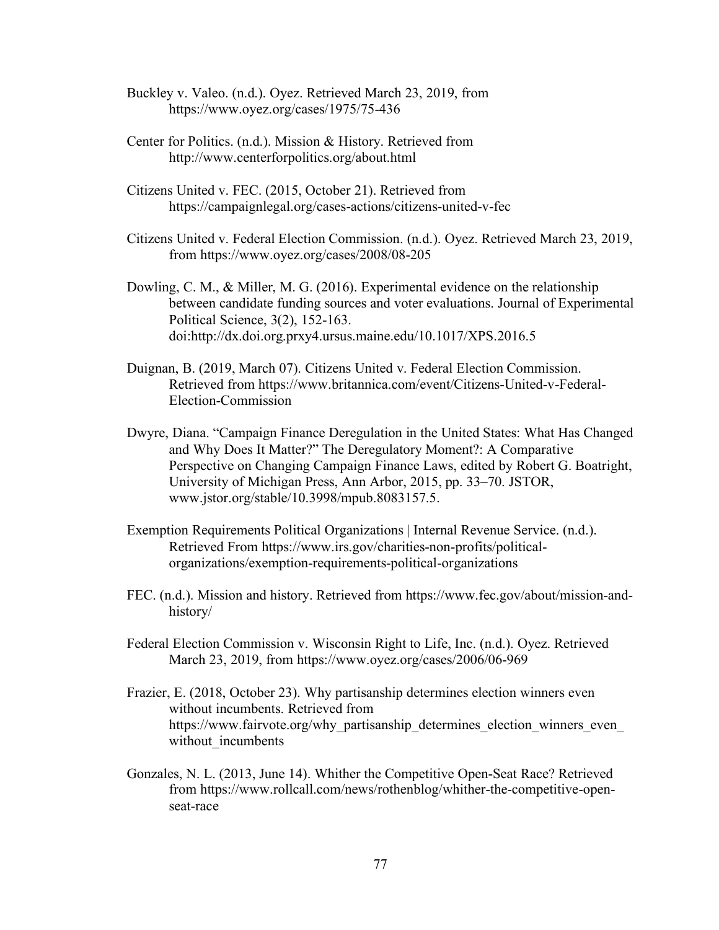- Buckley v. Valeo. (n.d.). Oyez. Retrieved March 23, 2019, from https://www.oyez.org/cases/1975/75-436
- Center for Politics. (n.d.). Mission & History. Retrieved from http://www.centerforpolitics.org/about.html
- Citizens United v. FEC. (2015, October 21). Retrieved from https://campaignlegal.org/cases-actions/citizens-united-v-fec
- Citizens United v. Federal Election Commission. (n.d.). Oyez. Retrieved March 23, 2019, from https://www.oyez.org/cases/2008/08-205
- Dowling, C. M., & Miller, M. G. (2016). Experimental evidence on the relationship between candidate funding sources and voter evaluations. Journal of Experimental Political Science, 3(2), 152-163. doi:http://dx.doi.org.prxy4.ursus.maine.edu/10.1017/XPS.2016.5
- Duignan, B. (2019, March 07). Citizens United v. Federal Election Commission. Retrieved from https://www.britannica.com/event/Citizens-United-v-Federal-Election-Commission
- Dwyre, Diana. "Campaign Finance Deregulation in the United States: What Has Changed and Why Does It Matter?" The Deregulatory Moment?: A Comparative Perspective on Changing Campaign Finance Laws, edited by Robert G. Boatright, University of Michigan Press, Ann Arbor, 2015, pp. 33–70. JSTOR, www.jstor.org/stable/10.3998/mpub.8083157.5.
- Exemption Requirements Political Organizations | Internal Revenue Service. (n.d.). Retrieved From https://www.irs.gov/charities-non-profits/politicalorganizations/exemption-requirements-political-organizations
- FEC. (n.d.). Mission and history. Retrieved from https://www.fec.gov/about/mission-andhistory/
- Federal Election Commission v. Wisconsin Right to Life, Inc. (n.d.). Oyez. Retrieved March 23, 2019, from https://www.oyez.org/cases/2006/06-969
- Frazier, E. (2018, October 23). Why partisanship determines election winners even without incumbents. Retrieved from https://www.fairvote.org/why\_partisanship\_determines\_election\_winners\_even without incumbents
- Gonzales, N. L. (2013, June 14). Whither the Competitive Open-Seat Race? Retrieved from https://www.rollcall.com/news/rothenblog/whither-the-competitive-openseat-race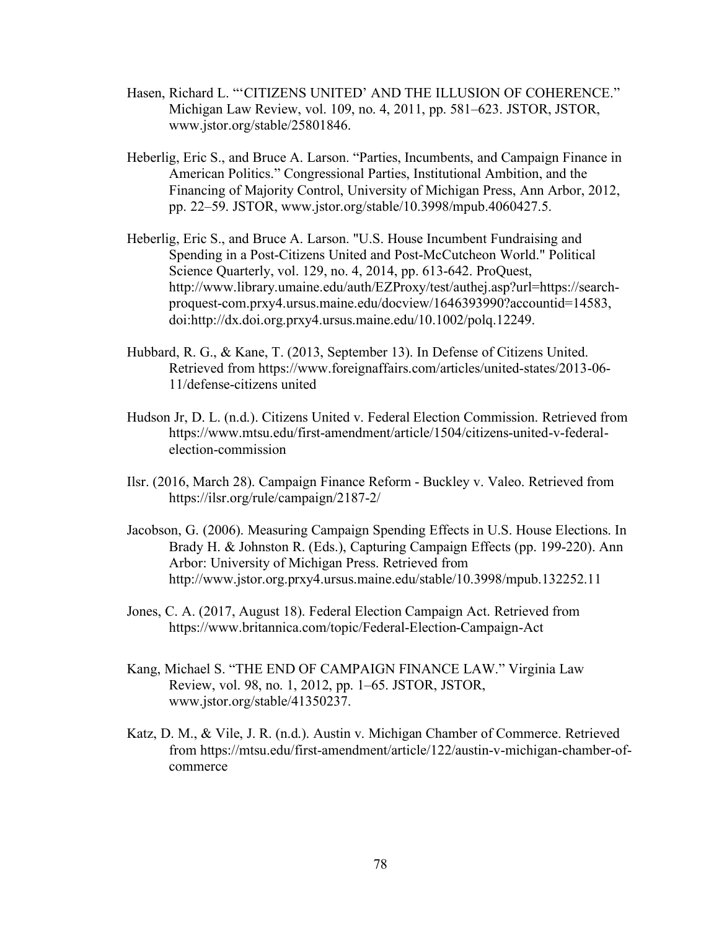- Hasen, Richard L. "'CITIZENS UNITED' AND THE ILLUSION OF COHERENCE." Michigan Law Review, vol. 109, no. 4, 2011, pp. 581–623. JSTOR, JSTOR, www.jstor.org/stable/25801846.
- Heberlig, Eric S., and Bruce A. Larson. "Parties, Incumbents, and Campaign Finance in American Politics." Congressional Parties, Institutional Ambition, and the Financing of Majority Control, University of Michigan Press, Ann Arbor, 2012, pp. 22–59. JSTOR, www.jstor.org/stable/10.3998/mpub.4060427.5.
- Heberlig, Eric S., and Bruce A. Larson. "U.S. House Incumbent Fundraising and Spending in a Post-Citizens United and Post-McCutcheon World." Political Science Quarterly, vol. 129, no. 4, 2014, pp. 613-642. ProQuest, http://www.library.umaine.edu/auth/EZProxy/test/authej.asp?url=https://searchproquest-com.prxy4.ursus.maine.edu/docview/1646393990?accountid=14583, doi:http://dx.doi.org.prxy4.ursus.maine.edu/10.1002/polq.12249.
- Hubbard, R. G., & Kane, T. (2013, September 13). In Defense of Citizens United. Retrieved from https://www.foreignaffairs.com/articles/united-states/2013-06- 11/defense-citizens united
- Hudson Jr, D. L. (n.d.). Citizens United v. Federal Election Commission. Retrieved from https://www.mtsu.edu/first-amendment/article/1504/citizens-united-v-federalelection-commission
- Ilsr. (2016, March 28). Campaign Finance Reform Buckley v. Valeo. Retrieved from https://ilsr.org/rule/campaign/2187-2/
- Jacobson, G. (2006). Measuring Campaign Spending Effects in U.S. House Elections. In Brady H. & Johnston R. (Eds.), Capturing Campaign Effects (pp. 199-220). Ann Arbor: University of Michigan Press. Retrieved from http://www.jstor.org.prxy4.ursus.maine.edu/stable/10.3998/mpub.132252.11
- Jones, C. A. (2017, August 18). Federal Election Campaign Act. Retrieved from https://www.britannica.com/topic/Federal-Election-Campaign-Act
- Kang, Michael S. "THE END OF CAMPAIGN FINANCE LAW." Virginia Law Review, vol. 98, no. 1, 2012, pp. 1–65. JSTOR, JSTOR, www.jstor.org/stable/41350237.
- Katz, D. M., & Vile, J. R. (n.d.). Austin v. Michigan Chamber of Commerce. Retrieved from https://mtsu.edu/first-amendment/article/122/austin-v-michigan-chamber-ofcommerce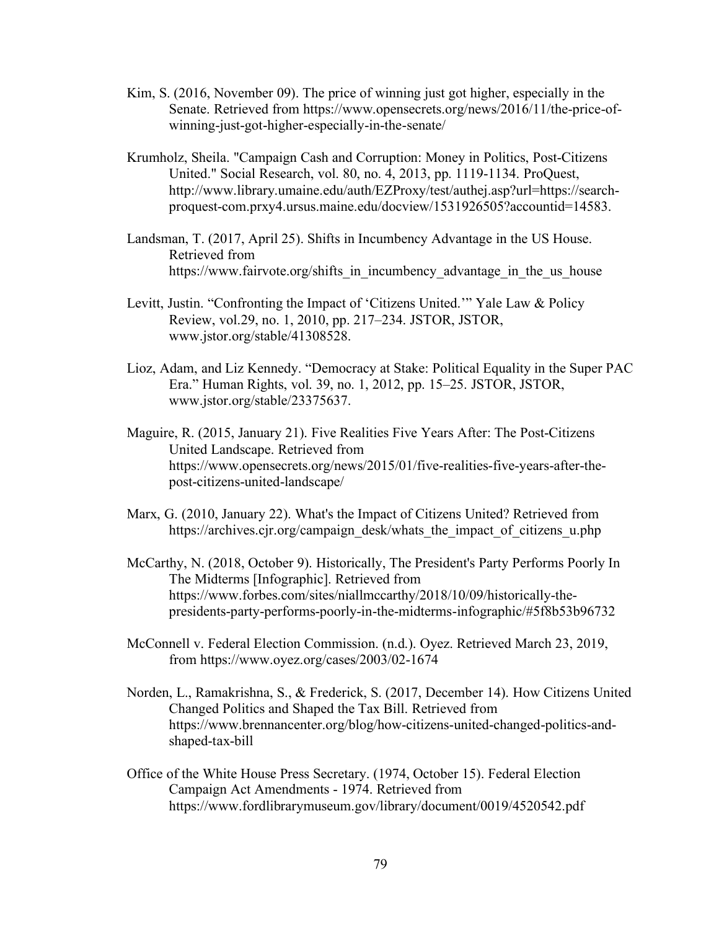- Kim, S. (2016, November 09). The price of winning just got higher, especially in the Senate. Retrieved from https://www.opensecrets.org/news/2016/11/the-price-ofwinning-just-got-higher-especially-in-the-senate/
- Krumholz, Sheila. "Campaign Cash and Corruption: Money in Politics, Post-Citizens United." Social Research, vol. 80, no. 4, 2013, pp. 1119-1134. ProQuest, http://www.library.umaine.edu/auth/EZProxy/test/authej.asp?url=https://searchproquest-com.prxy4.ursus.maine.edu/docview/1531926505?accountid=14583.
- Landsman, T. (2017, April 25). Shifts in Incumbency Advantage in the US House. Retrieved from https://www.fairvote.org/shifts\_in\_incumbency\_advantage\_in\_the\_us\_house
- Levitt, Justin. "Confronting the Impact of 'Citizens United.'" Yale Law & Policy Review, vol.29, no. 1, 2010, pp. 217–234. JSTOR, JSTOR, www.jstor.org/stable/41308528.
- Lioz, Adam, and Liz Kennedy. "Democracy at Stake: Political Equality in the Super PAC Era." Human Rights, vol. 39, no. 1, 2012, pp. 15–25. JSTOR, JSTOR, www.jstor.org/stable/23375637.
- Maguire, R. (2015, January 21). Five Realities Five Years After: The Post-Citizens United Landscape. Retrieved from https://www.opensecrets.org/news/2015/01/five-realities-five-years-after-thepost-citizens-united-landscape/
- Marx, G. (2010, January 22). What's the Impact of Citizens United? Retrieved from https://archives.cjr.org/campaign\_desk/whats\_the\_impact\_of\_citizens\_u.php
- McCarthy, N. (2018, October 9). Historically, The President's Party Performs Poorly In The Midterms [Infographic]. Retrieved from https://www.forbes.com/sites/niallmccarthy/2018/10/09/historically-thepresidents-party-performs-poorly-in-the-midterms-infographic/#5f8b53b96732
- McConnell v. Federal Election Commission. (n.d.). Oyez. Retrieved March 23, 2019, from https://www.oyez.org/cases/2003/02-1674
- Norden, L., Ramakrishna, S., & Frederick, S. (2017, December 14). How Citizens United Changed Politics and Shaped the Tax Bill. Retrieved from https://www.brennancenter.org/blog/how-citizens-united-changed-politics-andshaped-tax-bill
- Office of the White House Press Secretary. (1974, October 15). Federal Election Campaign Act Amendments - 1974. Retrieved from https://www.fordlibrarymuseum.gov/library/document/0019/4520542.pdf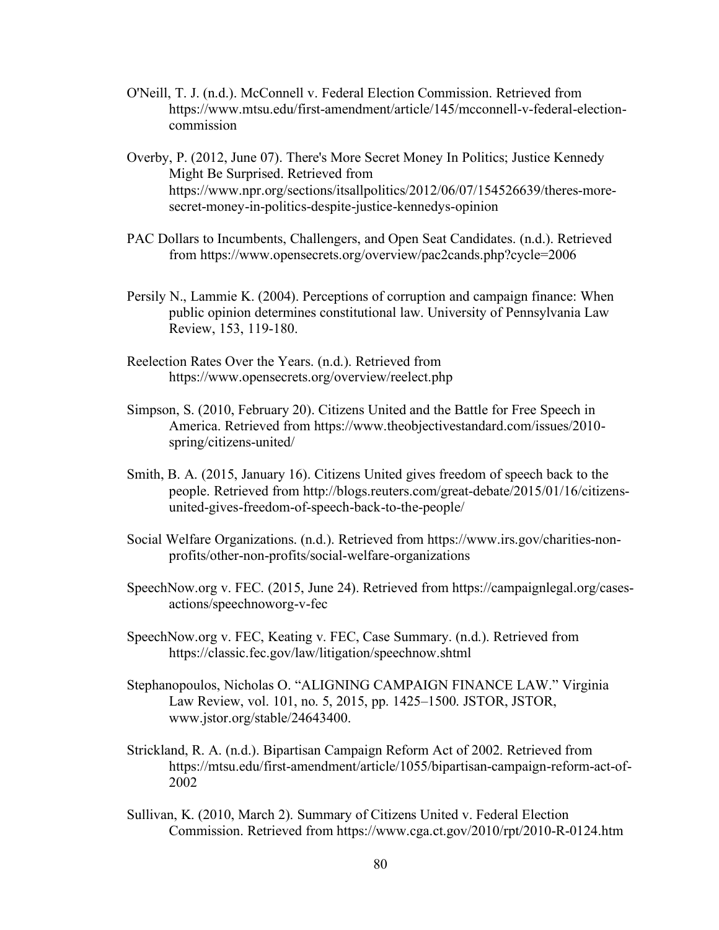- O'Neill, T. J. (n.d.). McConnell v. Federal Election Commission. Retrieved from https://www.mtsu.edu/first-amendment/article/145/mcconnell-v-federal-electioncommission
- Overby, P. (2012, June 07). There's More Secret Money In Politics; Justice Kennedy Might Be Surprised. Retrieved from https://www.npr.org/sections/itsallpolitics/2012/06/07/154526639/theres-moresecret-money-in-politics-despite-justice-kennedys-opinion
- PAC Dollars to Incumbents, Challengers, and Open Seat Candidates. (n.d.). Retrieved from https://www.opensecrets.org/overview/pac2cands.php?cycle=2006
- Persily N., Lammie K. (2004). Perceptions of corruption and campaign finance: When public opinion determines constitutional law. University of Pennsylvania Law Review, 153, 119-180.
- Reelection Rates Over the Years. (n.d.). Retrieved from https://www.opensecrets.org/overview/reelect.php
- Simpson, S. (2010, February 20). Citizens United and the Battle for Free Speech in America. Retrieved from https://www.theobjectivestandard.com/issues/2010 spring/citizens-united/
- Smith, B. A. (2015, January 16). Citizens United gives freedom of speech back to the people. Retrieved from http://blogs.reuters.com/great-debate/2015/01/16/citizensunited-gives-freedom-of-speech-back-to-the-people/
- Social Welfare Organizations. (n.d.). Retrieved from https://www.irs.gov/charities-nonprofits/other-non-profits/social-welfare-organizations
- SpeechNow.org v. FEC. (2015, June 24). Retrieved from https://campaignlegal.org/casesactions/speechnoworg-v-fec
- SpeechNow.org v. FEC, Keating v. FEC, Case Summary. (n.d.). Retrieved from https://classic.fec.gov/law/litigation/speechnow.shtml
- Stephanopoulos, Nicholas O. "ALIGNING CAMPAIGN FINANCE LAW." Virginia Law Review, vol. 101, no. 5, 2015, pp. 1425–1500. JSTOR, JSTOR, www.jstor.org/stable/24643400.
- Strickland, R. A. (n.d.). Bipartisan Campaign Reform Act of 2002. Retrieved from https://mtsu.edu/first-amendment/article/1055/bipartisan-campaign-reform-act-of-2002
- Sullivan, K. (2010, March 2). Summary of Citizens United v. Federal Election Commission. Retrieved from https://www.cga.ct.gov/2010/rpt/2010-R-0124.htm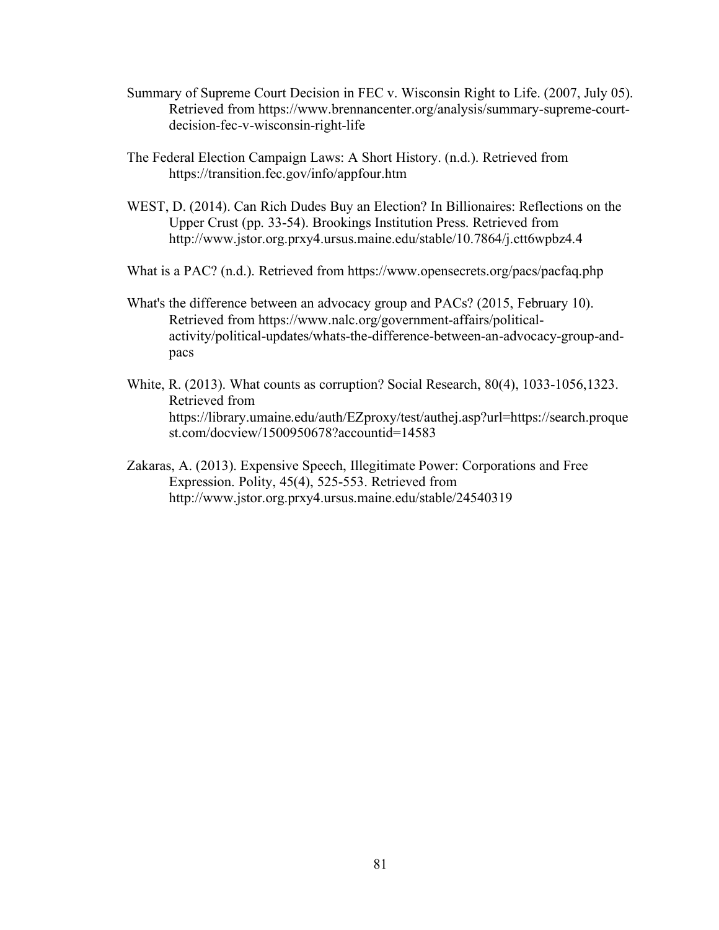- Summary of Supreme Court Decision in FEC v. Wisconsin Right to Life. (2007, July 05). Retrieved from https://www.brennancenter.org/analysis/summary-supreme-courtdecision-fec-v-wisconsin-right-life
- The Federal Election Campaign Laws: A Short History. (n.d.). Retrieved from https://transition.fec.gov/info/appfour.htm
- WEST, D. (2014). Can Rich Dudes Buy an Election? In Billionaires: Reflections on the Upper Crust (pp. 33-54). Brookings Institution Press. Retrieved from http://www.jstor.org.prxy4.ursus.maine.edu/stable/10.7864/j.ctt6wpbz4.4
- What is a PAC? (n.d.). Retrieved from https://www.opensecrets.org/pacs/pacfaq.php
- What's the difference between an advocacy group and PACs? (2015, February 10). Retrieved from https://www.nalc.org/government-affairs/politicalactivity/political-updates/whats-the-difference-between-an-advocacy-group-andpacs
- White, R. (2013). What counts as corruption? Social Research, 80(4), 1033-1056,1323. Retrieved from https://library.umaine.edu/auth/EZproxy/test/authej.asp?url=https://search.proque st.com/docview/1500950678?accountid=14583
- Zakaras, A. (2013). Expensive Speech, Illegitimate Power: Corporations and Free Expression. Polity, 45(4), 525-553. Retrieved from http://www.jstor.org.prxy4.ursus.maine.edu/stable/24540319